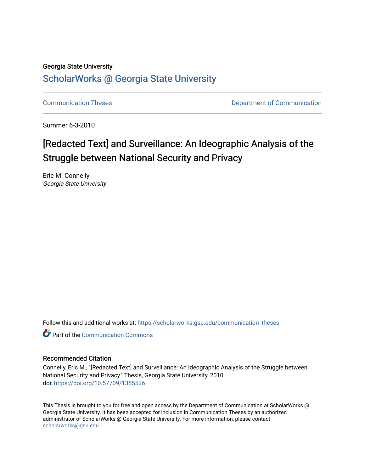### Georgia State University

# [ScholarWorks @ Georgia State University](https://scholarworks.gsu.edu/)

[Communication Theses](https://scholarworks.gsu.edu/communication_theses) **Communication** Communication

Summer 6-3-2010

# [Redacted Text] and Surveillance: An Ideographic Analysis of the Struggle between National Security and Privacy

Eric M. Connelly Georgia State University

Follow this and additional works at: [https://scholarworks.gsu.edu/communication\\_theses](https://scholarworks.gsu.edu/communication_theses?utm_source=scholarworks.gsu.edu%2Fcommunication_theses%2F66&utm_medium=PDF&utm_campaign=PDFCoverPages) 

**C** Part of the Communication Commons

## Recommended Citation

Connelly, Eric M., "[Redacted Text] and Surveillance: An Ideographic Analysis of the Struggle between National Security and Privacy." Thesis, Georgia State University, 2010. doi: <https://doi.org/10.57709/1355526>

This Thesis is brought to you for free and open access by the Department of Communication at ScholarWorks @ Georgia State University. It has been accepted for inclusion in Communication Theses by an authorized administrator of ScholarWorks @ Georgia State University. For more information, please contact [scholarworks@gsu.edu.](mailto:scholarworks@gsu.edu)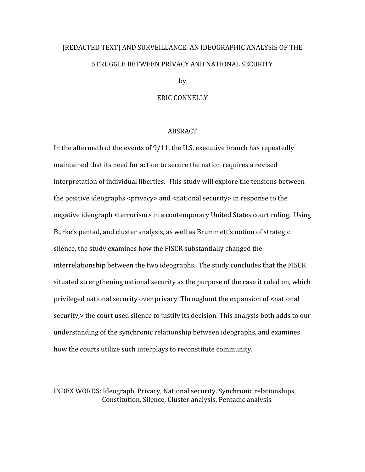# [REDACTED
TEXT]
AND
SURVEILLANCE:
AN
IDEOGRAPHIC
ANALYSIS
OF
THE STRUGGLE
BETWEEN
PRIVACY
AND
NATIONAL
SECURITY

by

#### ERIC
CONNELLY

## ABSRACT

In the aftermath of the events of 9/11, the U.S. executive branch has repeatedly maintained that its need for action to secure the nation requires a revised interpretation of individual liberties. This study will explore the tensions between the positive ideographs <privacy> and <parational security> in response to the negative ideograph <terrorism> in a contemporary United States court ruling. Using Burke's pentad, and cluster analysis, as well as Brummett's notion of strategic silence,
the
study
examines
how
the
FISCR
substantially
changed
the interrelationship between the two ideographs. The study concludes that the FISCR situated strengthening national security as the purpose of the case it ruled on, which privileged national security over privacy. Throughout the expansion of  $\leq$ national security, > the court used silence to justify its decision. This analysis both adds to our understanding
of
the
synchronic
relationship
between
ideographs,
and
examines how the courts utilize such interplays to reconstitute community.

INDEX
WORDS:
Ideograph,
Privacy,
National
security,
Synchronic
relationships, Constitution, Silence, Cluster analysis, Pentadic analysis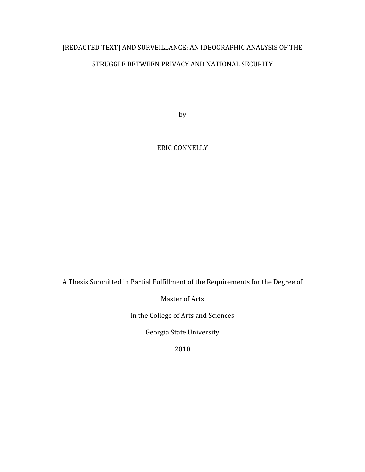# [REDACTED TEXT] AND SURVEILLANCE: AN IDEOGRAPHIC ANALYSIS OF THE STRUGGLE BETWEEN PRIVACY AND NATIONAL SECURITY

by

ERIC
CONNELLY

A
Thesis
Submitted
in
Partial
Fulfillment
of
the
Requirements
for
the
Degree
of

Master
of
Arts

in
the
College
of
Arts
and
Sciences

Georgia
State
University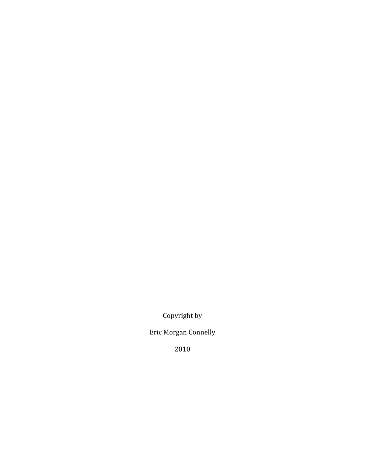Copyright
by

Eric
Morgan
Connelly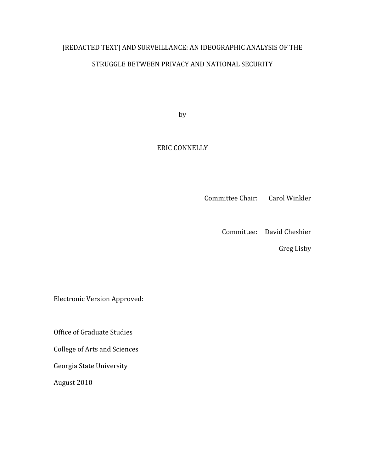# [REDACTED TEXT] AND SURVEILLANCE: AN IDEOGRAPHIC ANALYSIS OF THE STRUGGLE
BETWEEN
PRIVACY
AND
NATIONAL
SECURITY

by

# ERIC
CONNELLY

Committee
Chair: Carol
Winkler

Committee: David
Cheshier

Greg
Lisby

Electronic
Version
Approved:

Office
of
Graduate
Studies

College
of
Arts
and
Sciences

Georgia
State
University

August
2010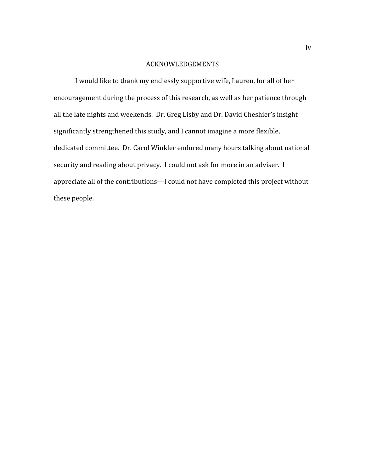# ACKNOWLEDGEMENTS

I
would
like
to
thank
my
endlessly
supportive
wife,
Lauren,
for
all
of
her encouragement during the process of this research, as well as her patience through all
the
late
nights
and
weekends.

Dr.
Greg
Lisby
and
Dr.
David
Cheshier's
insight significantly
strengthened
this
study,
and
I
cannot
imagine
a
more
flexible, dedicated
committee.

Dr.
Carol
Winkler
endured
many
hours
talking
about
national security and reading about privacy. I could not ask for more in an adviser. I appreciate
all
of
the
contributions—I
could
not
have
completed
this
project
without these
people.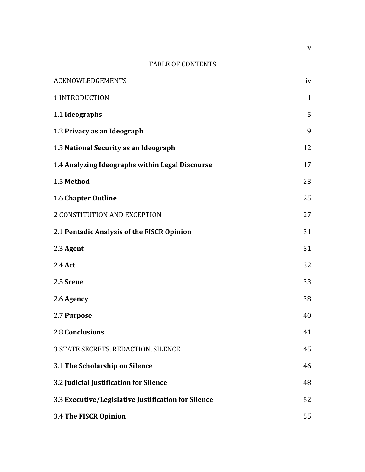# TABLE
OF
CONTENTS

| <b>ACKNOWLEDGEMENTS</b>                             | iv           |
|-----------------------------------------------------|--------------|
| 1 INTRODUCTION                                      | $\mathbf{1}$ |
| 1.1 Ideographs                                      | 5            |
| 1.2 Privacy as an Ideograph                         | 9            |
| 1.3 National Security as an Ideograph               | 12           |
| 1.4 Analyzing Ideographs within Legal Discourse     | 17           |
| 1.5 Method                                          | 23           |
| 1.6 Chapter Outline                                 | 25           |
| 2 CONSTITUTION AND EXCEPTION                        | 27           |
| 2.1 Pentadic Analysis of the FISCR Opinion          | 31           |
| 2.3 Agent                                           | 31           |
| 2.4 Act                                             | 32           |
| 2.5 Scene                                           | 33           |
| 2.6 Agency                                          | 38           |
| 2.7 Purpose                                         | 40           |
| <b>2.8 Conclusions</b>                              | 41           |
| 3 STATE SECRETS, REDACTION, SILENCE                 | 45           |
| 3.1 The Scholarship on Silence                      | 46           |
| 3.2 Judicial Justification for Silence              | 48           |
| 3.3 Executive/Legislative Justification for Silence | 52           |
| 3.4 The FISCR Opinion                               | 55           |

v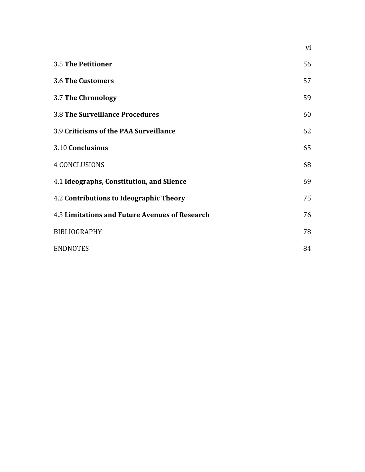| 3.5 The Petitioner                                    | 56 |
|-------------------------------------------------------|----|
| <b>3.6 The Customers</b>                              | 57 |
| 3.7 The Chronology                                    | 59 |
| <b>3.8 The Surveillance Procedures</b>                | 60 |
| 3.9 Criticisms of the PAA Surveillance                | 62 |
| 3.10 Conclusions                                      | 65 |
| <b>4 CONCLUSIONS</b>                                  | 68 |
| 4.1 Ideographs, Constitution, and Silence             | 69 |
| 4.2 Contributions to Ideographic Theory               | 75 |
| <b>4.3 Limitations and Future Avenues of Research</b> | 76 |
| <b>BIBLIOGRAPHY</b>                                   | 78 |
| <b>ENDNOTES</b>                                       | 84 |

vi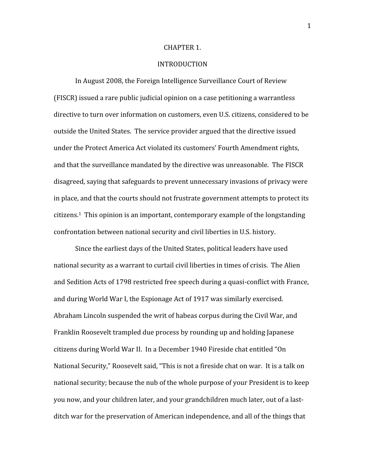#### CHAPTER
1.

## INTRODUCTION

In August 2008, the Foreign Intelligence Surveillance Court of Review (FISCR)
issued
a
rare
public
judicial
opinion
on
a
case
petitioning
a
warrantless directive to turn over information on customers, even U.S. citizens, considered to be outside
the
United
States.

The
service
provider
argued
that
the
directive
issued under the Protect America Act violated its customers' Fourth Amendment rights, and
that
the
surveillance
mandated
by
the
directive
was
unreasonable.

The
FISCR disagreed, saying that safeguards to prevent unnecessary invasions of privacy were in
place,
and
that
the
courts
should
not
frustrate
government
attempts
to
protect
its  $citizens.<sup>1</sup>$  This opinion is an important, contemporary example of the longstanding confrontation between national security and civil liberties in U.S. history.

Since
the
earliest
days
of
the
United
States,
political
leaders
have
used national security as a warrant to curtail civil liberties in times of crisis. The Alien and
Sedition
Acts
of
1798
restricted
free
speech
during
a
quasi‐conflict
with
France, and during World War I, the Espionage Act of 1917 was similarly exercised. Abraham
Lincoln
suspended
the
writ
of
habeas
corpus
during
the
Civil
War,
and Franklin Roosevelt trampled due process by rounding up and holding Japanese citizens
during
World
War
II.

In
a
December
1940
Fireside
chat
entitled
"On National Security," Roosevelt said, "This is not a fireside chat on war. It is a talk on national security; because the nub of the whole purpose of your President is to keep you now, and your children later, and your grandchildren much later, out of a lastditch war for the preservation of American independence, and all of the things that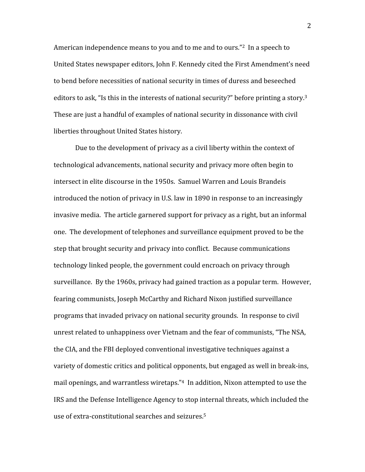American independence means to you and to me and to ours."<sup>2</sup> In a speech to United
States
newspaper
editors,
John
F.
Kennedy
cited
the
First
Amendment's
need to
bend
before
necessities
of
national
security
in
times
of
duress
and
beseeched editors to ask, "Is this in the interests of national security?" before printing a story.<sup>3</sup> These are just a handful of examples of national security in dissonance with civil liberties
throughout
United
States
history.

Due to the development of privacy as a civil liberty within the context of technological
advancements,
national
security
and
privacy
more
often
begin
to intersect
in
elite
discourse
in
the
1950s.

Samuel
Warren
and
Louis
Brandeis introduced
the
notion
of
privacy
in
U.S.
law
in
1890
in
response
to
an
increasingly invasive media. The article garnered support for privacy as a right, but an informal one.

The
development
of
telephones
and
surveillance
equipment
proved
to
be
the step
that
brought
security
and
privacy
into
conflict.

Because
communications technology linked people, the government could encroach on privacy through surveillance. By the 1960s, privacy had gained traction as a popular term. However, fearing
communists,
Joseph
McCarthy
and
Richard
Nixon
justified
surveillance programs
that
invaded
privacy
on
national
security
grounds.

In
response
to
civil unrest related to unhappiness over Vietnam and the fear of communists, "The NSA, the
CIA,
and
the
FBI
deployed
conventional
investigative
techniques
against
a variety of domestic critics and political opponents, but engaged as well in break-ins, mail openings, and warrantless wiretaps."4 In addition, Nixon attempted to use the IRS
and
the
Defense
Intelligence
Agency
to
stop
internal
threats,
which
included
the use of extra-constitutional searches and seizures.<sup>5</sup>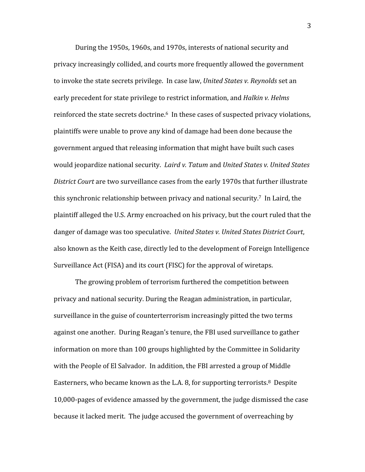During
the
1950s,
1960s,
and
1970s,
interests
of
national
security
and privacy
increasingly
collided,
and
courts
more
frequently
allowed
the
government to invoke the state secrets privilege. In case law, United States v. Reynolds set an early
precedent
for
state
privilege
to
restrict
information,
and *Halkin
v.
Helms*  reinforced the state secrets doctrine.<sup>6</sup> In these cases of suspected privacy violations, plaintiffs
were
unable
to
prove
any
kind
of
damage
had
been
done
because
the government
argued
that
releasing
information
that
might
have
built
such
cases would ieopardize national security. *Laird v. Tatum* and *United States v. United States* District Court are two surveillance cases from the early 1970s that further illustrate this synchronic relationship between privacy and national security.<sup>7</sup> In Laird, the plaintiff
alleged
the
U.S.
Army
encroached
on
his
privacy,
but
the
court
ruled
that
the danger of damage was too speculative. United States v. United States District Court, also
known
as
the
Keith
case,
directly
led
to
the
development
of
Foreign
Intelligence Surveillance Act (FISA) and its court (FISC) for the approval of wiretaps.

The
growing
problem
of
terrorism
furthered
the
competition
between privacy
and
national
security.
During
the
Reagan
administration,
in
particular, surveillance in the guise of counterterrorism increasingly pitted the two terms against one another. During Reagan's tenure, the FBI used surveillance to gather information
on
more
than
100
groups
highlighted
by
the
Committee
in
Solidarity with the People of El Salvador. In addition, the FBI arrested a group of Middle Easterners, who became known as the L.A. 8, for supporting terrorists.<sup>8</sup> Despite 10,000‐pages
of
evidence
amassed
by
the
government,
the
judge
dismissed
the
case because
it
lacked
merit.

The
judge
accused
the
government
of
overreaching
by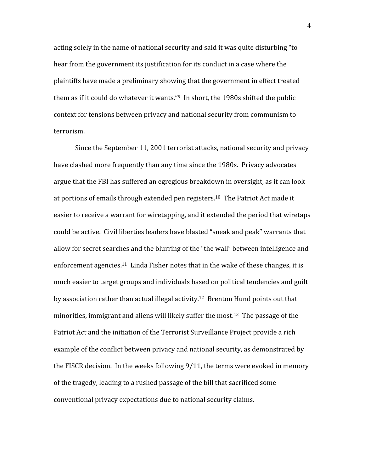acting solely in the name of national security and said it was quite disturbing "to hear from the government its justification for its conduct in a case where the plaintiffs
have
made
a
preliminary
showing
that
the
government
in
effect
treated them as if it could do whatever it wants."<sup>9</sup> In short, the 1980s shifted the public context
for
tensions
between
privacy
and
national
security
from
communism
to terrorism.

Since
the
September
11,
2001
terrorist
attacks,
national
security
and
privacy have clashed more frequently than any time since the 1980s. Privacy advocates argue
that
the
FBI
has
suffered
an
egregious
breakdown
in
oversight,
as
it
can
look at portions of emails through extended pen registers.<sup>10</sup> The Patriot Act made it easier to receive a warrant for wiretapping, and it extended the period that wiretaps could be active. Civil liberties leaders have blasted "sneak and peak" warrants that allow
for
secret
searches
and
the
blurring
of
the
"the
wall"
between
intelligence
and enforcement agencies.<sup>11</sup> Linda Fisher notes that in the wake of these changes, it is much easier to target groups and individuals based on political tendencies and guilt by association rather than actual illegal activity.<sup>12</sup> Brenton Hund points out that minorities, immigrant and aliens will likely suffer the most.<sup>13</sup> The passage of the Patriot Act and the initiation of the Terrorist Surveillance Project provide a rich example
of
the
conflict
between
privacy
and
national
security,
as
demonstrated
by the FISCR decision. In the weeks following 9/11, the terms were evoked in memory of
the
tragedy,
leading
to
a
rushed
passage
of
the
bill that sacrificed
some conventional
privacy
expectations due
to
national
security
claims.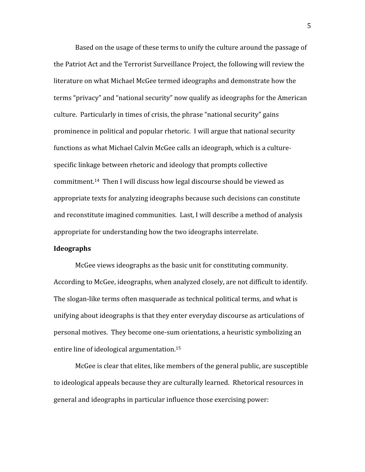Based on the usage of these terms to unify the culture around the passage of the
Patriot
Act
and
the
Terrorist
Surveillance
Project,
the
following
will
review
the literature
on
what
Michael
McGee
termed
ideographs and
demonstrate
how
the terms "privacy" and "national security" now qualify as ideographs for the American culture.

Particularly
in
times
of
crisis,
the
phrase "national
security"
gains prominence in political and popular rhetoric. I will argue that national security functions as what Michael Calvin McGee calls an ideograph, which is a culturespecific linkage between rhetoric and ideology that prompts collective commitment.14 Then
I
will
discuss
how
legal
discourse
should
be
viewed
as appropriate
texts
for
analyzing
ideographs
because
such
decisions
can
constitute and
reconstitute
imagined
communities.

Last,
I
will
describe
a
method
of
analysis appropriate
for
understanding
how
the
two
ideographs
interrelate.

### **Ideographs**

McGee views ideographs as the basic unit for constituting community. According
to
McGee,
ideographs,
when
analyzed
closely,
are
not
difficult
to
identify. The
slogan‐like
terms
often
masquerade
as
technical
political
terms,
and
what
is unifying about ideographs is that they enter everyday discourse as articulations of personal
motives.

They
become
one‐sum
orientations,
a
heuristic
symbolizing
an entire
line
of
ideological
argumentation.15

McGee is clear that elites, like members of the general public, are susceptible to ideological appeals because they are culturally learned. Rhetorical resources in general
and ideographs
in
particular
influence
those
exercising
power: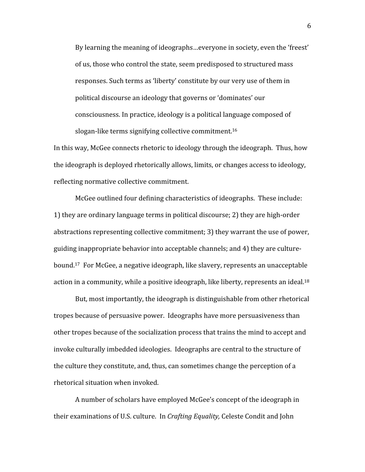By learning the meaning of ideographs...everyone in society, even the 'freest' of
us,
those
who
control
the
state,
seem
predisposed
to
structured
mass responses. Such terms as 'liberty' constitute by our very use of them in political
discourse
an
ideology
that
governs
or
'dominates'
our consciousness.
In
practice,
ideology
is
a
political
language
composed
of slogan-like terms signifying collective commitment.<sup>16</sup>

In this way, McGee connects rhetoric to ideology through the ideograph. Thus, how the ideograph is deployed rhetorically allows, limits, or changes access to ideology. reflecting
normative
collective
commitment.

McGee outlined four defining characteristics of ideographs. These include: 1)
they
are
ordinary
language
terms
in
political
discourse;
2)
they
are
high‐order abstractions
representing
collective
commitment;
3)
they
warrant
the
use
of
power, guiding
inappropriate
behavior
into
acceptable
channels;
and
4)
they
are
culture‐ bound.<sup>17</sup> For McGee, a negative ideograph, like slavery, represents an unacceptable action in a community, while a positive ideograph, like liberty, represents an ideal.<sup>18</sup>

But,
most
importantly,
the
ideograph
is
distinguishable
from
other
rhetorical tropes because of persuasive power. Ideographs have more persuasiveness than other
tropes
because
of
the
socialization
process
that
trains
the
mind
to
accept
and invoke
culturally
imbedded
ideologies.

Ideographs
are
central
to
the
structure
of the
culture
they
constitute,
and,
thus,
can
sometimes
change
the
perception
of
a rhetorical
situation
when
invoked.

A
number
of
scholars
have
employed
McGee's
concept
of
the
ideograph
in their
examinations
of
U.S.
culture.

In *Crafting
Equality,* Celeste
Condit
and
John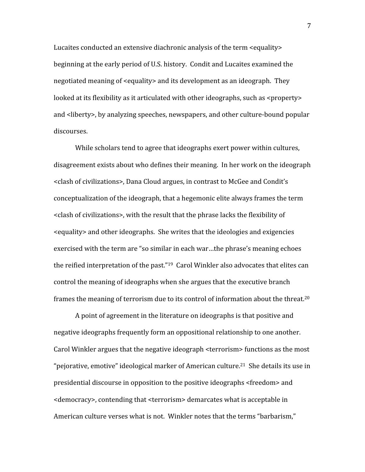Lucaites conducted an extensive diachronic analysis of the term <equality> beginning
at
the
early
period
of
U.S.
history.

Condit
and
Lucaites
examined
the negotiated meaning of <equality> and its development as an ideograph. They looked at its flexibility as it articulated with other ideographs, such as <property> and <liberty>, by analyzing speeches, newspapers, and other culture-bound popular discourses.

While scholars tend to agree that ideographs exert power within cultures, disagreement
exists
about
who
defines
their
meaning.

In
her
work
on
the
ideograph <clash
of
civilizations>,
Dana
Cloud
argues,
in contrast
to
McGee
and
Condit's conceptualization
of
the
ideograph,
that
a
hegemonic
elite
always
frames
the
term <clash
of
civilizations>,
with
the
result
that
the
phrase lacks
the
flexibility
of <equality>
and
other
ideographs.

She
writes
that
the
ideologies
and
exigencies exercised
with
the
term
are
"so
similar
in
each
war…the
phrase's
meaning
echoes the reified interpretation of the past."<sup>19</sup> Carol Winkler also advocates that elites can control
the
meaning
of
ideographs
when
she
argues
that
the
executive
branch frames the meaning of terrorism due to its control of information about the threat.<sup>20</sup>

A point of agreement in the literature on ideographs is that positive and negative
ideographs
frequently
form
an
oppositional
relationship
to
one
another. Carol Winkler argues that the negative ideograph <terrorism> functions as the most "pejorative, emotive" ideological marker of American culture.<sup>21</sup> She details its use in presidential
discourse
in
opposition
to
the
positive
ideographs
<freedom>
and <democracy>,
contending
that
<terrorism>
demarcates
what
is
acceptable
in American culture verses what is not. Winkler notes that the terms "barbarism,"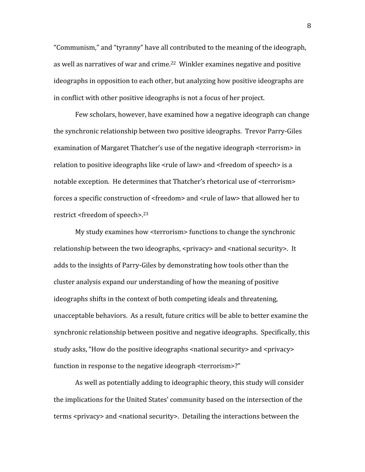"Communism," and "tyranny" have all contributed to the meaning of the ideograph, as
well
as
narratives
of
war
and
crime.22

Winkler
examines
negative
and
positive ideographs in opposition to each other, but analyzing how positive ideographs are in
conflict
with other
positive
ideographs is
not
a
focus
of
her
project.

Few scholars, however, have examined how a negative ideograph can change the
synchronic
relationship
between
two
positive
ideographs. Trevor
Parry‐Giles examination of Margaret Thatcher's use of the negative ideograph <terrorism> in relation to positive ideographs like <rule of law> and <freedom of speech> is a notable exception. He determines that Thatcher's rhetorical use of <terrorism> forces a specific construction of <freedom> and <rule of law> that allowed her to restrict
<freedom
of
speech>.23

My study examines how <terrorism> functions to change the synchronic relationship between the two ideographs, <privacy> and <national security>. It adds
to
the
insights
of
Parry‐Giles
by
demonstrating
how
tools
other
than
the cluster
analysis
expand
our
understanding
of
how
the
meaning
of
positive ideographs shifts in the context of both competing ideals and threatening, unacceptable behaviors. As a result, future critics will be able to better examine the synchronic relationship between positive and negative ideographs. Specifically, this study asks, "How do the positive ideographs <national security> and <privacy> function in response to the negative ideograph <terrorism>?"

As
well
as
potentially
adding
to
ideographic
theory,
this
study
will
consider the
implications
for
the
United
States'
community
based
on
the
intersection
of
the terms <privacy> and <national security>. Detailing the interactions between the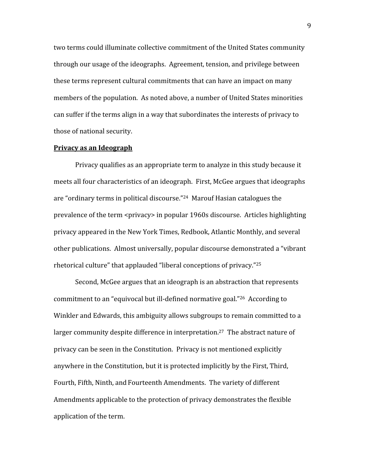two terms could illuminate collective commitment of the United States community through
our
usage
of
the
ideographs.

Agreement,
tension,
and
privilege
between these
terms
represent
cultural
commitments
that
can
have
an
impact
on
many members of the population. As noted above, a number of United States minorities can
suffer
if
the
terms
align
in
a
way
that
subordinates
the
interests
of
privacy
to those
of
national
security.

#### **Privacy
as
an
Ideograph**

Privacy
qualifies
as
an
appropriate
term
to
analyze
in
this
study
because
it meets all four characteristics of an ideograph. First, McGee argues that ideographs are
"ordinary
terms
in
political
discourse."24 Marouf
Hasian
catalogues
the prevalence of the term <privacy> in popular 1960s discourse. Articles highlighting privacy
appeared
in
the
New
York
Times,
Redbook,
Atlantic
Monthly,
and
several other
publications.

Almost
universally,
popular
discourse
demonstrated
a
"vibrant rhetorical culture" that applauded "liberal conceptions of privacy."<sup>25</sup>

Second,
McGee
argues
that
an
ideograph
is
an
abstraction
that
represents commitment
to
an
"equivocal
but
ill‐defined
normative
goal."26

According
to Winkler and Edwards, this ambiguity allows subgroups to remain committed to a larger community despite difference in interpretation.<sup>27</sup> The abstract nature of privacy
can
be
seen
in
the
Constitution.

Privacy
is
not
mentioned
explicitly anywhere in the Constitution, but it is protected implicitly by the First, Third, Fourth, Fifth, Ninth, and Fourteenth Amendments. The variety of different Amendments
applicable
to
the
protection
of
privacy
demonstrates
the
flexible application
of
the
term.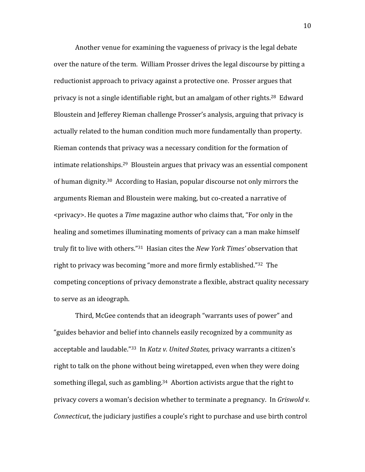Another venue for examining the vagueness of privacy is the legal debate over the nature of the term. William Prosser drives the legal discourse by pitting a reductionist approach to privacy against a protective one. Prosser argues that privacy is not a single identifiable right, but an amalgam of other rights.<sup>28</sup> Edward Bloustein
and
Jefferey
Rieman
challenge
Prosser's
analysis,
arguing
that
privacy
is actually related to the human condition much more fundamentally than property. Rieman
contends
that
privacy
was
a
necessary
condition
for
the
formation
of intimate
relationships.29

Bloustein
argues
that
privacy
was
an
essential
component of
human
dignity.30

According
to
Hasian,
popular
discourse
not
only
mirrors
the arguments
Rieman
and
Bloustein
were
making,
but
co‐created
a
narrative
of <privacy>.
He
quotes
a *Time* magazine
author
who
claims
that,
"For
only
in
the healing and sometimes illuminating moments of privacy can a man make himself truly fit to live with others."<sup>31</sup> Hasian cites the *New York Times'* observation that right to privacy was becoming "more and more firmly established."<sup>32</sup> The competing
conceptions
of
privacy
demonstrate
a
flexible,
abstract
quality
necessary to
serve
as
an
ideograph.

Third,
McGee
contends
that
an
ideograph
"warrants
uses
of
power"
and "guides
behavior
and
belief
into
channels
easily
recognized
by
a
community
as acceptable and laudable."<sup>33</sup> In *Katz v. United States*, privacy warrants a citizen's right to talk on the phone without being wiretapped, even when they were doing something illegal, such as gambling.<sup>34</sup> Abortion activists argue that the right to privacy covers a woman's decision whether to terminate a pregnancy. In Griswold v. Connecticut, the judiciary justifies a couple's right to purchase and use birth control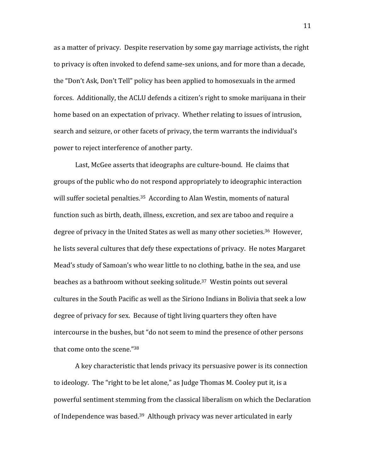as
a
matter
of
privacy.

Despite
reservation
by
some
gay
marriage
activists,
the
right to privacy is often invoked to defend same-sex unions, and for more than a decade, the
"Don't
Ask,
Don't
Tell"
policy
has
been
applied
to
homosexuals
in
the
armed forces. Additionally, the ACLU defends a citizen's right to smoke marijuana in their home based on an expectation of privacy. Whether relating to issues of intrusion, search and seizure, or other facets of privacy, the term warrants the individual's power
to
reject
interference
of
another
party.

Last. McGee asserts that ideographs are culture-bound. He claims that groups
of
the
public
who
do
not
respond
appropriately
to
ideographic
interaction will suffer societal penalties.<sup>35</sup> According to Alan Westin, moments of natural function such as birth, death, illness, excretion, and sex are taboo and require a degree of privacy in the United States as well as many other societies.<sup>36</sup> However, he lists several cultures that defy these expectations of privacy. He notes Margaret Mead's study of Samoan's who wear little to no clothing, bathe in the sea, and use beaches as a bathroom without seeking solitude.<sup>37</sup> Westin points out several cultures in the South Pacific as well as the Siriono Indians in Bolivia that seek a low degree
of
privacy
for
sex.

Because
of
tight
living
quarters
they
often
have intercourse in the bushes, but "do not seem to mind the presence of other persons that come onto the scene."38

A
key
characteristic
that
lends
privacy
its
persuasive
power
is
its
connection to ideology. The "right to be let alone," as Judge Thomas M. Cooley put it, is a powerful
sentiment
stemming
from
the
classical
liberalism
on
which
the
Declaration of
Independence
was
based.39

Although
privacy
was
never
articulated
in
early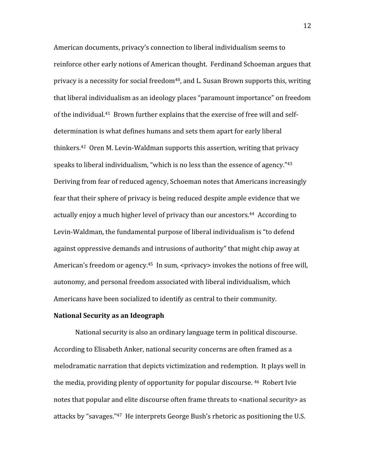American
documents,
privacy's
connection
to
liberal
individualism
seems
to reinforce
other
early
notions
of
American
thought.

Ferdinand
Schoeman
argues
that privacy is a necessity for social freedom<sup>40</sup>, and L. Susan Brown supports this, writing that
liberal
individualism
as
an
ideology
places
"paramount
importance"
on
freedom of the individual.<sup>41</sup> Brown further explains that the exercise of free will and selfdetermination is what defines humans and sets them apart for early liberal thinkers.<sup>42</sup> Oren M. Levin-Waldman supports this assertion, writing that privacy speaks to liberal individualism, "which is no less than the essence of agency." $43$ Deriving from fear of reduced agency, Schoeman notes that Americans increasingly fear
that
their
sphere
of
privacy
is
being
reduced
despite
ample
evidence
that
we actually enjoy a much higher level of privacy than our ancestors.<sup>44</sup> According to Levin-Waldman, the fundamental purpose of liberal individualism is "to defend against oppressive demands and intrusions of authority" that might chip away at American's freedom or agency.<sup>45</sup> In sum, <privacy> invokes the notions of free will, autonomy,
and
personal
freedom
associated
with
liberal
individualism,
which Americans
have
been
socialized
to
identify
as
central
to
their
community.

# **National
Security
as
an
Ideograph**

National security is also an ordinary language term in political discourse. According
to
Elisabeth
Anker,
national
security
concerns
are
often
framed
as
a melodramatic narration that depicts victimization and redemption. It plays well in the
media,
providing
plenty
of
opportunity
for
popular
discourse.
46

Robert
Ivie notes that popular and elite discourse often frame threats to <national security> as attacks by "savages."<sup>47</sup> He interprets George Bush's rhetoric as positioning the U.S.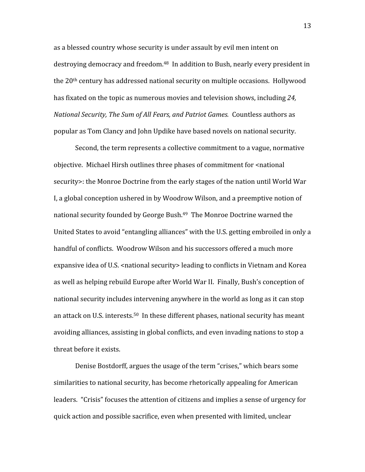as
a
blessed
country
whose
security
is
under
assault
by
evil
men
intent
on destroying
democracy
and
freedom.48

In
addition
to
Bush,
nearly
every
president
in the
20th
century
has
addressed
national
security
on
multiple
occasions.

Hollywood has
fixated
on
the
topic
as
numerous
movies
and
television
shows,
including *24,*  National Security, The Sum of All Fears, and Patriot Games. Countless authors as popular
as
Tom
Clancy
and
John
Updike
have
based
novels
on
national
security.

Second, the term represents a collective commitment to a vague, normative objective. Michael Hirsh outlines three phases of commitment for <national security >: the Monroe Doctrine from the early stages of the nation until World War I, a global conception ushered in by Woodrow Wilson, and a preemptive notion of national security founded by George Bush.<sup>49</sup> The Monroe Doctrine warned the United States to avoid "entangling alliances" with the U.S. getting embroiled in only a handful of conflicts. Woodrow Wilson and his successors offered a much more expansive idea of U.S. <national security> leading to conflicts in Vietnam and Korea as
well
as
helping
rebuild
Europe
after
World
War
II.

Finally,
Bush's
conception
of national
security
includes
intervening
anywhere
in
the
world
as
long
as
it
can
stop an attack on U.S. interests.<sup>50</sup> In these different phases, national security has meant avoiding alliances, assisting in global conflicts, and even invading nations to stop a threat
before
it
exists.

Denise
Bostdorff,
argues
the
usage
of
the
term
"crises,"
which
bears
some similarities to national security, has become rhetorically appealing for American leaders. "Crisis" focuses the attention of citizens and implies a sense of urgency for quick
action
and
possible
sacrifice,
even
when
presented
with
limited,
unclear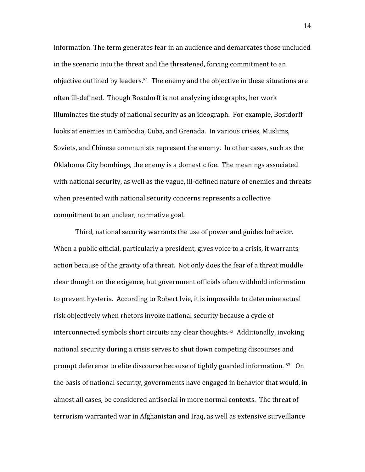information. The
term generates
fear
in
an
audience
and
demarcates
those
uncluded in the scenario into the threat and the threatened, forcing commitment to an objective
outlined
by
leaders.51

The
enemy
and
the
objective
in
these
situations
are often
ill‐defined.

Though
Bostdorff
is
not
analyzing
ideographs,
her
work illuminates the study of national security as an ideograph. For example, Bostdorff looks at enemies in Cambodia, Cuba, and Grenada. In various crises, Muslims, Soviets,
and
Chinese
communists
represent
the
enemy.

In
other
cases,
such
as
the Oklahoma City bombings, the enemy is a domestic foe. The meanings associated with national security, as well as the vague, ill-defined nature of enemies and threats when presented with national security concerns represents a collective commitment
to
an
unclear,
normative
goal.

Third,
national
security
warrants
the
use
of
power
and
guides
behavior. When a public official, particularly a president, gives voice to a crisis, it warrants action because of the gravity of a threat. Not only does the fear of a threat muddle clear
thought
on
the
exigence,
but
government
officials
often
withhold
information to
prevent
hysteria.

According
to
Robert
Ivie,
it
is
impossible
to
determine
actual risk objectively when rhetors invoke national security because a cycle of interconnected
symbols
short
circuits
any
clear
thoughts.52

Additionally,
invoking national security during a crisis serves to shut down competing discourses and prompt deference to elite discourse because of tightly guarded information.<sup>53</sup> On the
basis
of
national
security,
governments
have
engaged
in
behavior
that
would,
in almost
all
cases,
be
considered
antisocial
in
more
normal
contexts.

The
threat
of terrorism warranted war in Afghanistan and Iraq, as well as extensive surveillance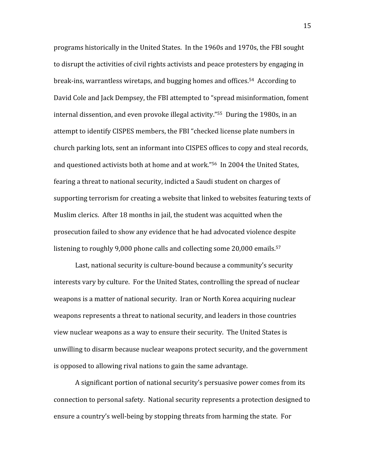programs
historically
in
the
United
States.

In
the
1960s
and
1970s,
the
FBI
sought to disrupt the activities of civil rights activists and peace protesters by engaging in break‐ins,
warrantless
wiretaps,
and
bugging
homes
and
offices.54

According
to David Cole and Jack Dempsey, the FBI attempted to "spread misinformation, foment internal dissention, and even provoke illegal activity."<sup>55</sup> During the 1980s, in an attempt to identify CISPES members, the FBI "checked license plate numbers in church
parking
lots,
sent
an
informant
into
CISPES
offices
to
copy
and
steal
records, and
questioned
activists
both
at
home
and
at
work."56

In
2004
the
United
States, fearing a threat to national security, indicted a Saudi student on charges of supporting
terrorism
for
creating
a
website
that
linked
to
websites
featuring
texts
of Muslim clerics. After 18 months in jail, the student was acquitted when the prosecution
failed
to
show
any
evidence
that
he
had
advocated
violence
despite listening to roughly 9,000 phone calls and collecting some 20,000 emails.<sup>57</sup>

Last, national security is culture-bound because a community's security interests
vary
by
culture.

For
the
United
States,
controlling
the
spread
of
nuclear weapons is a matter of national security. Iran or North Korea acquiring nuclear weapons represents a threat to national security, and leaders in those countries view nuclear weapons as a way to ensure their security. The United States is unwilling
to
disarm
because
nuclear
weapons
protect
security,
and
the
government is
opposed
to
allowing
rival
nations
to
gain
the
same
advantage.

A
significant
portion
of
national
security's
persuasive
power
comes
from
its connection
to
personal
safety.

National
security
represents
a
protection
designed
to ensure a country's well-being by stopping threats from harming the state. For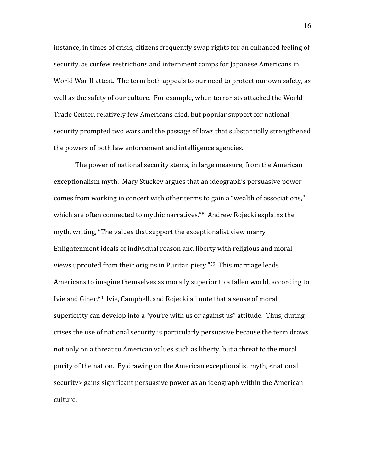instance,
in
times
of
crisis,
citizens
frequently
swap
rights
for
an
enhanced
feeling
of security, as curfew restrictions and internment camps for Japanese Americans in World War II attest. The term both appeals to our need to protect our own safety, as well as the safety of our culture. For example, when terrorists attacked the World Trade
Center,
relatively
few
Americans
died,
but
popular
support
for
national security
prompted
two
wars
and
the
passage
of
laws
that
substantially
strengthened the
powers
of both
law
enforcement
and
intelligence
agencies.

The
power
of
national
security
stems,
in
large
measure,
from
the
American exceptionalism
myth.

Mary
Stuckey
argues
that
an
ideograph's
persuasive
power comes
from
working
in
concert
with
other
terms
to
gain
a
"wealth
of
associations," which are often connected to mythic narratives.<sup>58</sup> Andrew Rojecki explains the myth,
writing,
"The
values
that
support
the
exceptionalist
view
marry Enlightenment
ideals
of
individual
reason
and
liberty
with
religious
and
moral views uprooted from their origins in Puritan piety."<sup>59</sup> This marriage leads Americans to imagine themselves as morally superior to a fallen world, according to Ivie and Giner.<sup>60</sup> Ivie, Campbell, and Rojecki all note that a sense of moral superiority can develop into a "you're with us or against us" attitude. Thus, during crises
the
use
of
national
security
is
particularly
persuasive because
the
term
draws not only on a threat to American values such as liberty, but a threat to the moral purity of the nation. By drawing on the American exceptionalist myth, <national security>
gains
significant
persuasive
power
as
an
ideograph
within
the
American culture.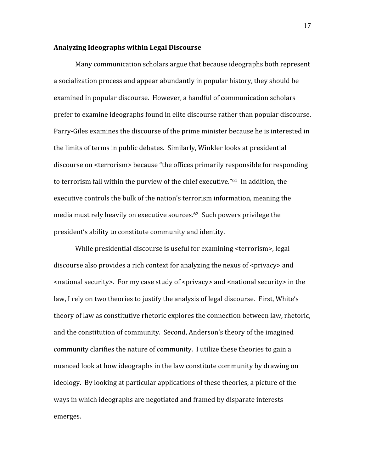#### **Analyzing
Ideographs
within
Legal
Discourse**

Many
communication
scholars
argue
that
because
ideographs
both
represent a socialization process and appear abundantly in popular history, they should be examined
in
popular
discourse. However,
a
handful
of
communication
scholars prefer
to
examine
ideographs
found
in
elite
discourse
rather
than
popular
discourse. Parry-Giles examines the discourse of the prime minister because he is interested in the
limits
of
terms
in
public
debates.

Similarly,
Winkler
looks
at
presidential discourse
on
<terrorism>
because
"the
offices
primarily
responsible
for
responding to terrorism fall within the purview of the chief executive."<sup>61</sup> In addition, the executive
controls
the
bulk
of
the
nation's
terrorism
information,
meaning
the media
must
rely
heavily
on
executive
sources.62

Such
powers
privilege
the president's
ability
to
constitute
community
and
identity.

While presidential discourse is useful for examining <terrorism>, legal discourse also provides a rich context for analyzing the nexus of <privacy> and <national security>. For my case study of <privacy> and <national security> in the law, I rely on two theories to justify the analysis of legal discourse. First, White's theory of law as constitutive rhetoric explores the connection between law, rhetoric, and
the
constitution
of
community. Second,
Anderson's
theory
of
the
imagined community clarifies the nature of community. I utilize these theories to gain a nuanced
look
at
how
ideographs
in
the
law
constitute
community
by
drawing
on ideology. By
looking
at
particular
applications
of
these
theories,
a
picture
of
the ways in which ideographs are negotiated and framed by disparate interests emerges.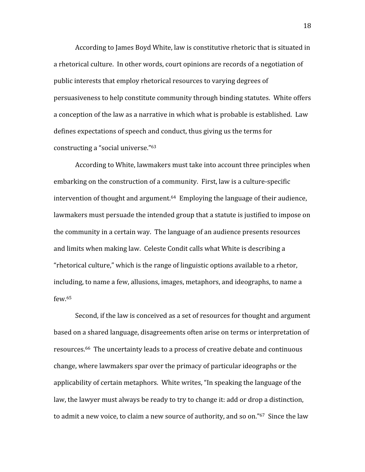According to James Boyd White, law is constitutive rhetoric that is situated in a rhetorical culture. In other words, court opinions are records of a negotiation of public
interests
that
employ
rhetorical
resources
to
varying
degrees
of persuasiveness
to
help
constitute
community
through
binding
statutes.

White
offers a conception of the law as a narrative in which what is probable is established. Law defines
expectations
of
speech
and
conduct,
thus
giving
us
the
terms
for constructing
a
"social
universe."63

According
to
White,
lawmakers
must
take
into
account
three
principles
when embarking on the construction of a community. First, law is a culture-specific intervention of thought and argument.<sup>64</sup> Employing the language of their audience, lawmakers must persuade the intended group that a statute is justified to impose on the
community
in
a
certain
way.

The
language
of
an
audience
presents
resources and
limits
when
making
law.

Celeste
Condit
calls
what
White
is
describing
a "rhetorical culture," which is the range of linguistic options available to a rhetor, including, to name a few, allusions, images, metaphors, and ideographs, to name a few. 65

Second, if the law is conceived as a set of resources for thought and argument based
on
a
shared
language,
disagreements
often
arise
on
terms
or
interpretation
of resources.<sup>66</sup> The uncertainty leads to a process of creative debate and continuous change,
where
lawmakers
spar
over
the
primacy
of
particular
ideographs
or
the applicability
of
certain
metaphors.

White
writes,
"In
speaking
the
language
of
the law, the lawyer must always be ready to try to change it: add or drop a distinction, to admit a new voice, to claim a new source of authority, and so on." $67$  Since the law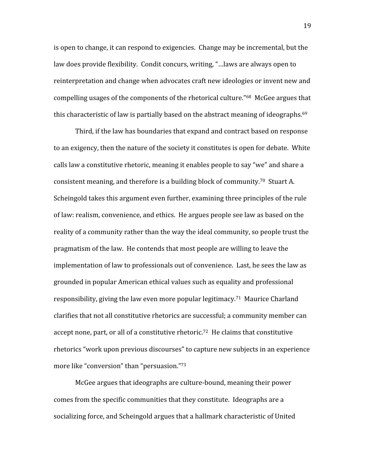is
open
to
change,
it
can
respond
to
exigencies.

Change
may
be
incremental,
but
the law
does
provide
flexibility.

Condit
concurs,
writing,
"…laws
are
always
open
to reinterpretation and change when advocates craft new ideologies or invent new and compelling
usages
of
the
components
of
the
rhetorical
culture."68

McGee
argues
that this characteristic of law is partially based on the abstract meaning of ideographs.<sup>69</sup>

Third,
if
the
law
has
boundaries
that
expand
and
contract
based
on
response to an exigency, then the nature of the society it constitutes is open for debate. White calls law a constitutive rhetoric, meaning it enables people to say "we" and share a consistent
meaning,
and
therefore
is
a
building
block
of
community.70

Stuart
A. Scheingold
takes
this
argument
even
further,
examining
three
principles
of
the
rule of
law:
realism,
convenience,
and
ethics.

He
argues
people
see
law
as
based
on
the reality of a community rather than the way the ideal community, so people trust the pragmatism
of
the
law.

He
contends
that
most
people
are
willing
to
leave
the implementation of law to professionals out of convenience. Last, he sees the law as grounded
in
popular
American
ethical
values
such
as
equality
and
professional responsibility, giving the law even more popular legitimacy.<sup>71</sup> Maurice Charland clarifies
that
not
all
constitutive
rhetorics
are
successful;
a
community
member
can accept none, part, or all of a constitutive rhetoric.<sup>72</sup> He claims that constitutive rhetorics
"work
upon
previous
discourses"
to
capture
new
subjects
in
an
experience more like "conversion" than "persuasion."<sup>73</sup>

McGee
argues
that
ideographs
are
culture‐bound,
meaning
their
power comes
from
the
specific
communities
that
they
constitute.

Ideographs
are
a socializing force, and Scheingold argues that a hallmark characteristic of United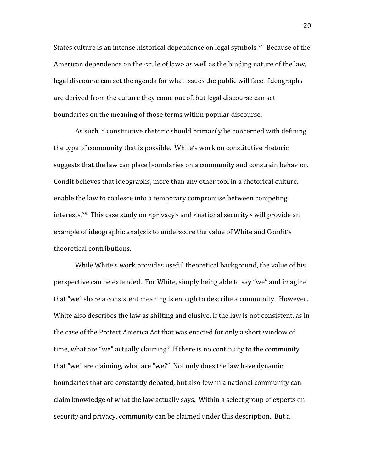States culture is an intense historical dependence on legal symbols.<sup>74</sup> Because of the American dependence on the <rule of law> as well as the binding nature of the law, legal discourse can set the agenda for what issues the public will face. Ideographs are
derived
from
the
culture
they
come
out
of,
but
legal
discourse
can
set boundaries
on
the
meaning
of
those
terms
within
popular
discourse.

As
such,
a
constitutive
rhetoric
should
primarily
be
concerned
with
defining the
type
of
community
that
is
possible.

White's
work
on
constitutive
rhetoric suggests
that
the
law
can
place
boundaries
on
a
community
and
constrain
behavior. Condit
believes
that
ideographs,
more
than
any
other
tool
in
a
rhetorical
culture, enable
the
law
to
coalesce
into
a
temporary
compromise
between
competing interests.<sup>75</sup> This case study on <privacy> and <national security> will provide an example of ideographic analysis to underscore the value of White and Condit's theoretical
contributions.

While White's work provides useful theoretical background, the value of his perspective
can
be
extended.

For
White,
simply
being
able
to
say
"we"
and
imagine that
"we"
share
a
consistent
meaning
is
enough
to
describe
a
community.

However, White also describes the law as shifting and elusive. If the law is not consistent, as in the
case
of
the
Protect
America
Act
that
was
enacted
for
only
a
short
window
of time, what are "we" actually claiming? If there is no continuity to the community that "we" are claiming, what are "we?" Not only does the law have dynamic boundaries
that
are
constantly
debated,
but
also
few
in
a
national
community
can claim
knowledge
of
what
the
law
actually
says.

Within
a
select
group
of
experts
on security and privacy, community can be claimed under this description. But a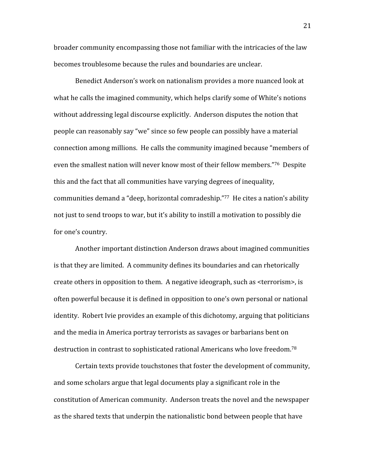broader
community
encompassing
those
not
familiar
with
the
intricacies
of
the
law becomes troublesome because the rules and boundaries are unclear.

Benedict
Anderson's
work
on
nationalism provides
a
more
nuanced
look
at what he calls the imagined community, which helps clarify some of White's notions without addressing legal discourse explicitly. Anderson disputes the notion that people
can
reasonably
say
"we"
since
so
few
people
can
possibly
have
a
material connection among millions. He calls the community imagined because "members of even the smallest nation will never know most of their fellow members."<sup>76</sup> Despite this
and
the
fact
that
all
communities
have
varying
degrees
of
inequality, communities
demand
a
"deep,
horizontal
comradeship."77

He
cites
a
nation's
ability not just to send troops to war, but it's ability to instill a motivation to possibly die for
one's
country.

Another
important
distinction
Anderson
draws
about
imagined
communities is
that
they
are
limited.

A
community
defines
its
boundaries
and
can
rhetorically create
others
in
opposition
to
them.

A
negative
ideograph,
such
as
<terrorism>,
is often
powerful
because
it
is
defined
in
opposition
to
one's
own
personal
or
national identity. Robert Ivie provides an example of this dichotomy, arguing that politicians and
the
media
in
America
portray
terrorists
as
savages
or
barbarians
bent
on destruction in contrast to sophisticated rational Americans who love freedom.<sup>78</sup>

Certain
texts
provide
touchstones
that
foster
the
development
of
community, and
some
scholars
argue
that
legal
documents
play
a
significant
role
in
the constitution
of
American
community.

Anderson
treats
the
novel
and
the
newspaper as
the
shared
texts
that
underpin
the
nationalistic
bond
between
people
that
have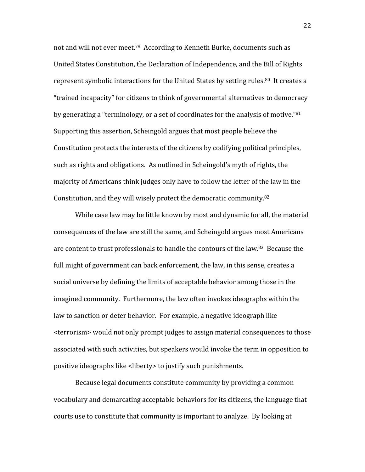not
and
will
not
ever
meet.79

According
to
Kenneth
Burke,
documents
such
as United States Constitution, the Declaration of Independence, and the Bill of Rights represent symbolic interactions for the United States by setting rules.<sup>80</sup> It creates a "trained
incapacity"
for
citizens
to
think
of
governmental
alternatives
to
democracy by generating a "terminology, or a set of coordinates for the analysis of motive."<sup>81</sup> Supporting
this
assertion,
Scheingold
argues
that
most
people
believe
the Constitution
protects
the
interests
of
the
citizens
by
codifying
political
principles, such as rights and obligations. As outlined in Scheingold's myth of rights, the majority
of
Americans
think
judges
only
have
to
follow
the
letter
of
the
law
in
the Constitution, and they will wisely protect the democratic community.<sup>82</sup>

While case law may be little known by most and dynamic for all, the material consequences
of
the
law
are
still
the
same,
and
Scheingold
argues
most
Americans are
content
to
trust
professionals
to
handle
the
contours
of
the
law.83

Because
the full might of government can back enforcement, the law, in this sense, creates a social universe by defining the limits of acceptable behavior among those in the imagined
community.

Furthermore,
the
law
often
invokes
ideographs
within
the law to sanction or deter behavior. For example, a negative ideograph like <terrorism>
would
not
only
prompt
judges
to
assign
material
consequences
to
those associated
with
such
activities,
but
speakers
would
invoke the
term
in
opposition
to positive
ideographs
like
<liberty>
to
justify
such
punishments.

Because legal documents constitute community by providing a common vocabulary
and
demarcating
acceptable
behaviors
for
its
citizens,
the
language
that courts
use
to
constitute
that
community
is
important
to
analyze.

By
looking
at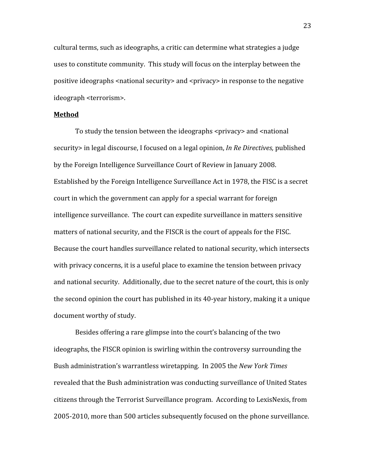cultural
terms,
such
as
ideographs,
a
critic
can
determine
what
strategies
a
judge uses
to
constitute
community.

This
study
will
focus
on
the
interplay
between
the positive ideographs <national security> and <privacy> in response to the negative ideograph
<terrorism>.

#### **Method**

To study the tension between the ideographs <privacy> and <national security in legal discourse, I focused on a legal opinion, *In Re Directives*, published by
the
Foreign
Intelligence
Surveillance
Court
of
Review
in
January
2008. Established
by
the
Foreign
Intelligence
Surveillance
Act
in
1978,
the
FISC
is
a
secret court
in
which
the
government
can
apply
for
a
special
warrant
for
foreign intelligence
surveillance.

The
court
can
expedite
surveillance
in
matters
sensitive matters of national security, and the FISCR is the court of appeals for the FISC. Because
the
court
handles
surveillance
related
to
national
security,
which
intersects with privacy concerns, it is a useful place to examine the tension between privacy and national security. Additionally, due to the secret nature of the court, this is only the second opinion the court has published in its 40-year history, making it a unique document
worthy
of
study.

Besides offering a rare glimpse into the court's balancing of the two ideographs,
the
FISCR
opinion
is
swirling
within
the
controversy
surrounding
the Bush
administration's
warrantless
wiretapping.

In
2005
the *New
York
Times*  revealed
that
the
Bush
administration
was
conducting
surveillance
of
United
States citizens
through
the
Terrorist
Surveillance
program.

According
to
LexisNexis,
from 2005‐2010,
more
than
500
articles
subsequently
focused
on
the
phone
surveillance.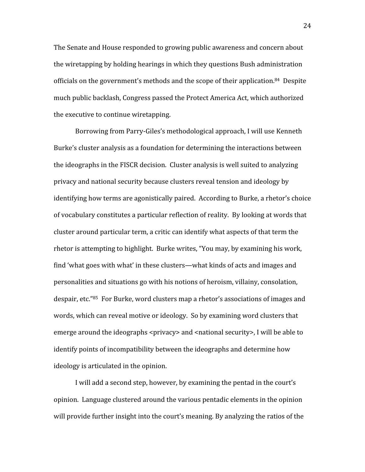The Senate and House responded to growing public awareness and concern about the
wiretapping
by
holding
hearings
in
which
they
questions
Bush
administration officials on the government's methods and the scope of their application.<sup>84</sup> Despite much
public
backlash,
Congress
passed
the
Protect
America
Act,
which
authorized the
executive
to
continue
wiretapping.

Borrowing
from
Parry‐Giles's
methodological
approach,
I
will
use
Kenneth Burke's
cluster
analysis
as
a
foundation
for
determining
the
interactions
between the ideographs in the FISCR decision. Cluster analysis is well suited to analyzing privacy
and
national
security
because
clusters
reveal
tension
and
ideology
by identifying
how
terms
are
agonistically
paired.

According
to
Burke,
a
rhetor's
choice of vocabulary constitutes a particular reflection of reality. By looking at words that cluster
around
particular
term,
a
critic
can
identify
what
aspects
of
that
term
the rhetor is attempting to highlight. Burke writes, "You may, by examining his work, find 'what goes with what' in these clusters—what kinds of acts and images and personalities
and
situations
go
with
his
notions
of
heroism,
villainy,
consolation, despair, etc.<sup>"85</sup> For Burke, word clusters map a rhetor's associations of images and words, which can reveal motive or ideology. So by examining word clusters that emerge around the ideographs <privacy> and <pational security>, I will be able to identify
points
of
incompatibility
between
the
ideographs
and
determine
how ideology
is
articulated
in
the
opinion.

I
will
add
a
second
step,
however,
by
examining
the
pentad
in
the
court's opinion.

Language
clustered
around
the
various
pentadic
elements
in
the
opinion will provide further insight into the court's meaning. By analyzing the ratios of the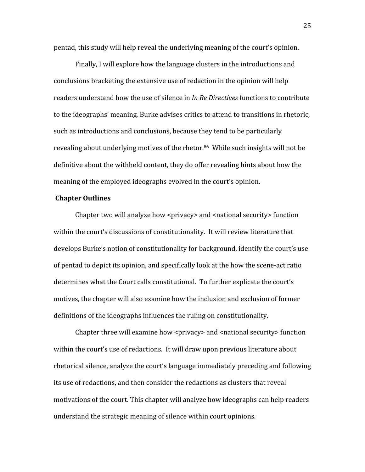pentad,
this
study
will
help
reveal
the
underlying
meaning
of
the
court's
opinion.

Finally,
I
will
explore
how
the
language
clusters
in
the
introductions
and conclusions
bracketing
the
extensive
use
of
redaction
in
the
opinion
will
help readers understand how the use of silence in *In Re Directives* functions to contribute to
the
ideographs'
meaning*.* Burke
advises
critics
to
attend
to
transitions
in
rhetoric, such
as
introductions
and
conclusions,
because
they
tend
to
be particularly revealing about underlying motives of the rhetor.<sup>86</sup> While such insights will not be definitive about the withheld content, they do offer revealing hints about how the meaning
of
the
employed
ideographs
evolved
in
the
court's
opinion.

#### **Chapter
Outlines**

Chapter two will analyze how <privacy> and <national security> function within the court's discussions of constitutionality. It will review literature that develops
Burke's
notion
of
constitutionality
for
background,
identify
the
court's
use of pentad to depict its opinion, and specifically look at the how the scene-act ratio determines what the Court calls constitutional. To further explicate the court's motives,
the
chapter
will
also
examine
how
the
inclusion
and
exclusion
of
former definitions of the ideographs influences the ruling on constitutionality.

Chapter three will examine how <privacy> and <national security> function within the court's use of redactions. It will draw upon previous literature about rhetorical
silence,
analyze
the
court's
language
immediately
preceding
and
following its
use
of
redactions,
and
then
consider
the
redactions
as
clusters
that
reveal motivations of the court. This chapter will analyze how ideographs can help readers understand
the
strategic
meaning
of
silence
within
court
opinions.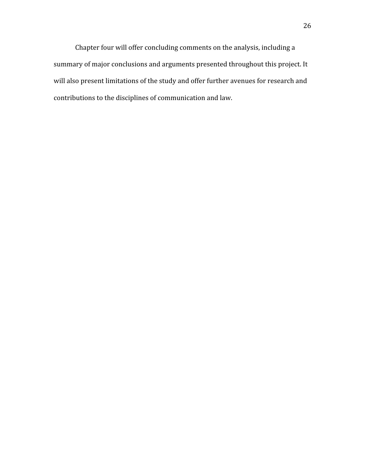Chapter
four
will
offer
concluding
comments
on
the
analysis,
including
a summary
of
major
conclusions
and
arguments
presented
throughout
this
project.
It will also present limitations of the study and offer further avenues for research and contributions
to
the
disciplines
of
communication
and
law.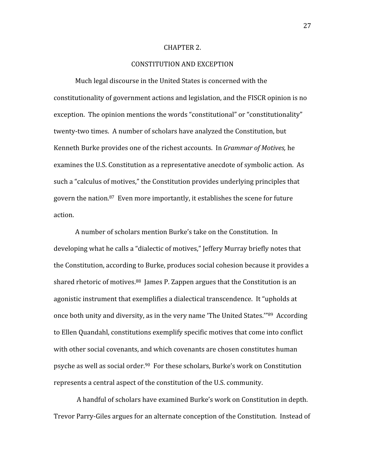#### CHAPTER
2.

## CONSTITUTION
AND
EXCEPTION

Much
legal
discourse
in
the
United
States
is
concerned
with
the constitutionality
of
government
actions
and
legislation,
and
the
FISCR
opinion
is
no exception. The opinion mentions the words "constitutional" or "constitutionality" twenty-two times. A number of scholars have analyzed the Constitution, but Kenneth Burke provides one of the richest accounts. In *Grammar of Motives*, he examines the U.S. Constitution as a representative anecdote of symbolic action. As such
a
"calculus
of
motives,"
the
Constitution
provides
underlying
principles
that govern
the
nation.87

Even
more
importantly,
it
establishes
the
scene
for
future action.

A
number
of
scholars
mention
Burke's
take
on
the
Constitution.

In developing what he calls a "dialectic of motives," Jeffery Murray briefly notes that the Constitution, according to Burke, produces social cohesion because it provides a shared rhetoric of motives.<sup>88</sup> James P. Zappen argues that the Constitution is an agonistic
instrument
that
exemplifies
a
dialectical
transcendence.

It
"upholds
at once
both
unity
and
diversity,
as
in
the
very
name
'The
United
States.'"89

According to Ellen Quandahl, constitutions exemplify specific motives that come into conflict with other social covenants, and which covenants are chosen constitutes human psyche
as
well
as
social
order.90

For
these
scholars,
Burke's
work
on
Constitution represents
a central
aspect
of
the
constitution
of
the
U.S.
community.

A
handful
of
scholars
have
examined
Burke's
work
on
Constitution
in
depth. Trevor Parry-Giles argues for an alternate conception of the Constitution. Instead of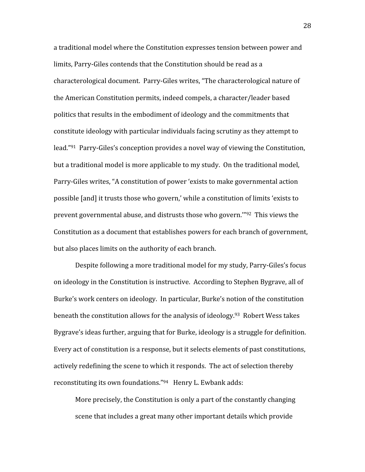a traditional model where the Constitution expresses tension between power and limits, Parry-Giles contends that the Constitution should be read as a characterological
document.

Parry‐Giles
writes,
"The
characterological
nature
of the
American
Constitution
permits,
indeed
compels,
a
character/leader
based politics
that
results
in
the
embodiment
of
ideology
and
the
commitments
that constitute
ideology
with
particular
individuals
facing
scrutiny
as
they
attempt
to lead."<sup>91</sup> Parry-Giles's conception provides a novel way of viewing the Constitution, but a traditional model is more applicable to my study. On the traditional model, Parry‐Giles
writes,
"A
constitution
of
power
'exists
to
make
governmental
action possible [and] it trusts those who govern,' while a constitution of limits 'exists to prevent
governmental
abuse,
and
distrusts
those
who
govern.'"92

This
views
the Constitution as a document that establishes powers for each branch of government, but
also
places
limits
on
the
authority
of
each
branch.

Despite
following
a
more
traditional
model
for
my
study,
Parry‐Giles's
focus on ideology in the Constitution is instructive. According to Stephen Bygrave, all of Burke's
work
centers
on
ideology.

In
particular,
Burke's
notion
of
the
constitution beneath the constitution allows for the analysis of ideology.<sup>93</sup> Robert Wess takes Bygrave's ideas further, arguing that for Burke, ideology is a struggle for definition. Every act of constitution is a response, but it selects elements of past constitutions, actively redefining the scene to which it responds. The act of selection thereby reconstituting its own foundations."<sup>94</sup> Henry L. Ewbank adds:

More precisely, the Constitution is only a part of the constantly changing scene
that
includes
a
great
many
other
important
details
which
provide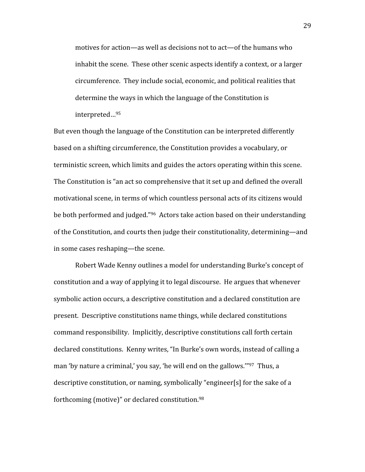motives
for
action—as
well
as
decisions
not
to
act—of
the
humans
who inhabit the scene. These other scenic aspects identify a context, or a larger circumference.

They
include
social,
economic,
and
political
realities
that determine
the
ways
in
which
the
language
of
the
Constitution
is interpreted…95

But even though the language of the Constitution can be interpreted differently based
on
a
shifting
circumference,
the
Constitution
provides
a
vocabulary,
or terministic screen, which limits and guides the actors operating within this scene. The Constitution is "an act so comprehensive that it set up and defined the overall motivational
scene,
in
terms
of
which
countless
personal
acts
of
its
citizens
would be both performed and judged."<sup>96</sup> Actors take action based on their understanding of
the
Constitution,
and
courts
then
judge
their
constitutionality,
determining—and in
some
cases
reshaping—the
scene.

Robert
Wade
Kenny
outlines
a
model
for
understanding
Burke's
concept
of constitution
and
a
way
of
applying
it
to
legal
discourse.

He
argues
that
whenever symbolic
action
occurs,
a
descriptive
constitution
and
a
declared
constitution
are present.

Descriptive
constitutions
name
things,
while
declared
constitutions command
responsibility.

Implicitly,
descriptive
constitutions
call
forth
certain declared
constitutions.

Kenny
writes,
"In
Burke's
own
words,
instead
of
calling
a man 'by nature a criminal,' you say, 'he will end on the gallows."<sup>97</sup> Thus, a descriptive constitution, or naming, symbolically "engineer[s] for the sake of a forthcoming
(motive)"
or
declared
constitution.98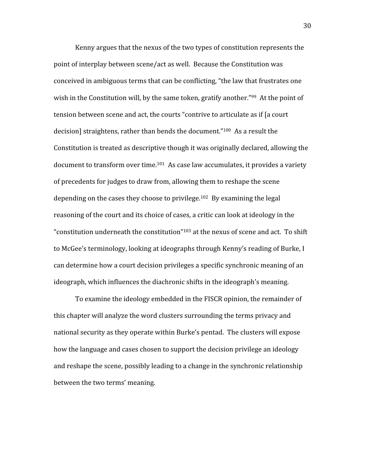Kenny argues that the nexus of the two types of constitution represents the point
of
interplay
between
scene/act
as
well.

Because
the
Constitution
was conceived
in
ambiguous
terms
that
can
be
conflicting,
"the
law
that
frustrates
one wish in the Constitution will, by the same token, gratify another."<sup>99</sup> At the point of tension between scene and act, the courts "contrive to articulate as if [a court decision] straightens, rather than bends the document."<sup>100</sup> As a result the Constitution is treated as descriptive though it was originally declared, allowing the document to transform over time.<sup>101</sup> As case law accumulates, it provides a variety of
precedents
for
judges
to
draw
from,
allowing
them
to
reshape
the
scene depending on the cases they choose to privilege.<sup>102</sup> By examining the legal reasoning of the court and its choice of cases, a critic can look at ideology in the "constitution underneath the constitution"<sup>103</sup> at the nexus of scene and act. To shift to
McGee's
terminology,
looking
at
ideographs
through
Kenny's
reading
of
Burke,
I can
determine
how
a
court
decision
privileges
a
specific
synchronic
meaning
of
an ideograph, which influences the diachronic shifts in the ideograph's meaning.

To
examine
the
ideology
embedded
in
the
FISCR
opinion,
the
remainder
of this
chapter
will
analyze
the
word
clusters
surrounding
the
terms
privacy
and national security as they operate within Burke's pentad. The clusters will expose how the language and cases chosen to support the decision privilege an ideology and
reshape
the
scene,
possibly
leading
to
a
change
in
the
synchronic
relationship between
the
two
terms'
meaning.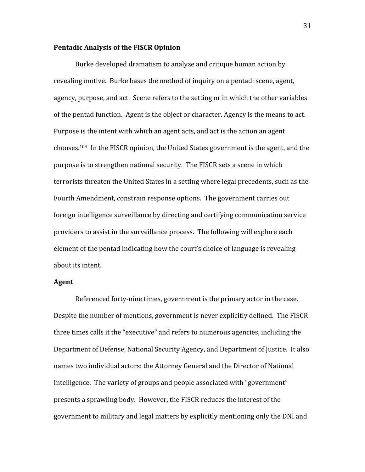### **Pentadic
Analysis
of
the
FISCR
Opinion**

Burke
developed
dramatism
to
analyze
and
critique
human
action
by revealing
motive. Burke
bases
the
method
of
inquiry
on
a
pentad:
scene,
agent, agency,
purpose,
and
act. Scene
refers
to
the
setting
or
in
which
the
other
variables of the pentad function. Agent is the object or character. Agency is the means to act. Purpose is the intent with which an agent acts, and act is the action an agent chooses.104

In
the
FISCR
opinion,
the
United
States
government
is
the
agent,
and
the purpose
is
to
strengthen
national
security.

The
FISCR
sets
a
scene
in
which terrorists threaten the United States in a setting where legal precedents, such as the Fourth
Amendment,
constrain
response
options.

The
government
carries
out foreign
intelligence
surveillance
by
directing
and
certifying
communication
service providers to assist in the surveillance process. The following will explore each element
of
the
pentad
indicating
how
the
court's
choice
of
language
is
revealing about
its
intent.

## **Agent**

Referenced forty-nine times, government is the primary actor in the case. Despite the number of mentions, government is never explicitly defined. The FISCR three
times
calls
it
the
"executive"
and
refers
to
numerous
agencies,
including
the Department of Defense, National Security Agency, and Department of Justice. It also names
two
individual
actors:
the
Attorney
General
and
the
Director
of
National Intelligence. The variety of groups and people associated with "government" presents
a
sprawling
body.

However,
the
FISCR
reduces
the
interest
of
the government
to
military
and
legal
matters
by
explicitly
mentioning
only
the
DNI
and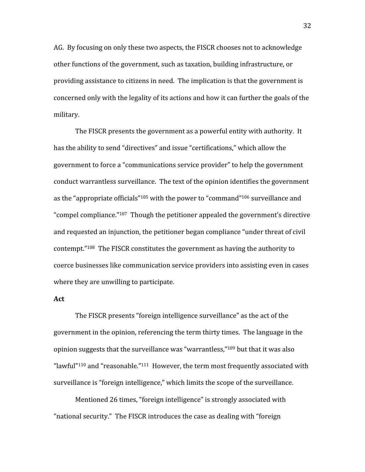AG.

By
focusing
on
only
these
two
aspects,
the
FISCR
chooses
not
to
acknowledge other functions of the government, such as taxation, building infrastructure, or providing assistance to citizens in need. The implication is that the government is concerned
only
with
the
legality
of
its
actions
and
how
it
can
further
the
goals
of
the military.

The FISCR presents the government as a powerful entity with authority. It has the ability to send "directives" and issue "certifications," which allow the government
to
force
a
"communications
service
provider"
to
help
the
government conduct
warrantless
surveillance.

The
text
of
the
opinion
identifies
the
government as the "appropriate officials"<sup>105</sup> with the power to "command"<sup>106</sup> surveillance and "compel compliance."<sup>107</sup> Though the petitioner appealed the government's directive and requested an injunction, the petitioner began compliance "under threat of civil contempt."108

The
FISCR
constitutes
the
government
as
having
the
authority
to coerce businesses like communication service providers into assisting even in cases where they are unwilling to participate.

### **Act**

The
FISCR
presents
"foreign
intelligence
surveillance"
as
the
act
of
the government in the opinion, referencing the term thirty times. The language in the opinion suggests that the surveillance was "warrantless,"<sup>109</sup> but that it was also "lawful"<sup>110</sup> and "reasonable."<sup>111</sup> However, the term most frequently associated with surveillance is "foreign intelligence," which limits the scope of the surveillance.

Mentioned 26 times, "foreign intelligence" is strongly associated with "national
security."

The
FISCR
introduces
the
case
as
dealing
with
"foreign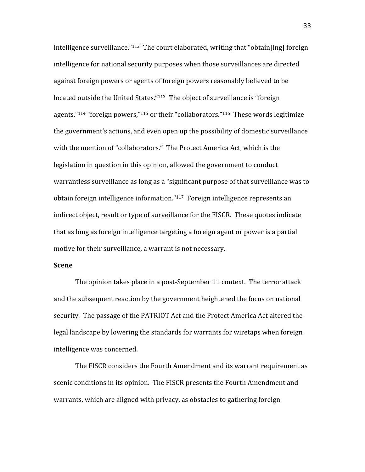intelligence surveillance."<sup>112</sup> The court elaborated, writing that "obtain[ing] foreign intelligence
for
national
security
purposes
when
those
surveillances
are
directed against foreign powers or agents of foreign powers reasonably believed to be located outside the United States."<sup>113</sup> The object of surveillance is "foreign agents," $114$  "foreign powers," $115$  or their "collaborators." $116$  These words legitimize the
government's
actions,
and
even
open
up
the
possibility
of
domestic
surveillance with the mention of "collaborators." The Protect America Act, which is the legislation in question in this opinion, allowed the government to conduct warrantless surveillance as long as a "significant purpose of that surveillance was to obtain foreign intelligence information."<sup>117</sup> Foreign intelligence represents an indirect object, result or type of surveillance for the FISCR. These quotes indicate that as long as foreign intelligence targeting a foreign agent or power is a partial motive
for
their
surveillance,
a
warrant
is
not
necessary.

## **Scene**

The opinion takes place in a post-September 11 context. The terror attack and
the
subsequent
reaction
by
the
government
heightened
the
focus
on
national security. The passage of the PATRIOT Act and the Protect America Act altered the legal landscape by lowering the standards for warrants for wiretaps when foreign intelligence
was
concerned.

The FISCR considers the Fourth Amendment and its warrant requirement as scenic conditions in its opinion. The FISCR presents the Fourth Amendment and warrants, which are aligned with privacy, as obstacles to gathering foreign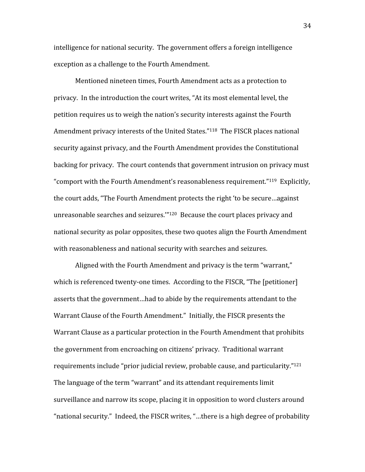intelligence
for
national
security.

The
government
offers
a
foreign
intelligence exception
as
a
challenge
to
the
Fourth
Amendment.

Mentioned
nineteen
times,
Fourth
Amendment
acts
as
a
protection
to privacy.

In
the
introduction
the
court
writes,
"At
its
most
elemental
level,
the petition
requires
us
to
weigh
the
nation's
security
interests
against
the
Fourth Amendment privacy interests of the United States."<sup>118</sup> The FISCR places national security
against
privacy,
and
the
Fourth
Amendment
provides
the
Constitutional backing
for
privacy.

The
court
contends
that
government
intrusion
on
privacy
must "comport with the Fourth Amendment's reasonableness requirement."<sup>119</sup> Explicitly, the court adds, "The Fourth Amendment protects the right 'to be secure...against unreasonable searches and seizures."<sup>120</sup> Because the court places privacy and national
security
as
polar
opposites,
these
two
quotes
align
the
Fourth
Amendment with reasonableness and national security with searches and seizures.

Aligned with the Fourth Amendment and privacy is the term "warrant," which is referenced twenty-one times. According to the FISCR, "The [petitioner] asserts
that
the
government…had
to
abide
by
the
requirements
attendant
to
the Warrant Clause of the Fourth Amendment." Initially, the FISCR presents the Warrant Clause as a particular protection in the Fourth Amendment that prohibits the
government
from
encroaching
on
citizens'
privacy.

Traditional
warrant requirements include "prior judicial review, probable cause, and particularity."<sup>121</sup> The language of the term "warrant" and its attendant requirements limit surveillance and narrow its scope, placing it in opposition to word clusters around "national
security."

Indeed,
the
FISCR
writes,
"…there
is
a
high
degree
of
probability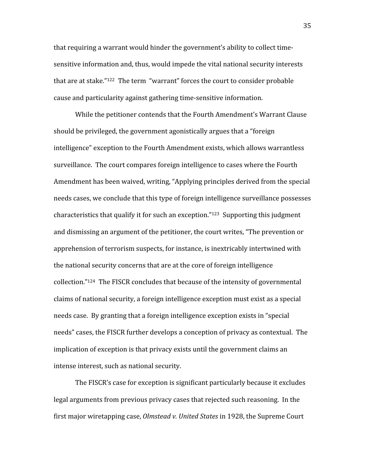that requiring a warrant would hinder the government's ability to collect timesensitive information and, thus, would impede the vital national security interests that are at stake."<sup>122</sup> The term "warrant" forces the court to consider probable cause
and
particularity
against
gathering
time‐sensitive
information.

While the petitioner contends that the Fourth Amendment's Warrant Clause should
be
privileged,
the
government
agonistically
argues
that
a
"foreign intelligence"
exception
to
the
Fourth
Amendment
exists,
which
allows
warrantless surveillance. The court compares foreign intelligence to cases where the Fourth Amendment
has
been
waived,
writing,
"Applying
principles
derived
from
the
special needs
cases,
we
conclude
that
this
type
of
foreign
intelligence
surveillance
possesses characteristics
that
qualify
it
for
such
an
exception."123

Supporting
this
judgment and dismissing an argument of the petitioner, the court writes, "The prevention or apprehension
of
terrorism
suspects,
for
instance,
is
inextricably
intertwined
with the
national
security
concerns
that
are
at
the
core
of
foreign
intelligence collection."124

The
FISCR
concludes
that
because
of
the
intensity
of
governmental claims
of
national
security,
a
foreign
intelligence
exception
must
exist
as
a
special needs
case.

By
granting
that
a
foreign
intelligence
exception
exists
in
"special needs" cases, the FISCR further develops a conception of privacy as contextual. The implication of exception is that privacy exists until the government claims an intense
interest,
such
as
national
security.

The FISCR's case for exception is significant particularly because it excludes legal arguments from previous privacy cases that rejected such reasoning. In the first major wiretapping case, *Olmstead v. United States* in 1928, the Supreme Court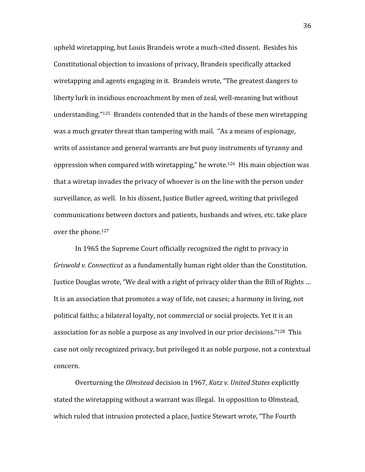upheld wiretapping, but Louis Brandeis wrote a much-cited dissent. Besides his Constitutional
objection
to
invasions
of
privacy,
Brandeis
specifically
attacked wiretapping and agents engaging in it. Brandeis wrote, "The greatest dangers to liberty lurk in insidious encroachment by men of zeal, well-meaning but without understanding."<sup>125</sup> Brandeis contended that in the hands of these men wiretapping was a much greater threat than tampering with mail. "As a means of espionage, writs of assistance and general warrants are but puny instruments of tyranny and oppression
when
compared
with
wiretapping,"
he
wrote.126

His
main
objection
was that a wiretap invades the privacy of whoever is on the line with the person under surveillance, as well. In his dissent, Justice Butler agreed, writing that privileged communications
between
doctors
and
patients,
husbands
and
wives,
etc.
take
place over
the
phone.127

In
1965
the
Supreme
Court
officially
recognized
the
right
to
privacy
in Griswold v. Connecticut as a fundamentally human right older than the Constitution. Justice Douglas wrote, "We deal with a right of privacy older than the Bill of Rights ... It is an association that promotes a way of life, not causes; a harmony in living, not political faiths; a bilateral loyalty, not commercial or social projects. Yet it is an association for as noble a purpose as any involved in our prior decisions."<sup>128</sup> This case
not
only
recognized
privacy,
but
privileged
it
as
noble
purpose,
not
a
contextual concern.

Overturning
the *Olmstead*decision
in
1967, *Katz
v.
United
States*explicitly stated
the
wiretapping
without
a
warrant
was
illegal.

In
opposition
to
Olmstead, which ruled that intrusion protected a place, Justice Stewart wrote, "The Fourth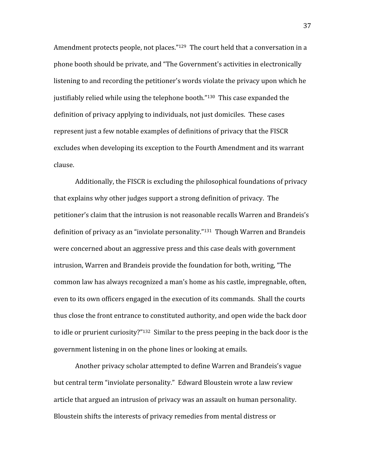Amendment protects people, not places."<sup>129</sup> The court held that a conversation in a phone
booth
should
be
private,
and
"The
Government's
activities
in
electronically listening to and recording the petitioner's words violate the privacy upon which he justifiably relied while using the telephone booth."<sup>130</sup> This case expanded the definition of privacy applying to individuals, not just domiciles. These cases represent just a few notable examples of definitions of privacy that the FISCR excludes when developing its exception to the Fourth Amendment and its warrant clause.

Additionally,
the
FISCR
is
excluding
the
philosophical
foundations
of
privacy that
explains
why
other
judges
support
a
strong
definition
of
privacy.

The petitioner's
claim
that
the
intrusion
is
not
reasonable
recalls
Warren
and
Brandeis's definition of privacy as an "inviolate personality."<sup>131</sup> Though Warren and Brandeis were concerned about an aggressive press and this case deals with government intrusion, Warren and Brandeis provide the foundation for both, writing, "The common
law
has
always
recognized
a
man's
home
as
his
castle,
impregnable,
often, even
to
its
own
officers
engaged
in
the
execution
of
its
commands.

Shall
the
courts thus
close
the
front
entrance
to
constituted
authority,
and
open
wide
the
back
door to idle or prurient curiosity?"<sup>132</sup> Similar to the press peeping in the back door is the government
listening
in
on
the
phone
lines
or
looking
at
emails.

Another privacy scholar attempted to define Warren and Brandeis's vague but
central
term
"inviolate
personality."

Edward
Bloustein
wrote
a
law
review article
that
argued
an
intrusion
of
privacy
was
an
assault
on
human
personality. Bloustein shifts the interests of privacy remedies from mental distress or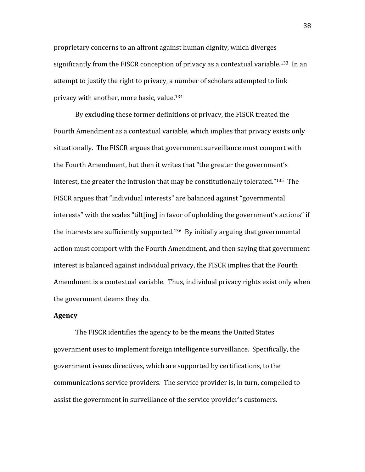proprietary
concerns
to
an
affront
against
human
dignity,
which
diverges significantly from the FISCR conception of privacy as a contextual variable.<sup>133</sup> In an attempt to justify the right to privacy, a number of scholars attempted to link privacy
with
another,
more
basic,
value.134

By
excluding
these
former
definitions
of
privacy,
the
FISCR
treated
the Fourth Amendment as a contextual variable, which implies that privacy exists only situationally. The FISCR argues that government surveillance must comport with the Fourth Amendment, but then it writes that "the greater the government's interest, the greater the intrusion that may be constitutionally tolerated." $135$  The FISCR
argues
that
"individual
interests"
are
balanced
against
"governmental interests" with the scales "tilt[ing] in favor of upholding the government's actions" if the
interests
are
sufficiently
supported.136

By
initially
arguing
that
governmental action
must
comport
with
the
Fourth
Amendment,
and
then
saying
that
government interest
is
balanced
against
individual
privacy,
the
FISCR
implies
that
the
Fourth Amendment
is
a
contextual
variable.

Thus,
individual
privacy
rights
exist
only
when the
government
deems
they
do.

## **Agency**

The
FISCR
identifies
the
agency
to
be
the
means
the
United
States government
uses
to
implement
foreign
intelligence
surveillance.

Specifically,
the government
issues
directives,
which
are
supported
by
certifications,
to
the communications
service
providers.

The
service
provider
is,
in
turn,
compelled
to assist
the
government
in
surveillance
of
the
service
provider's
customers.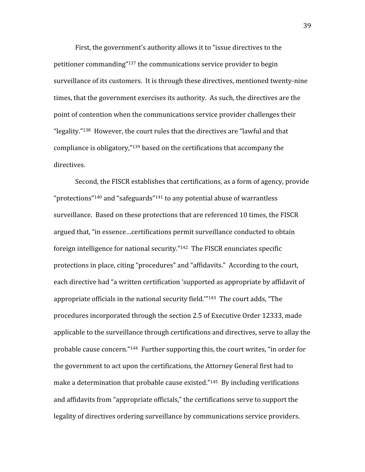First, the government's authority allows it to "issue directives to the petitioner
commanding"137
the
communications
service
provider
to
begin surveillance of its customers. It is through these directives, mentioned twenty-nine times,
that
the
government
exercises
its
authority.

As
such,
the
directives
are
the point
of
contention
when
the
communications
service
provider
challenges
their "legality."<sup>138</sup> However, the court rules that the directives are "lawful and that compliance
is
obligatory,"139
based
on
the
certifications
that
accompany
the directives.

Second,
the
FISCR
establishes
that
certifications,
as
a
form
of
agency,
provide "protections"<sup>140</sup> and "safeguards"<sup>141</sup> to any potential abuse of warrantless surveillance. Based on these protections that are referenced 10 times, the FISCR argued
that,
"in
essence…certifications
permit
surveillance
conducted
to
obtain foreign intelligence for national security."<sup>142</sup> The FISCR enunciates specific protections in place, citing "procedures" and "affidavits." According to the court, each directive had "a written certification 'supported as appropriate by affidavit of appropriate officials in the national security field."<sup>143</sup> The court adds, "The procedures
incorporated
through
the
section
2.5
of
Executive
Order
12333,
made applicable to the surveillance through certifications and directives, serve to allay the probable
cause
concern."144

Further
supporting
this,
the
court
writes,
"in
order
for the
government
to
act
upon
the
certifications,
the
Attorney
General
first
had
to make a determination that probable cause existed."<sup>145</sup> By including verifications and
affidavits
from
"appropriate
officials,"
the
certifications
serve
to
support
the legality of directives ordering surveillance by communications service providers.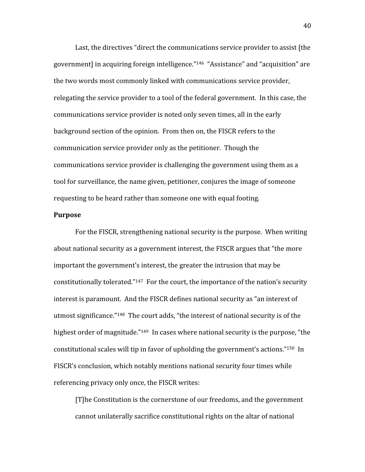Last, the directives "direct the communications service provider to assist [the government] in acquiring foreign intelligence."<sup>146</sup> "Assistance" and "acquisition" are the
two
words
most
commonly
linked
with
communications
service
provider, relegating the service provider to a tool of the federal government. In this case, the communications
service
provider
is
noted
only
seven
times,
all
in
the
early background section of the opinion. From then on, the FISCR refers to the communication
service
provider
only
as
the
petitioner.

Though
the communications service provider is challenging the government using them as a tool
for
surveillance,
the
name
given,
petitioner,
conjures
the
image
of
someone requesting
to
be
heard
rather
than
someone
one
with
equal
footing.

# **Purpose**

For
the
FISCR,
strengthening
national
security
is
the
purpose.

When
writing about
national
security
as
a
government
interest,
the
FISCR
argues
that
"the
more important the government's interest, the greater the intrusion that may be constitutionally tolerated."<sup>147</sup> For the court, the importance of the nation's security interest is paramount. And the FISCR defines national security as "an interest of utmost significance."<sup>148</sup> The court adds, "the interest of national security is of the highest order of magnitude."<sup>149</sup> In cases where national security is the purpose, "the constitutional
scales
will
tip
in
favor
of
upholding
the
government's
actions."150

In FISCR's conclusion, which notably mentions national security four times while referencing
privacy
only
once,
the
FISCR
writes:

[T] he Constitution is the cornerstone of our freedoms, and the government cannot
unilaterally
sacrifice
constitutional
rights
on
the
altar
of
national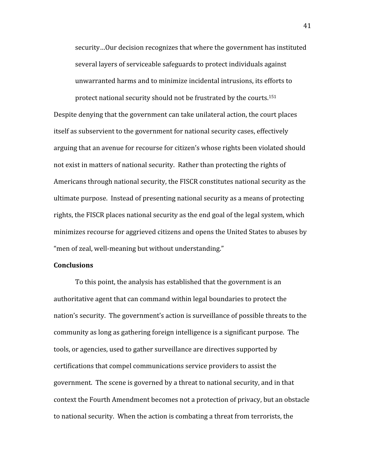security…Our
decision
recognizes
that
where
the
government
has
instituted several layers of serviceable safeguards to protect individuals against unwarranted
harms
and
to
minimize
incidental
intrusions,
its
efforts
to

protect
national
security
should
not
be
frustrated
by
the
courts.151 Despite denying that the government can take unilateral action, the court places itself as subservient to the government for national security cases, effectively arguing
that
an
avenue
for
recourse
for
citizen's
whose
rights
been
violated
should not
exist
in
matters
of
national
security.

Rather
than
protecting
the
rights
of Americans through national security, the FISCR constitutes national security as the ultimate purpose. Instead of presenting national security as a means of protecting rights, the FISCR places national security as the end goal of the legal system, which minimizes
recourse
for
aggrieved
citizens
and
opens
the
United
States
to
abuses
by "men
of
zeal,
well‐meaning
but
without
understanding."

# **Conclusions**

To this point, the analysis has established that the government is an authoritative
agent
that
can
command
within
legal
boundaries
to
protect
the nation's security. The government's action is surveillance of possible threats to the community
as
long
as
gathering
foreign
intelligence
is
a
significant
purpose.

The tools,
or
agencies,
used
to
gather
surveillance
are
directives
supported
by certifications
that
compel
communications
service
providers
to
assist
the government. The scene is governed by a threat to national security, and in that context
the
Fourth
Amendment
becomes
not
a
protection
of
privacy,
but
an
obstacle to national security. When the action is combating a threat from terrorists, the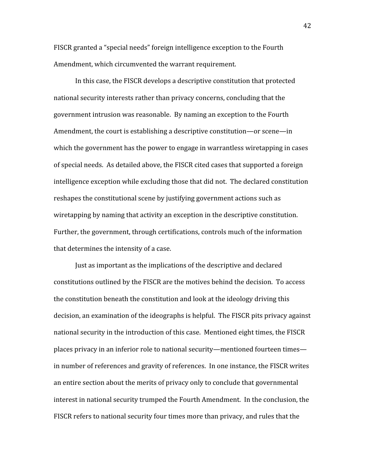FISCR granted a "special needs" foreign intelligence exception to the Fourth Amendment,
which
circumvented
the
warrant
requirement.

In
this
case,
the
FISCR
develops
a
descriptive
constitution
that
protected national
security
interests
rather
than
privacy
concerns,
concluding
that
the government
intrusion
was
reasonable.

By
naming
an
exception
to
the
Fourth Amendment,
the
court
is
establishing
a
descriptive
constitution—or
scene—in which the government has the power to engage in warrantless wiretapping in cases of
special
needs.

As
detailed
above,
the
FISCR
cited
cases
that
supported
a
foreign intelligence exception while excluding those that did not. The declared constitution reshapes
the
constitutional
scene
by
justifying
government
actions
such
as wiretapping by naming that activity an exception in the descriptive constitution. Further, the government, through certifications, controls much of the information that
determines
the
intensity
of
a
case.

Just as important as the implications of the descriptive and declared constitutions
outlined
by
the
FISCR
are
the
motives
behind
the
decision.

To
access the
constitution
beneath
the
constitution
and
look
at
the
ideology
driving
this decision,
an
examination
of
the
ideographs
is
helpful.

The
FISCR
pits
privacy
against national security in the introduction of this case. Mentioned eight times, the FISCR places
privacy
in
an
inferior
role
to
national
security—mentioned
fourteen
times in
number
of
references
and
gravity
of
references.

In
one
instance,
the
FISCR
writes an
entire
section
about
the
merits
of
privacy
only
to
conclude
that
governmental interest
in
national
security
trumped
the
Fourth
Amendment.

In
the
conclusion,
the FISCR refers to national security four times more than privacy, and rules that the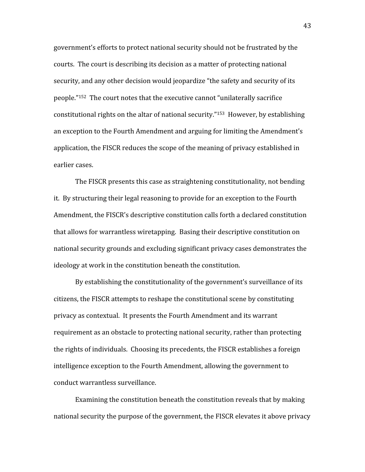government's
efforts
to
protect
national
security
should
not
be
frustrated
by
the courts. The court is describing its decision as a matter of protecting national security, and any other decision would jeopardize "the safety and security of its people."152

The
court
notes
that
the
executive
cannot
"unilaterally
sacrifice constitutional
rights
on
the
altar
of
national
security."153

However,
by
establishing an
exception
to
the
Fourth
Amendment
and
arguing
for
limiting
the
Amendment's application,
the
FISCR
reduces
the
scope
of
the
meaning
of
privacy
established
in earlier
cases.

The FISCR presents this case as straightening constitutionality, not bending it.

By
structuring
their
legal
reasoning
to
provide
for
an
exception
to
the
Fourth Amendment,
the
FISCR's
descriptive
constitution
calls
forth
a
declared
constitution that
allows
for
warrantless
wiretapping.

Basing
their
descriptive
constitution
on national security grounds and excluding significant privacy cases demonstrates the ideology at work in the constitution beneath the constitution.

By establishing the constitutionality of the government's surveillance of its citizens,
the
FISCR
attempts
to
reshape
the
constitutional
scene
by
constituting privacy
as
contextual.

It
presents
the
Fourth
Amendment
and
its
warrant requirement as an obstacle to protecting national security, rather than protecting the
rights
of
individuals.

Choosing
its
precedents,
the
FISCR
establishes
a
foreign intelligence
exception
to
the
Fourth
Amendment,
allowing
the
government
to conduct
warrantless
surveillance.

Examining
the
constitution
beneath
the
constitution
reveals
that
by
making national
security
the
purpose
of
the
government,
the
FISCR
elevates
it
above
privacy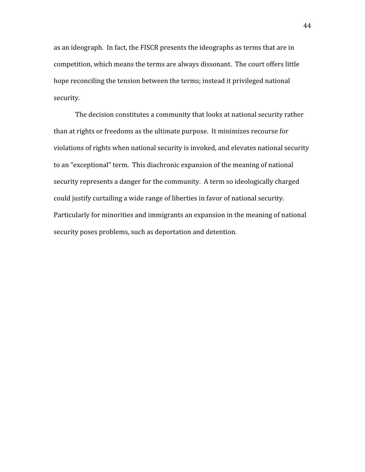as
an
ideograph.

In
fact,
the
FISCR
presents
the
ideographs
as
terms
that
are
in competition,
which
means
the
terms
are
always
dissonant.

The
court
offers little hope reconciling the tension between the terms; instead it privileged national security.

The
decision
constitutes
a
community
that
looks
at
national
security
rather than
at
rights
or
freedoms
as
the
ultimate
purpose.

It
minimizes
recourse
for violations of rights when national security is invoked, and elevates national security to
an
"exceptional"
term.

This
diachronic
expansion
of
the
meaning
of
national security represents a danger for the community. A term so ideologically charged could
justify
curtailing
a
wide
range
of
liberties
in
favor
of
national
security. Particularly for minorities and immigrants an expansion in the meaning of national security
poses
problems,
such
as
deportation
and
detention.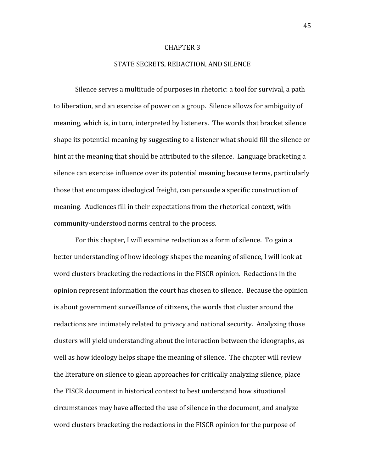#### CHAPTER
3

#### STATE
SECRETS,
REDACTION,
AND
SILENCE

Silence
serves
a
multitude
of
purposes
in
rhetoric:
a
tool
for
survival,
a
path to
liberation,
and
an
exercise
of
power
on
a
group.

Silence
allows
for
ambiguity
of meaning,
which
is,
in
turn,
interpreted
by
listeners.

The
words
that
bracket
silence shape its potential meaning by suggesting to a listener what should fill the silence or hint at the meaning that should be attributed to the silence. Language bracketing a silence
can
exercise
influence
over
its
potential
meaning
because
terms,
particularly those
that
encompass
ideological
freight,
can
persuade
a
specific
construction
of meaning. Audiences fill in their expectations from the rhetorical context, with community‐understood
norms
central
to
the
process.

For this chapter, I will examine redaction as a form of silence. To gain a better
understanding
of
how
ideology
shapes
the
meaning
of
silence,
I
will
look
at word clusters bracketing the redactions in the FISCR opinion. Redactions in the opinion represent information the court has chosen to silence. Because the opinion is
about
government
surveillance
of
citizens,
the
words
that
cluster
around
the redactions are intimately related to privacy and national security. Analyzing those clusters
will
yield
understanding
about
the
interaction
between
the
ideographs,
as well as how ideology helps shape the meaning of silence. The chapter will review the
literature
on
silence
to
glean
approaches
for
critically
analyzing
silence,
place the FISCR document in historical context to best understand how situational circumstances
may
have
affected
the
use
of
silence
in
the
document,
and
analyze word clusters bracketing the redactions in the FISCR opinion for the purpose of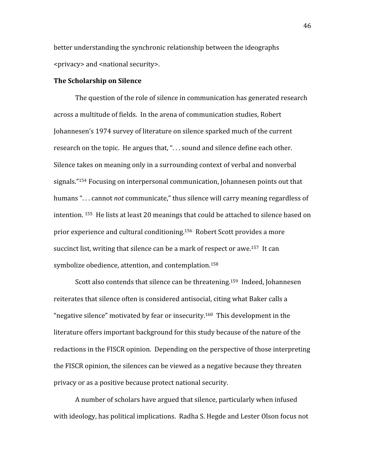better
understanding
the
synchronic
relationship
between
the
ideographs <privacy> and <national security>.

### **The
Scholarship
on
Silence**

The
question
of
the
role
of
silence
in
communication
has
generated
research across
a
multitude
of
fields.

In
the
arena
of
communication
studies,
Robert Johannesen's
1974
survey
of
literature
on
silence
sparked
much
of
the
current research on the topic. He argues that, "... sound and silence define each other. Silence takes on meaning only in a surrounding context of verbal and nonverbal signals."<sup>154</sup> Focusing on interpersonal communication, Johannesen points out that humans "... cannot *not* communicate," thus silence will carry meaning regardless of intention.<sup>155</sup> He lists at least 20 meanings that could be attached to silence based on prior
experience
and
cultural
conditioning.156

Robert
Scott
provides
a
more succinct list, writing that silence can be a mark of respect or awe.<sup>157</sup> It can symbolize obedience, attention, and contemplation.<sup>158</sup>

Scott also contends that silence can be threatening.<sup>159</sup> Indeed, Johannesen reiterates that silence often is considered antisocial, citing what Baker calls a "negative
silence"
motivated
by
fear
or
insecurity.160

This
development
in
the literature offers important background for this study because of the nature of the redactions
in
the
FISCR
opinion.

Depending
on
the
perspective
of
those
interpreting the FISCR opinion, the silences can be viewed as a negative because they threaten privacy
or
as
a
positive
because
protect
national
security.

A
number
of
scholars
have
argued
that
silence,
particularly
when
infused with ideology, has political implications. Radha S. Hegde and Lester Olson focus not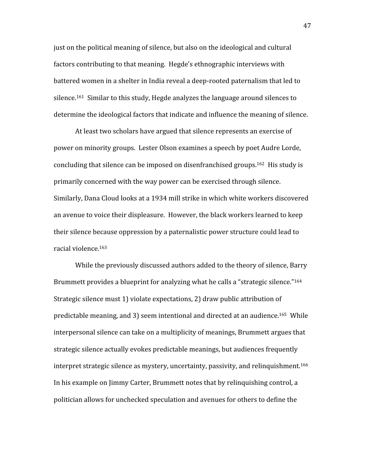just
on
the
political
meaning
of
silence,
but
also
on
the
ideological
and
cultural factors contributing to that meaning. Hegde's ethnographic interviews with battered women in a shelter in India reveal a deep-rooted paternalism that led to silence.161

Similar
to
this
study,
Hegde
analyzes
the
language
around
silences
to determine the ideological factors that indicate and influence the meaning of silence.

At
least
two
scholars
have
argued
that
silence
represents
an
exercise
of power
on
minority
groups.

Lester
Olson
examines
a
speech
by
poet
Audre
Lorde, concluding
that
silence
can
be
imposed
on
disenfranchised
groups.162

His
study
is primarily
concerned
with
the
way
power
can
be
exercised
through
silence. Similarly,
Dana
Cloud
looks
at
a
1934
mill
strike
in
which
white
workers
discovered an
avenue
to
voice
their
displeasure.

However,
the
black
workers
learned
to
keep their
silence
because
oppression
by
a
paternalistic
power
structure
could
lead
to racial
violence.163

While the previously discussed authors added to the theory of silence, Barry Brummett provides a blueprint for analyzing what he calls a "strategic silence."<sup>164</sup> Strategic
silence
must
1)
violate
expectations,
2)
draw
public
attribution
of predictable
meaning,
and
3)
seem
intentional
and
directed
at
an
audience.165

While interpersonal silence can take on a multiplicity of meanings, Brummett argues that strategic
silence
actually
evokes
predictable
meanings,
but
audiences
frequently interpret strategic silence as mystery, uncertainty, passivity, and relinquishment.<sup>166</sup> In
his
example
on
Jimmy
Carter,
Brummett
notes
that
by
relinquishing
control,
a politician
allows
for
unchecked
speculation
and
avenues
for
others
to
define
the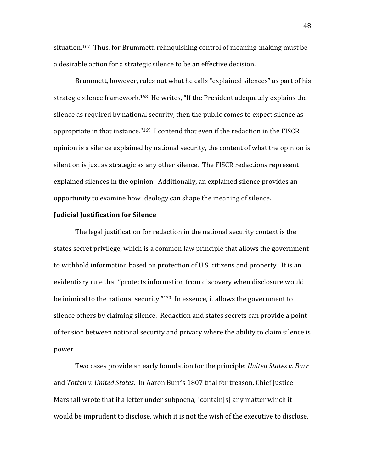situation.<sup>167</sup> Thus, for Brummett, relinguishing control of meaning-making must be a desirable action for a strategic silence to be an effective decision.

Brummett, however, rules out what he calls "explained silences" as part of his strategic silence framework.<sup>168</sup> He writes, "If the President adequately explains the silence
as
required
by
national
security,
then
the
public
comes
to
expect
silence
as appropriate in that instance."<sup>169</sup> I contend that even if the redaction in the FISCR opinion
is
a
silence
explained
by
national
security,
the
content
of
what
the
opinion
is silent on is just as strategic as any other silence. The FISCR redactions represent explained silences in the opinion. Additionally, an explained silence provides an opportunity
to
examine
how
ideology
can
shape
the
meaning
of
silence.

# **Judicial
Justification
for
Silence**

The
legal
justification
for
redaction
in
the
national
security
context
is
the states
secret
privilege,
which
is
a
common
law
principle
that
allows
the
government to withhold information based on protection of U.S. citizens and property. It is an evidentiary rule that "protects information from discovery when disclosure would be inimical to the national security."<sup>170</sup> In essence, it allows the government to silence others by claiming silence. Redaction and states secrets can provide a point of tension between national security and privacy where the ability to claim silence is power.

Two cases provide an early foundation for the principle: United States v. Burr and *Totten
v.
United
States*.

In
Aaron
Burr's
1807
trial
for
treason,
Chief
Justice Marshall wrote that if a letter under subpoena, "contain[s] any matter which it would be imprudent to disclose, which it is not the wish of the executive to disclose,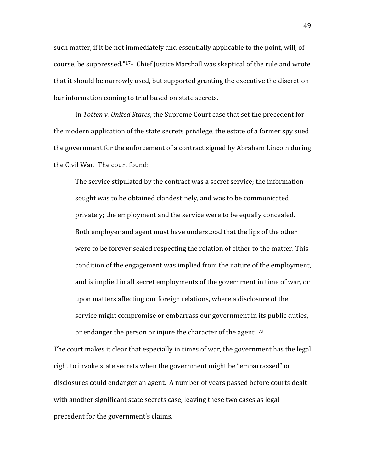such matter, if it be not immediately and essentially applicable to the point, will, of course,
be
suppressed."171

Chief
Justice
Marshall
was
skeptical
of
the
rule
and
wrote that
it
should
be
narrowly
used,
but
supported
granting
the
executive
the
discretion bar
information
coming
to
trial
based
on
state
secrets.

In Totten v. United States, the Supreme Court case that set the precedent for the modern application of the state secrets privilege, the estate of a former spy sued the
government
for
the
enforcement
of
a
contract
signed
by
Abraham
Lincoln
during the Civil War. The court found:

The
service
stipulated
by
the
contract
was
a
secret
service;
the
information sought was to be obtained clandestinely, and was to be communicated privately;
the
employment
and
the
service
were
to
be
equally
concealed. Both employer and agent must have understood that the lips of the other were to be forever sealed respecting the relation of either to the matter. This condition
of
the
engagement
was
implied
from
the
nature
of
the
employment, and
is
implied
in
all
secret
employments
of
the
government
in
time
of
war,
or upon
matters
affecting
our
foreign
relations,
where
a
disclosure
of
the service
might
compromise
or
embarrass
our
government
in
its
public
duties, or endanger the person or injure the character of the agent.<sup>172</sup>

The court makes it clear that especially in times of war, the government has the legal right to invoke state secrets when the government might be "embarrassed" or disclosures
could
endanger
an
agent.

A
number
of
years
passed
before
courts
dealt with another significant state secrets case, leaving these two cases as legal precedent
for
the
government's
claims.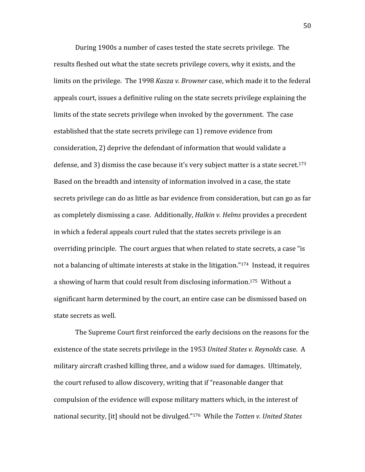During
1900s
a
number
of
cases
tested
the
state
secrets
privilege.

The results fleshed out what the state secrets privilege covers, why it exists, and the limits on the privilege. The 1998 *Kasza v. Browner* case, which made it to the federal appeals
court,
issues
a
definitive
ruling
on
the
state
secrets
privilege
explaining
the limits of the state secrets privilege when invoked by the government. The case established that the state secrets privilege can 1) remove evidence from consideration,
2)
deprive
the
defendant
of
information
that
would
validate
a defense, and 3) dismiss the case because it's very subject matter is a state secret.<sup>173</sup> Based on the breadth and intensity of information involved in a case, the state secrets privilege can do as little as bar evidence from consideration, but can go as far as completely dismissing a case. Additionally, Halkin v. Helms provides a precedent in which a federal appeals court ruled that the states secrets privilege is an overriding
principle.

The
court
argues
that
when
related
to
state
secrets,
a
case
"is not a balancing of ultimate interests at stake in the litigation."<sup>174</sup> Instead, it requires a showing of harm that could result from disclosing information.<sup>175</sup> Without a significant
harm
determined
by
the
court,
an
entire
case
can
be
dismissed
based
on state
secrets
as
well.

The
Supreme
Court
first
reinforced
the
early
decisions
on
the
reasons
for
the existence of the state secrets privilege in the 1953 United States v. Reynolds case. A military
aircraft
crashed
killing
three,
and
a
widow
sued
for
damages.

Ultimately, the
court
refused
to
allow
discovery,
writing
that
if
"reasonable
danger
that compulsion
of
the
evidence
will
expose
military
matters
which,
in
the
interest
of national
security,
[it]
should
not
be
divulged."176

While
the *Totten
v.
United
States*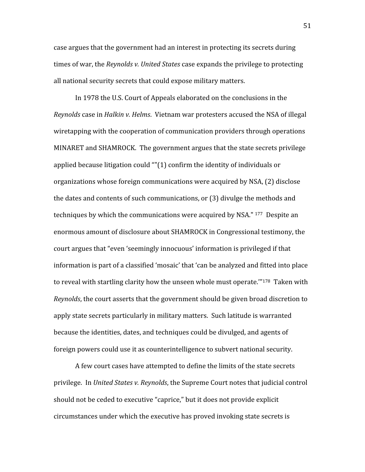case
argues
that
the
government
had
an
interest
in
protecting
its
secrets
during times
of
war,
the *Reynolds
v.
United
States*case
expands
the
privilege
to
protecting all
national
security
secrets
that
could
expose
military
matters.

In
1978
the
U.S.
Court
of
Appeals
elaborated
on
the
conclusions
in
the Reynolds case in Halkin v. Helms. Vietnam war protesters accused the NSA of illegal wiretapping with the cooperation of communication providers through operations MINARET
and
SHAMROCK.

The
government
argues
that
the
state
secrets
privilege applied
because
litigation
could
""(1)
confirm
the
identity
of
individuals
or organizations
whose
foreign
communications
were
acquired
by
NSA,
(2)
disclose the
dates
and
contents
of
such
communications,
or
(3)
divulge
the
methods
and techniques by which the communications were acquired by NSA." <sup>177</sup> Despite an enormous
amount
of
disclosure
about
SHAMROCK
in
Congressional
testimony,
the court
argues
that
"even
'seemingly
innocuous'
information
is
privileged
if
that information is part of a classified 'mosaic' that 'can be analyzed and fitted into place to reveal with startling clarity how the unseen whole must operate."<sup>178</sup> Taken with Reynolds, the court asserts that the government should be given broad discretion to apply
state
secrets
particularly
in
military
matters. Such
latitude
is
warranted because
the
identities,
dates,
and
techniques
could
be
divulged,
and
agents
of foreign
powers
could
use
it
as
counterintelligence
to
subvert
national
security.

A
few
court
cases
have
attempted
to
define
the
limits
of
the
state
secrets privilege.

In *United
States
v.
Reynolds*,
the
Supreme
Court
notes
that
judicial
control should not be ceded to executive "caprice," but it does not provide explicit circumstances
under
which
the
executive
has
proved
invoking
state
secrets
is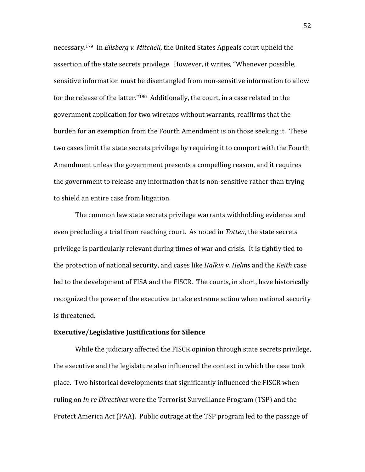necessary.<sup>179</sup> In *Ellsberg v. Mitchell*, the United States Appeals court upheld the assertion
of
the
state
secrets
privilege.

However,
it
writes,
"Whenever
possible, sensitive information must be disentangled from non-sensitive information to allow for the release of the latter."<sup>180</sup> Additionally, the court, in a case related to the government
application
for
two
wiretaps
without
warrants,
reaffirms
that
the burden for an exemption from the Fourth Amendment is on those seeking it. These two cases limit the state secrets privilege by requiring it to comport with the Fourth Amendment unless the government presents a compelling reason, and it requires the government to release any information that is non-sensitive rather than trying to
shield
an
entire
case
from
litigation.

The
common
law
state
secrets
privilege
warrants
withholding
evidence
and even precluding a trial from reaching court. As noted in Totten, the state secrets privilege
is
particularly
relevant
during
times
of
war
and
crisis.

It
is
tightly
tied
to the
protection
of
national
security,
and
cases
like *Halkin
v.
Helms*and
the *Keith*case led to the development of FISA and the FISCR. The courts, in short, have historically recognized the power of the executive to take extreme action when national security is
threatened.

# **Executive/Legislative
Justifications
for
Silence**

While the judiciary affected the FISCR opinion through state secrets privilege, the
executive
and
the
legislature
also
influenced
the
context
in
which
the
case
took place.

Two
historical
developments
that
significantly
influenced
the
FISCR
when ruling on *In re Directives* were the Terrorist Surveillance Program (TSP) and the Protect America Act (PAA). Public outrage at the TSP program led to the passage of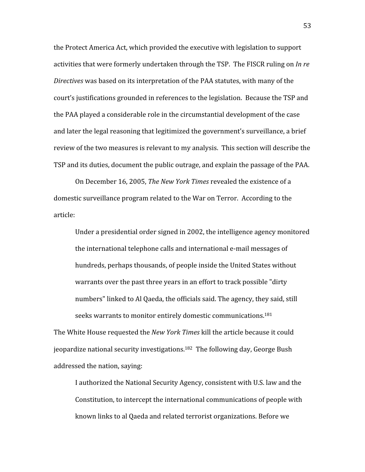the Protect America Act, which provided the executive with legislation to support activities that were formerly undertaken through the TSP. The FISCR ruling on *In re* Directives was based on its interpretation of the PAA statutes, with many of the court's
justifications
grounded
in
references
to
the
legislation.

Because
the
TSP
and the
PAA
played
a
considerable
role
in
the
circumstantial
development
of
the
case and later the legal reasoning that legitimized the government's surveillance, a brief review of the two measures is relevant to my analysis. This section will describe the TSP
and
its
duties,
document
the
public
outrage,
and
explain
the
passage
of
the
PAA.

On
December
16,
2005, *The
New
York
Times* revealed
the
existence
of
a domestic
surveillance
program
related
to
the
War
on
Terror.

According
to
the article:

Under a presidential order signed in 2002, the intelligence agency monitored the
international
telephone
calls
and
international
e‐mail
messages
of hundreds,
perhaps
thousands,
of
people
inside
the
United
States
without warrants over the past three years in an effort to track possible "dirty numbers" linked to Al Qaeda, the officials said. The agency, they said, still seeks warrants to monitor entirely domestic communications.<sup>181</sup>

The
White
House
requested
the *New
York
Times* kill
the
article
because
it
could jeopardize
national
security
investigations.182

The
following
day,
George
Bush addressed
the
nation,
saying:

I authorized the National Security Agency, consistent with U.S. law and the Constitution, to intercept the international communications of people with known links to al Qaeda and related terrorist organizations. Before we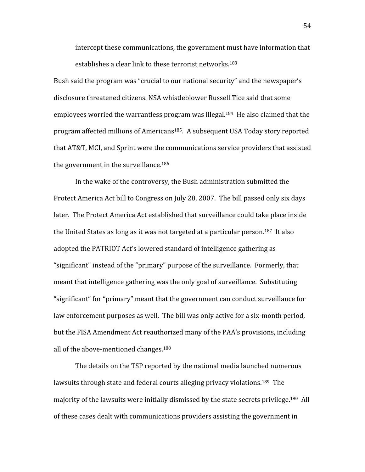intercept
these
communications,
the
government
must
have
information
that establishes a clear link to these terrorist networks.<sup>183</sup>

Bush
said
the
program
was
"crucial
to
our
national
security"
and
the
newspaper's disclosure
threatened
citizens.
NSA
whistleblower
Russell
Tice
said
that
some employees worried the warrantless program was illegal.<sup>184</sup> He also claimed that the program
affected
millions
of
Americans185.

A
subsequent
USA
Today
story
reported that
AT&T,
MCI,
and
Sprint
were
the
communications
service
providers
that
assisted the
government
in
the
surveillance.186

In
the
wake
of
the
controversy,
the
Bush
administration
submitted
the Protect America Act bill to Congress on July 28, 2007. The bill passed only six days later. The Protect America Act established that surveillance could take place inside the United States as long as it was not targeted at a particular person.<sup>187</sup> It also adopted the PATRIOT Act's lowered standard of intelligence gathering as "significant"
instead
of
the
"primary"
purpose
of
the
surveillance.

Formerly,
that meant
that
intelligence
gathering
was
the
only
goal
of
surveillance.

Substituting "significant"
for
"primary"
meant
that
the
government
can
conduct
surveillance
for law
enforcement
purposes
as
well.

The
bill
was
only
active
for
a
six‐month
period, but
the
FISA
Amendment
Act
reauthorized
many
of
the
PAA's
provisions,
including all
of
the
above‐mentioned
changes.188

The
details
on
the
TSP
reported
by
the
national
media
launched
numerous lawsuits through state and federal courts alleging privacy violations.<sup>189</sup> The majority of the lawsuits were initially dismissed by the state secrets privilege.<sup>190</sup> All of
these
cases
dealt
with
communications
providers
assisting
the
government
in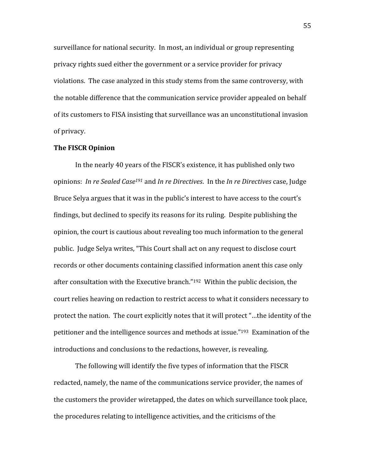surveillance
for
national
security.

In
most,
an
individual
or
group
representing privacy
rights
sued
either
the
government
or
a
service
provider
for
privacy violations. The case analyzed in this study stems from the same controversy, with the
notable
difference
that
the
communication
service
provider
appealed
on
behalf of
its
customers
to
FISA
insisting
that
surveillance
was
an
unconstitutional
invasion of
privacy.

#### **The
FISCR
Opinion**

In
the
nearly
40
years
of
the
FISCR's
existence,
it
has
published
only
two opinions: *In
re
Sealed
Case191* and *In
re
Directives*.

In
the *In
re
Directives*case,
Judge Bruce Selya argues that it was in the public's interest to have access to the court's findings, but declined to specify its reasons for its ruling. Despite publishing the opinion,
the
court
is
cautious
about
revealing
too
much
information
to
the
general public.

Judge
Selya
writes,
"This
Court
shall
act
on
any
request
to
disclose
court records or other documents containing classified information anent this case only after
consultation
with
the
Executive
branch."192

Within
the
public
decision,
the court
relies
heaving
on
redaction
to
restrict
access
to
what
it
considers
necessary
to protect
the
nation.

The
court
explicitly
notes
that
it
will
protect
"…the
identity
of
the petitioner
and
the
intelligence
sources
and
methods
at
issue."193

Examination
of
the introductions and conclusions to the redactions, however, is revealing.

The following will identify the five types of information that the FISCR redacted,
namely,
the
name
of
the
communications
service
provider,
the
names
of the
customers
the
provider
wiretapped,
the
dates
on
which
surveillance
took
place, the
procedures
relating
to
intelligence
activities,
and
the
criticisms
of
the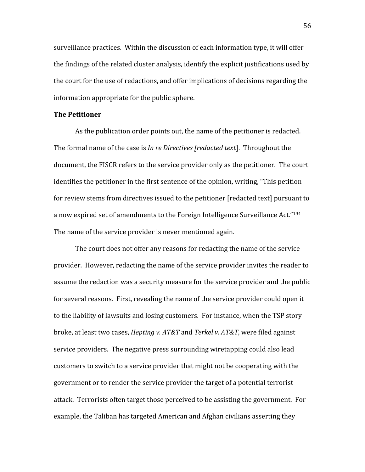surveillance
practices.

Within
the
discussion
of
each
information
type,
it
will
offer the findings of the related cluster analysis, identify the explicit justifications used by the court for the use of redactions, and offer implications of decisions regarding the information
appropriate
for
the
public
sphere.

### **The
Petitioner**

As
the
publication
order
points
out,
the
name
of
the
petitioner
is
redacted. The formal name of the case is *In re Directives [redacted text*]. Throughout the document, the FISCR refers to the service provider only as the petitioner. The court identifies the petitioner in the first sentence of the opinion, writing, "This petition for review stems from directives issued to the petitioner [redacted text] pursuant to a now expired set of amendments to the Foreign Intelligence Surveillance Act."<sup>194</sup> The
name
of
the
service
provider
is
never
mentioned
again.

The court does not offer any reasons for redacting the name of the service provider. However, redacting the name of the service provider invites the reader to assume
the
redaction
was
a
security
measure
for
the
service
provider
and
the
public for several reasons. First, revealing the name of the service provider could open it to the liability of lawsuits and losing customers. For instance, when the TSP story broke,
at
least
two
cases, *Hepting
v.
AT&T*and *Terkel
v.
AT&T*,
were
filed
against service
providers.

The
negative
press
surrounding
wiretapping
could
also
lead customers
to
switch
to
a
service
provider
that
might
not
be
cooperating
with
the government or to render the service provider the target of a potential terrorist attack. Terrorists often target those perceived to be assisting the government. For example, the Taliban has targeted American and Afghan civilians asserting they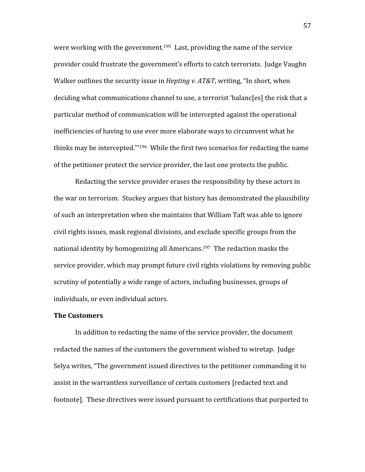were working with the government.<sup>195</sup> Last, providing the name of the service provider
could
frustrate
the
government's
efforts
to
catch
terrorists.

Judge
Vaughn Walker outlines the security issue in *Hepting v. AT&T*, writing, "In short, when deciding what communications channel to use, a terrorist 'balanc[es] the risk that a particular
method
of
communication
will
be
intercepted
against
the
operational inefficiencies
of
having
to
use
ever
more
elaborate
ways
to
circumvent
what
he thinks may be intercepted."<sup>196</sup> While the first two scenarios for redacting the name of
the
petitioner
protect
the
service
provider,
the
last
one
protects
the
public.

Redacting
the
service
provider erases
the
responsibility
by
these
actors
in the
war
on
terrorism.

Stuckey
argues
that
history
has
demonstrated
the
plausibility of
such
an
interpretation
when
she
maintains
that
William
Taft
was
able
to
ignore civil
rights
issues,
mask
regional
divisions,
and
exclude
specific
groups
from
the national
identity
by
homogenizing
all
Americans.197

The
redaction
masks
the service provider, which may prompt future civil rights violations by removing public scrutiny of potentially a wide range of actors, including businesses, groups of individuals,
or
even
individual
actors.

# **The
Customers**

In addition to redacting the name of the service provider, the document redacted
the
names
of
the
customers
the
government
wished
to
wiretap.

Judge Selya writes, "The government issued directives to the petitioner commanding it to assist
in
the
warrantless
surveillance
of
certain
customers
[redacted
text
and footnote].

These
directives
were
issued
pursuant
to
certifications
that
purported
to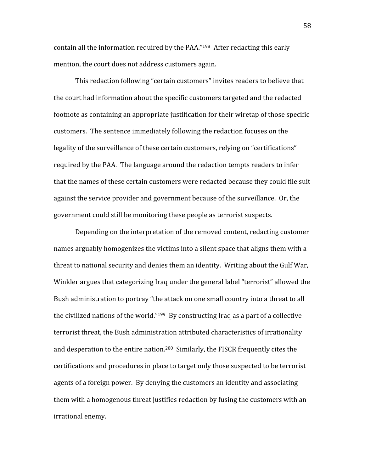contain
all
the
information
required
by
the
PAA."198

After
redacting
this
early mention,
the
court
does
not
address
customers
again.

This
redaction
following
"certain
customers"
invites
readers
to
believe
that the
court
had
information
about
the
specific
customers
targeted
and
the
redacted footnote as containing an appropriate justification for their wiretap of those specific customers.

The
sentence
immediately
following
the
redaction
focuses
on
the legality of the surveillance of these certain customers, relying on "certifications" required
by
the
PAA.

The
language
around
the
redaction
tempts
readers
to
infer that the names of these certain customers were redacted because they could file suit against
the
service
provider
and
government
because
of
the
surveillance.

Or,
the government
could
still
be
monitoring
these
people
as
terrorist
suspects.

Depending on the interpretation of the removed content, redacting customer names arguably homogenizes the victims into a silent space that aligns them with a threat to national security and denies them an identity. Writing about the Gulf War, Winkler argues that categorizing Iraq under the general label "terrorist" allowed the Bush administration to portray "the attack on one small country into a threat to all the civilized nations of the world."<sup>199</sup> By constructing Iraq as a part of a collective terrorist
threat,
the
Bush
administration
attributed
characteristics
of
irrationality and desperation to the entire nation.<sup>200</sup> Similarly, the FISCR frequently cites the certifications
and
procedures
in
place
to
target
only
those
suspected
to
be
terrorist agents
of
a
foreign
power.

By
denying
the
customers
an
identity
and
associating them with a homogenous threat justifies redaction by fusing the customers with an irrational
enemy.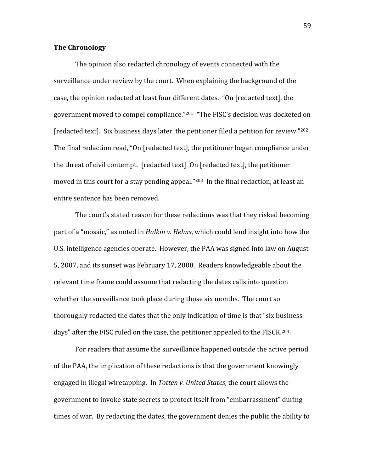## **The
Chronology**

The
opinion
also
redacted
chronology
of
events
connected
with
the surveillance under review by the court. When explaining the background of the case,
the
opinion
redacted
at
least
four
different
dates.

"On
[redacted
text],
the government moved to compel compliance."<sup>201</sup> "The FISC's decision was docketed on [redacted text]. Six business days later, the petitioner filed a petition for review."<sup>202</sup> The final redaction read, "On [redacted text], the petitioner began compliance under the
threat
of
civil
contempt.

[redacted
text]

On
[redacted
text],
the
petitioner moved in this court for a stay pending appeal."<sup>203</sup> In the final redaction, at least an entire
sentence
has
been
removed.

The court's stated reason for these redactions was that they risked becoming part of a "mosaic," as noted in *Halkin v. Helms*, which could lend insight into how the U.S. intelligence agencies operate. However, the PAA was signed into law on August 5,
2007,
and
its
sunset
was
February
17,
2008.

Readers
knowledgeable
about
the relevant
time
frame
could
assume
that
redacting
the
dates
calls
into
question whether the surveillance took place during those six months. The court so thoroughly redacted the dates that the only indication of time is that "six business" days" after the FISC ruled on the case, the petitioner appealed to the FISCR.<sup>204</sup>

For readers that assume the surveillance happened outside the active period of the PAA, the implication of these redactions is that the government knowingly engaged
in
illegal
wiretapping.

In *Totten
v.
United
States*,
the
court
allows
the government
to
invoke
state
secrets
to
protect
itself
from
"embarrassment"
during times of war. By redacting the dates, the government denies the public the ability to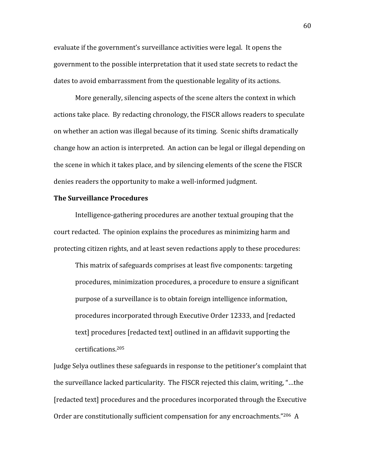evaluate
if
the
government's
surveillance
activities
were
legal.

It
opens
the government to the possible interpretation that it used state secrets to redact the dates to avoid embarrassment from the questionable legality of its actions.

More generally, silencing aspects of the scene alters the context in which actions
take
place.

By
redacting
chronology,
the
FISCR
allows
readers
to
speculate on
whether
an
action
was
illegal
because
of
its
timing.

Scenic
shifts
dramatically change
how
an
action
is
interpreted.

An
action
can
be
legal
or
illegal
depending
on the scene in which it takes place, and by silencing elements of the scene the FISCR denies
readers
the
opportunity
to
make
a
well‐informed
judgment.

# **The
Surveillance
Procedures**

Intelligence-gathering procedures are another textual grouping that the court
redacted.

The
opinion
explains
the
procedures
as
minimizing
harm
and protecting
citizen
rights,
and
at
least
seven
redactions
apply
to
these
procedures:

This matrix of safeguards comprises at least five components: targeting procedures,
minimization
procedures,
a
procedure
to
ensure
a
significant purpose
of
a
surveillance
is
to
obtain
foreign
intelligence
information, procedures
incorporated
through
Executive
Order
12333,
and
[redacted text] procedures [redacted text] outlined in an affidavit supporting the certifications.205

Judge Selya outlines these safeguards in response to the petitioner's complaint that the
surveillance
lacked
particularity.

The
FISCR
rejected
this
claim,
writing,
"…the [redacted
text]
procedures
and
the
procedures
incorporated
through
the
Executive Order are constitutionally sufficient compensation for any encroachments."206 A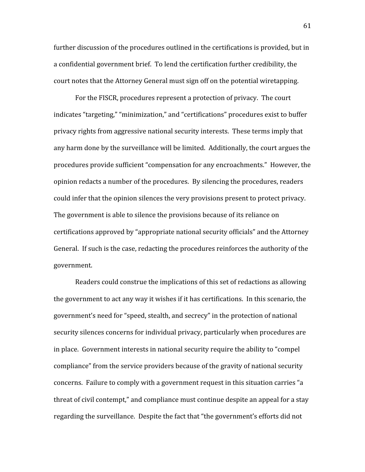further discussion of the procedures outlined in the certifications is provided, but in a confidential government brief. To lend the certification further credibility, the court
notes
that
the
Attorney
General
must
sign
off
on
the
potential
wiretapping.

For
the
FISCR,
procedures
represent
a
protection
of
privacy.

The
court indicates "targeting," "minimization," and "certifications" procedures exist to buffer privacy
rights
from
aggressive
national
security
interests.

These
terms
imply
that any
harm
done
by
the
surveillance
will
be
limited.

Additionally,
the
court
argues
the procedures
provide
sufficient
"compensation
for
any
encroachments."

However,
the opinion
redacts
a
number
of
the
procedures.

By
silencing
the
procedures,
readers could
infer
that
the
opinion
silences
the
very
provisions
present
to
protect
privacy. The government is able to silence the provisions because of its reliance on certifications
approved
by
"appropriate
national
security
officials"
and
the
Attorney General. If such is the case, redacting the procedures reinforces the authority of the government.

Readers
could
construe the
implications
of
this
set
of
redactions
as
allowing the
government
to
act
any
way
it
wishes
if
it
has
certifications.

In
this
scenario,
the government's
need
for
"speed,
stealth,
and
secrecy"
in
the
protection
of
national security silences concerns for individual privacy, particularly when procedures are in
place.

Government
interests
in
national
security
require
the
ability
to
"compel compliance"
from
the
service
providers
because
of
the
gravity
of
national
security concerns.

Failure
to
comply
with
a
government
request
in
this
situation
carries
"a threat of civil contempt," and compliance must continue despite an appeal for a stay regarding the surveillance. Despite the fact that "the government's efforts did not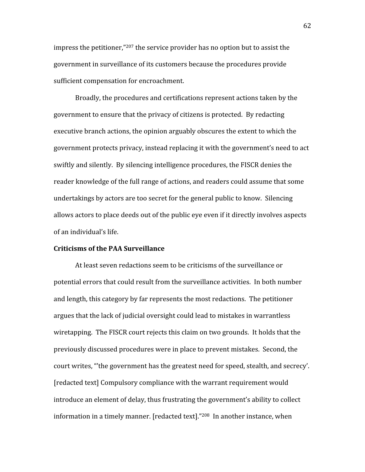impress the petitioner,"<sup>207</sup> the service provider has no option but to assist the government
in
surveillance
of
its
customers
because
the
procedures
provide sufficient
compensation
for
encroachment.

Broadly, the procedures and certifications represent actions taken by the government
to
ensure
that
the
privacy
of
citizens
is
protected.

By
redacting executive branch actions, the opinion arguably obscures the extent to which the government
protects
privacy,
instead
replacing
it
with
the
government's
need
to
act swiftly and silently. By silencing intelligence procedures, the FISCR denies the reader knowledge of the full range of actions, and readers could assume that some undertakings
by
actors
are
too
secret
for
the
general
public
to
know.

Silencing allows
actors
to
place
deeds
out
of
the
public
eye
even
if
it
directly
involves
aspects of
an
individual's
life.

### **Criticisms
of
the
PAA
Surveillance**

At
least
seven
redactions
seem
to
be
criticisms
of
the
surveillance
or potential
errors
that
could
result
from
the
surveillance
activities.

In
both
number and
length,
this
category
by
far
represents
the
most
redactions.

The
petitioner argues
that
the
lack
of
judicial
oversight
could
lead
to
mistakes
in
warrantless wiretapping. The FISCR court rejects this claim on two grounds. It holds that the previously
discussed
procedures
were
in
place
to
prevent
mistakes.

Second,
the court writes, "the government has the greatest need for speed, stealth, and secrecy'. [redacted
text]
Compulsory
compliance
with
the
warrant
requirement
would introduce an element of delay, thus frustrating the government's ability to collect information in a timely manner. [redacted text]."<sup>208</sup> In another instance, when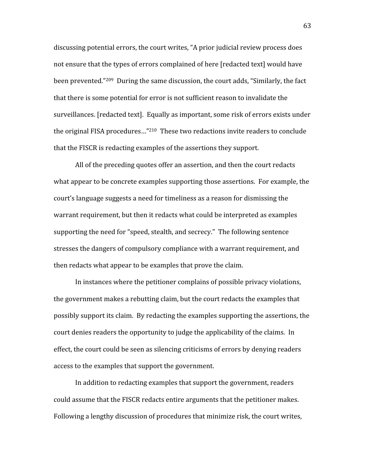discussing
potential
errors,
the
court
writes,
"A
prior
judicial
review
process
does not
ensure
that
the
types
of
errors
complained
of
here
[redacted
text]
would
have been prevented."<sup>209</sup> During the same discussion, the court adds, "Similarly, the fact that
there
is
some
potential
for
error
is
not
sufficient
reason
to
invalidate
the surveillances. [redacted text]. Equally as important, some risk of errors exists under the original FISA procedures..."<sup>210</sup> These two redactions invite readers to conclude that
the
FISCR
is
redacting
examples
of
the
assertions
they
support.

All of the preceding quotes offer an assertion, and then the court redacts what appear to be concrete examples supporting those assertions. For example, the court's
language
suggests
a
need
for
timeliness
as
a
reason
for
dismissing
the warrant requirement, but then it redacts what could be interpreted as examples supporting
the
need
for
"speed,
stealth,
and
secrecy."

The
following
sentence stresses
the
dangers
of
compulsory
compliance
with
a
warrant
requirement,
and then
redacts
what
appear
to
be
examples
that
prove
the
claim.

In
instances
where
the
petitioner
complains
of
possible
privacy
violations, the
government
makes
a
rebutting
claim,
but
the
court
redacts
the
examples
that possibly
support
its
claim.

By
redacting
the
examples
supporting
the
assertions,
the court
denies
readers
the
opportunity
to
judge
the
applicability
of
the
claims.

In effect, the court could be seen as silencing criticisms of errors by denying readers access
to
the
examples
that
support
the
government.

In
addition
to
redacting
examples
that
support
the
government,
readers could
assume
that
the
FISCR
redacts
entire
arguments
that
the
petitioner
makes. Following
a
lengthy
discussion
of
procedures
that
minimize
risk,
the
court
writes,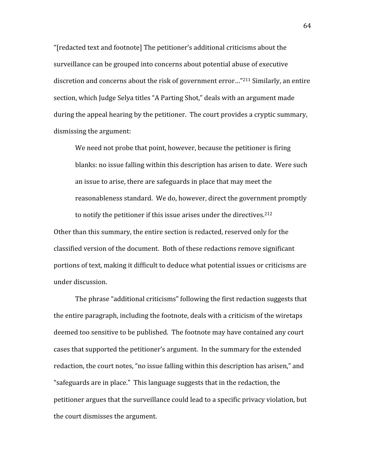"[redacted
text
and
footnote]
The
petitioner's
additional
criticisms
about
the surveillance can be grouped into concerns about potential abuse of executive discretion
and
concerns
about
the
risk
of
government
error…"211 Similarly,
an
entire section, which Judge Selya titles "A Parting Shot," deals with an argument made during the appeal hearing by the petitioner. The court provides a cryptic summary, dismissing
the
argument:

We need not probe that point, however, because the petitioner is firing blanks; no issue falling within this description has arisen to date. Were such an
issue
to
arise,
there
are
safeguards
in
place
that
may
meet
the reasonableness
standard.

We
do,
however,
direct
the
government
promptly to notify the petitioner if this issue arises under the directives.<sup>212</sup>

Other than this summary, the entire section is redacted, reserved only for the classified
version
of
the
document.

Both
of
these
redactions
remove
significant portions of text, making it difficult to deduce what potential issues or criticisms are under
discussion.

The
phrase
"additional
criticisms"
following
the
first
redaction
suggests
that the
entire
paragraph,
including
the
footnote,
deals
with
a
criticism
of
the
wiretaps deemed
too
sensitive
to
be
published.

The
footnote
may
have
contained
any
court cases
that
supported
the
petitioner's
argument.

In
the
summary
for
the
extended redaction, the court notes, "no issue falling within this description has arisen," and "safeguards are in place." This language suggests that in the redaction, the petitioner
argues
that
the
surveillance
could
lead
to
a
specific
privacy
violation,
but the
court
dismisses
the
argument.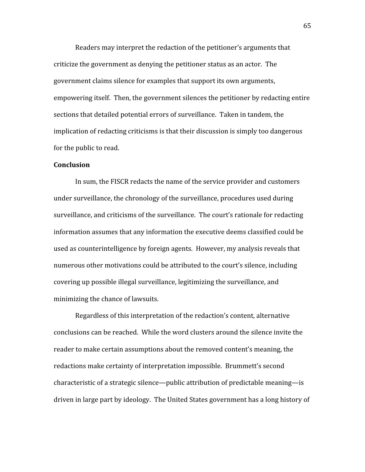Readers
may
interpret
the
redaction
of
the
petitioner's
arguments
that criticize
the
government
as
denying
the
petitioner
status
as
an
actor.

The government
claims
silence
for
examples
that
support
its
own
arguments, empowering itself. Then, the government silences the petitioner by redacting entire sections
that
detailed
potential
errors
of
surveillance.

Taken
in
tandem,
the implication of redacting criticisms is that their discussion is simply too dangerous for
the
public
to
read.

## **Conclusion**

In
sum,
the
FISCR
redacts
the
name
of
the
service
provider
and
customers under
surveillance,
the
chronology
of
the
surveillance,
procedures
used
during surveillance, and criticisms of the surveillance. The court's rationale for redacting information
assumes
that
any
information
the
executive
deems
classified
could
be used
as
counterintelligence
by
foreign
agents.

However,
my
analysis
reveals
that numerous other motivations could be attributed to the court's silence, including covering
up
possible
illegal
surveillance,
legitimizing
the
surveillance,
and minimizing
the
chance
of
lawsuits.

Regardless of this interpretation of the redaction's content, alternative conclusions
can
be
reached.

While
the
word
clusters
around
the
silence
invite
the reader
to
make
certain
assumptions
about
the
removed
content's
meaning,
the redactions
make
certainty
of
interpretation
impossible.

Brummett's
second characteristic
of
a
strategic
silence—public
attribution
of
predictable
meaning—is driven
in
large
part
by
ideology.

The
United
States
government
has
a
long
history
of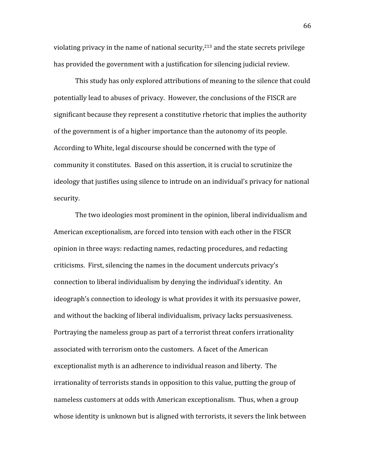violating privacy in the name of national security, $2^{13}$  and the state secrets privilege has provided the government with a justification for silencing judicial review.

This
study
has
only
explored
attributions
of
meaning
to
the
silence
that
could potentially
lead
to
abuses
of
privacy.

However,
the
conclusions
of
the
FISCR
are significant because they represent a constitutive rhetoric that implies the authority of
the
government
is
of
a
higher
importance
than
the
autonomy
of
its
people. According
to
White,
legal
discourse
should
be
concerned
with
the
type
of community it constitutes. Based on this assertion, it is crucial to scrutinize the ideology that justifies using silence to intrude on an individual's privacy for national security.

The
two
ideologies
most
prominent
in
the
opinion,
liberal
individualism
and American
exceptionalism,
are
forced
into
tension
with
each
other
in
the
FISCR opinion
in
three
ways:
redacting
names,
redacting
procedures,
and
redacting criticisms.

First,
silencing
the
names
in
the
document
undercuts
privacy's connection
to
liberal
individualism
by
denying
the
individual's
identity.

An ideograph's connection to ideology is what provides it with its persuasive power, and
without
the
backing
of
liberal
individualism,
privacy
lacks
persuasiveness. Portraying the nameless group as part of a terrorist threat confers irrationality associated
with
terrorism
onto
the
customers.

A
facet
of
the
American exceptionalist myth is an adherence to individual reason and liberty. The irrationality
of
terrorists
stands
in
opposition
to
this
value,
putting
the
group
of nameless customers at odds with American exceptionalism. Thus, when a group whose identity is unknown but is aligned with terrorists, it severs the link between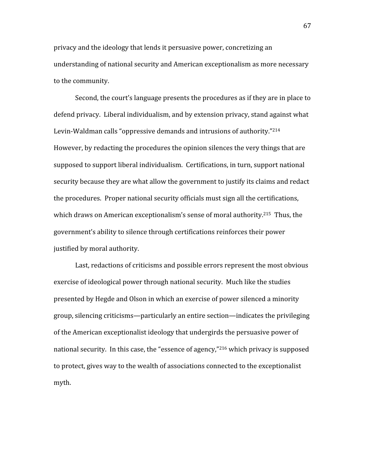privacy
and
the
ideology
that
lends
it
persuasive
power,
concretizing
an understanding
of
national
security
and
American
exceptionalism
as
more
necessary to
the
community.

Second,
the
court's
language
presents
the
procedures
as
if
they
are
in
place
to defend privacy. Liberal individualism, and by extension privacy, stand against what Levin-Waldman calls "oppressive demands and intrusions of authority."<sup>214</sup> However,
by
redacting
the
procedures
the
opinion
silences
the
very
things
that
are supposed to support liberal individualism. Certifications, in turn, support national security because they are what allow the government to justify its claims and redact the
procedures.

Proper
national
security
officials
must
sign
all
the
certifications, which draws on American exceptionalism's sense of moral authority.<sup>215</sup> Thus, the government's ability to silence through certifications reinforces their power justified
by
moral
authority.

Last, redactions of criticisms and possible errors represent the most obvious exercise
of
ideological
power
through
national
security.

Much
like
the
studies presented
by
Hegde
and
Olson
in
which
an
exercise
of
power
silenced
a
minority group,
silencing
criticisms—particularly
an
entire
section—indicates
the
privileging of
the
American
exceptionalist
ideology
that
undergirds
the
persuasive
power
of national security. In this case, the "essence of agency,"<sup>216</sup> which privacy is supposed to protect, gives way to the wealth of associations connected to the exceptionalist myth.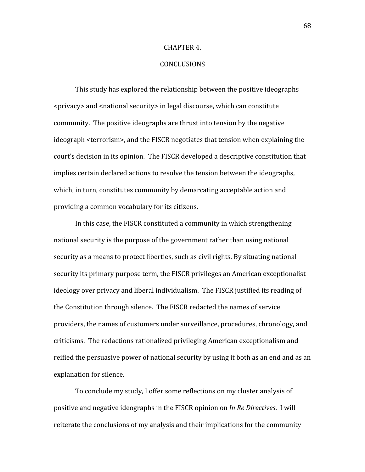#### CHAPTER
4.

# CONCLUSIONS

This
study
has
explored
the
relationship
between
the
positive
ideographs <privacy> and <national security> in legal discourse, which can constitute community.

The
positive
ideographs
are
thrust
into
tension
by
the
negative ideograph <terrorism>, and the FISCR negotiates that tension when explaining the court's decision in its opinion. The FISCR developed a descriptive constitution that implies
certain
declared
actions
to
resolve
the
tension
between
the
ideographs, which, in turn, constitutes community by demarcating acceptable action and providing
a
common
vocabulary
for
its
citizens.

In
this
case,
the
FISCR
constituted
a
community
in
which
strengthening national
security
is
the
purpose
of
the
government
rather
than
using
national security as a means to protect liberties, such as civil rights. By situating national security
its
primary
purpose
term,
the
FISCR
privileges
an
American
exceptionalist ideology over privacy and liberal individualism. The FISCR justified its reading of the
Constitution
through
silence.

The
FISCR
redacted
the
names
of
service providers, the names of customers under surveillance, procedures, chronology, and criticisms.

The
redactions
rationalized
privileging
American
exceptionalism
and reified the persuasive power of national security by using it both as an end and as an explanation
for
silence.

To
conclude
my
study,
I
offer
some
reflections
on
my
cluster
analysis
of positive
and
negative
ideographs
in
the
FISCR
opinion
on *In
Re
Directives*. I
will reiterate
the
conclusions
of
my
analysis
and
their
implications
for
the
community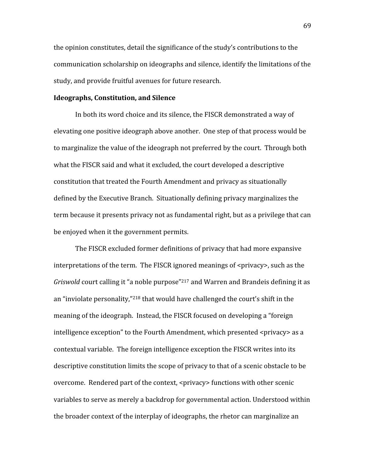the opinion constitutes, detail the significance of the study's contributions to the communication
scholarship
on
ideographs
and
silence,
identify
the
limitations
of
the study,
and
provide
fruitful
avenues
for
future
research.

### **Ideographs,
Constitution,
and
Silence**

In both its word choice and its silence, the FISCR demonstrated a way of elevating
one
positive
ideograph
above
another.

One
step
of
that
process
would
be to marginalize the value of the ideograph not preferred by the court. Through both what the FISCR said and what it excluded, the court developed a descriptive constitution
that
treated
the
Fourth
Amendment
and
privacy
as
situationally defined
by
the
Executive
Branch.

Situationally
defining
privacy
marginalizes
the term because it presents privacy not as fundamental right, but as a privilege that can be
enjoyed
when
it
the
government
permits.

The
FISCR
excluded
former
definitions
of
privacy
that
had
more
expansive interpretations of the term. The FISCR ignored meanings of <privacy>, such as the Griswold court calling it "a noble purpose"<sup>217</sup> and Warren and Brandeis defining it as an "inviolate personality,"<sup>218</sup> that would have challenged the court's shift in the meaning
of
the
ideograph.

Instead,
the
FISCR
focused
on
developing
a
"foreign intelligence exception" to the Fourth Amendment, which presented <privacy> as a contextual
variable.

The
foreign
intelligence
exception
the
FISCR
writes
into
its descriptive constitution limits the scope of privacy to that of a scenic obstacle to be overcome.

Rendered
part
of
the
context,
<privacy>
functions
with
other
scenic variables
to
serve
as
merely
a
backdrop
for
governmental
action.
Understood
within the broader context of the interplay of ideographs, the rhetor can marginalize an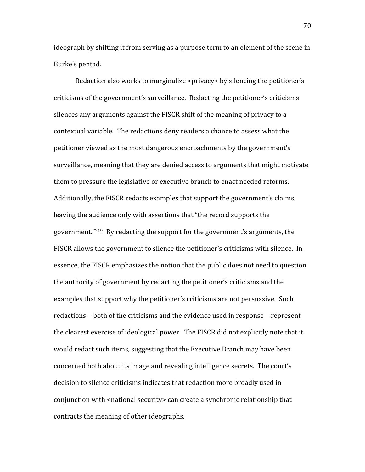ideograph by shifting it from serving as a purpose term to an element of the scene in Burke's
pentad.

Redaction also works to marginalize <privacy> by silencing the petitioner's criticisms
of
the
government's
surveillance.

Redacting
the
petitioner's
criticisms silences any arguments against the FISCR shift of the meaning of privacy to a contextual
variable.

The
redactions
deny
readers
a
chance
to
assess
what
the petitioner
viewed
as
the
most
dangerous
encroachments
by
the
government's surveillance, meaning that they are denied access to arguments that might motivate them
to
pressure
the
legislative
or
executive
branch
to
enact
needed
reforms. Additionally, the FISCR redacts examples that support the government's claims, leaving
the
audience
only
with
assertions
that
"the
record
supports
the government."219

By
redacting
the
support
for
the
government's
arguments,
the FISCR allows the government to silence the petitioner's criticisms with silence. In essence,
the
FISCR
emphasizes
the
notion
that
the
public
does
not
need
to
question the
authority
of
government
by
redacting
the
petitioner's
criticisms
and
the examples
that
support
why
the
petitioner's
criticisms
are
not
persuasive.

Such redactions—both of the criticisms and the evidence used in response—represent the
clearest
exercise
of
ideological
power.

The
FISCR
did
not
explicitly
note
that
it would redact such items, suggesting that the Executive Branch may have been concerned
both
about
its
image
and
revealing
intelligence
secrets.

The
court's decision
to
silence
criticisms
indicates
that
redaction
more
broadly
used
in conjunction with <national security> can create a synchronic relationship that contracts
the
meaning
of
other
ideographs.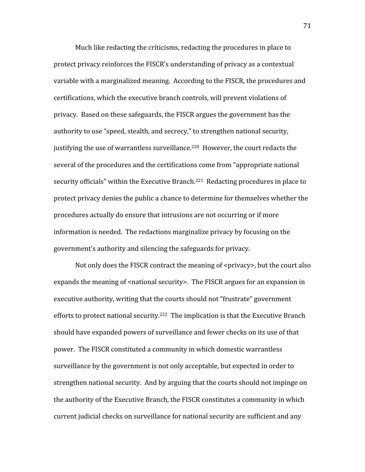Much like redacting the criticisms, redacting the procedures in place to protect
privacy
reinforces
the
FISCR's
understanding
of
privacy
as
a
contextual variable with a marginalized meaning. According to the FISCR, the procedures and certifications,
which
the
executive
branch
controls,
will
prevent
violations
of privacy.

Based
on
these
safeguards,
the
FISCR
argues
the
government
has
the authority to use "speed, stealth, and secrecy," to strengthen national security, justifying the use of warrantless surveillance.<sup>220</sup> However, the court redacts the several of the procedures and the certifications come from "appropriate national security officials" within the Executive Branch.<sup>221</sup> Redacting procedures in place to protect
privacy
denies
the
public
a
chance
to
determine for
themselves
whether
the procedures
actually
do
ensure
that
intrusions
are
not
occurring
or
if
more information
is
needed.

The
redactions
marginalize
privacy
by
focusing
on
the government's
authority
and
silencing
the
safeguards
for
privacy.

Not only does the FISCR contract the meaning of <privacy>, but the court also expands the meaning of <national security>. The FISCR argues for an expansion in executive
authority,
writing
that
the
courts
should
not
"frustrate"
government efforts to protect national security.<sup>222</sup> The implication is that the Executive Branch should have expanded powers of surveillance and fewer checks on its use of that power.

The
FISCR
constituted
a
community
in
which
domestic
warrantless surveillance by the government is not only acceptable, but expected in order to strengthen
national
security.

And
by
arguing
that
the
courts
should
not
impinge
on the
authority
of
the
Executive
Branch,
the
FISCR
constitutes
a
community
in
which current
judicial
checks
on
surveillance
for
national
security
are
sufficient
and
any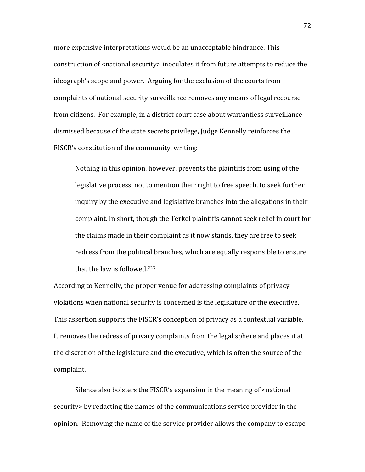more
expansive
interpretations
would
be
an
unacceptable
hindrance.
This construction of <national security> inoculates it from future attempts to reduce the ideograph's
scope
and
power.

Arguing
for
the
exclusion
of
the
courts
from complaints
of
national
security
surveillance
removes
any
means
of
legal
recourse from citizens. For example, in a district court case about warrantless surveillance dismissed
because
of
the
state
secrets
privilege,
Judge
Kennelly
reinforces
the FISCR's
constitution
of
the
community,
writing:

Nothing in this opinion, however, prevents the plaintiffs from using of the legislative process, not to mention their right to free speech, to seek further inquiry by the executive and legislative branches into the allegations in their complaint.
In
short,
though
the
Terkel
plaintiffs
cannot
seek
relief
in
court
for the claims made in their complaint as it now stands, they are free to seek redress
from
the
political
branches,
which
are
equally
responsible
to
ensure that the law is followed.<sup>223</sup>

According
to
Kennelly,
the
proper
venue
for
addressing
complaints
of
privacy violations when national security is concerned is the legislature or the executive. This assertion supports the FISCR's conception of privacy as a contextual variable. It removes the redress of privacy complaints from the legal sphere and places it at the
discretion
of
the
legislature
and
the
executive,
which
is
often
the
source
of
the complaint.

Silence also bolsters the FISCR's expansion in the meaning of <national security by redacting the names of the communications service provider in the opinion.

Removing
the
name
of
the
service
provider
allows
the
company
to
escape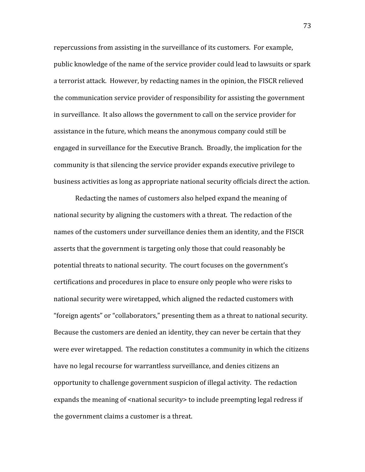repercussions from assisting in the surveillance of its customers. For example, public
knowledge
of
the
name
of
the
service
provider
could
lead
to
lawsuits
or
spark a
terrorist
attack.

However,
by
redacting
names
in
the
opinion,
the
FISCR
relieved the
communication
service
provider
of
responsibility
for
assisting
the
government in
surveillance.

It
also
allows
the
government
to
call
on
the
service
provider
for assistance
in
the
future,
which
means
the
anonymous
company
could
still
be engaged
in
surveillance
for
the
Executive
Branch.

Broadly,
the
implication
for
the community
is
that
silencing
the
service
provider
expands
executive
privilege
to business activities as long as appropriate national security officials direct the action.

Redacting
the
names
of
customers
also
helped
expand
the
meaning
of national
security
by
aligning
the
customers
with
a
threat.

The
redaction
of
the names of the customers under surveillance denies them an identity, and the FISCR asserts
that
the
government
is
targeting
only
those
that
could
reasonably
be potential threats to national security. The court focuses on the government's certifications
and
procedures
in
place
to
ensure
only
people
who
were
risks
to national
security
were
wiretapped,
which
aligned
the
redacted
customers
with "foreign
agents"
or
"collaborators,"
presenting
them
as
a
threat
to
national
security. Because the customers are denied an identity, they can never be certain that they were ever wiretapped. The redaction constitutes a community in which the citizens have
no
legal
recourse
for
warrantless
surveillance,
and
denies
citizens
an opportunity
to
challenge
government
suspicion
of
illegal
activity.

The
redaction expands the meaning of <national security> to include preempting legal redress if the
government
claims
a
customer
is
a
threat.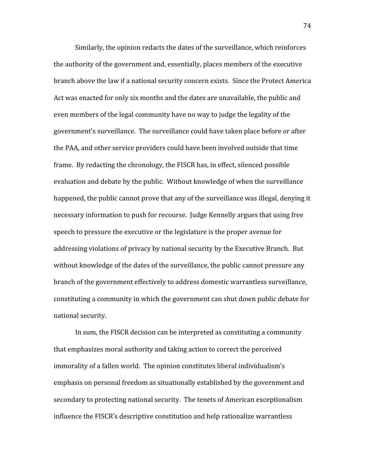Similarly,
the
opinion
redacts
the
dates
of
the
surveillance,
which
reinforces the
authority
of
the
government
and,
essentially,
places
members
of
the
executive branch
above
the
law
if
a
national
security
concern
exists.

Since
the
Protect
America Act
was
enacted
for
only
six
months
and
the
dates
are
unavailable,
the
public
and even
members
of
the
legal
community
have
no
way
to
judge
the
legality
of
the government's
surveillance.

The
surveillance
could
have
taken
place
before
or
after the
PAA,
and
other
service
providers
could
have
been
involved
outside
that
time frame.

By
redacting
the
chronology,
the
FISCR
has,
in
effect,
silenced
possible evaluation
and
debate
by
the
public.

Without
knowledge
of
when
the
surveillance happened, the public cannot prove that any of the surveillance was illegal, denying it necessary
information
to
push
for
recourse.

Judge
Kennelly
argues
that
using
free speech
to
pressure
the
executive
or
the
legislature
is
the
proper
avenue
for addressing violations of privacy by national security by the Executive Branch. But without knowledge of the dates of the surveillance, the public cannot pressure any branch
of
the
government
effectively
to
address
domestic
warrantless
surveillance, constituting
a
community
in
which
the
government
can
shut
down
public
debate
for national
security.

In sum, the FISCR decision can be interpreted as constituting a community that
emphasizes
moral
authority
and
taking
action
to
correct
the
perceived immorality of a fallen world. The opinion constitutes liberal individualism's emphasis on personal freedom as situationally established by the government and secondary to protecting national security. The tenets of American exceptionalism influence
the
FISCR's
descriptive
constitution
and
help
rationalize
warrantless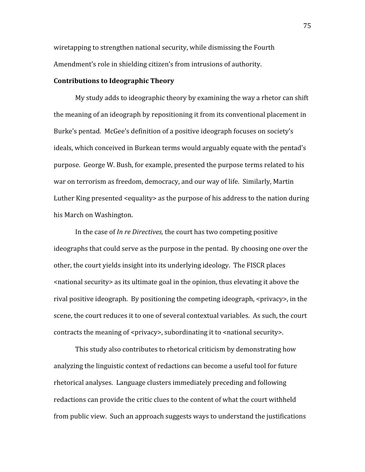wiretapping to strengthen national security, while dismissing the Fourth Amendment's
role
in
shielding
citizen's
from
intrusions
of
authority.

#### **Contributions
to
Ideographic
Theory**

My study adds to ideographic theory by examining the way a rhetor can shift the
meaning
of
an
ideograph
by
repositioning
it
from
its
conventional
placement
in Burke's pentad. McGee's definition of a positive ideograph focuses on society's ideals,
which
conceived
in
Burkean
terms
would
arguably
equate
with
the
pentad's purpose. George
W.
Bush,
for
example,
presented
the
purpose
terms
related
to
his war on terrorism as freedom, democracy, and our way of life. Similarly, Martin Luther King presented <equality> as the purpose of his address to the nation during his
March
on
Washington.

In the case of *In re Directives*, the court has two competing positive ideographs
that
could
serve
as
the
purpose
in
the
pentad.

By
choosing
one
over
the other, the court yields insight into its underlying ideology. The FISCR places <national
security>
as
its
ultimate
goal
in
the
opinion,
thus
elevating
it
above
the rival positive ideograph. By positioning the competing ideograph, <privacy>, in the scene, the court reduces it to one of several contextual variables. As such, the court contracts the meaning of <privacy>, subordinating it to <national security>.

This
study
also
contributes
to
rhetorical
criticism
by
demonstrating
how analyzing the linguistic context of redactions can become a useful tool for future rhetorical
analyses.

Language
clusters
immediately
preceding
and
following redactions can provide the critic clues to the content of what the court withheld from
public
view.

Such
an
approach suggests ways
to
understand the
justifications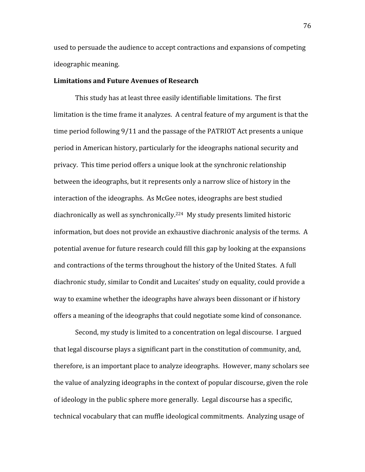used
to
persuade
the
audience
to
accept
contractions
and
expansions
of
competing ideographic
meaning.

#### **Limitations
and
Future
Avenues
of
Research**

This study has at least three easily identifiable limitations. The first limitation is the time frame it analyzes. A central feature of my argument is that the time period following 9/11 and the passage of the PATRIOT Act presents a unique period
in
American
history,
particularly
for
the
ideographs
national
security
and privacy.

This
time
period
offers
a
unique
look
at
the
synchronic
relationship between
the
ideographs,
but
it
represents
only
a
narrow
slice
of
history
in
the interaction
of
the
ideographs.

As
McGee
notes,
ideographs
are
best
studied diachronically
as
well
as
synchronically.224

My
study
presents
limited
historic information, but does not provide an exhaustive diachronic analysis of the terms. A potential
avenue
for
future
research
could
fill
this
gap
by
looking
at
the
expansions and contractions of the terms throughout the history of the United States. A full diachronic study, similar to Condit and Lucaites' study on equality, could provide a way to examine whether the ideographs have always been dissonant or if history offers
a
meaning
of
the
ideographs
that
could
negotiate
some
kind
of
consonance.

Second, my study is limited to a concentration on legal discourse. I argued that
legal
discourse
plays
a
significant
part
in
the
constitution
of
community,
and, therefore,
is
an
important
place
to
analyze
ideographs.

However,
many
scholars
see the
value
of
analyzing
ideographs
in
the
context
of
popular
discourse,
given
the
role of
ideology
in
the
public
sphere
more
generally.

Legal
discourse
has
a
specific, technical
vocabulary
that
can
muffle
ideological
commitments.

Analyzing
usage
of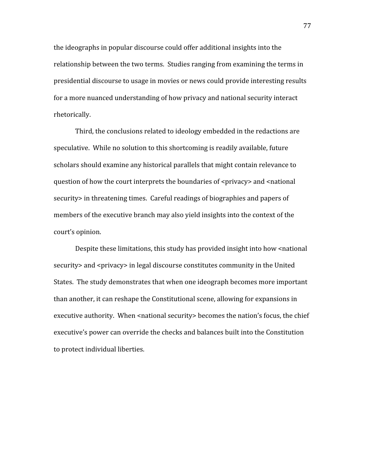the
ideographs
in
popular
discourse
could
offer
additional
insights
into
the relationship between the two terms. Studies ranging from examining the terms in presidential
discourse
to
usage
in
movies
or
news
could
provide
interesting
results for
a
more
nuanced
understanding
of
how
privacy
and
national
security
interact rhetorically.

Third,
the
conclusions
related
to
ideology
embedded
in
the
redactions
are speculative. While no solution to this shortcoming is readily available, future scholars
should
examine
any
historical
parallels
that
might
contain
relevance
to question of how the court interprets the boundaries of <privacy> and <national security in threatening times. Careful readings of biographies and papers of members of the executive branch may also yield insights into the context of the court's
opinion.

Despite these limitations, this study has provided insight into how <national security > and <privacy > in legal discourse constitutes community in the United States. The study demonstrates that when one ideograph becomes more important than
another,
it
can
reshape
the
Constitutional
scene,
allowing
for
expansions
in executive authority. When <national security> becomes the nation's focus, the chief executive's power can override the checks and balances built into the Constitution to
protect
individual
liberties.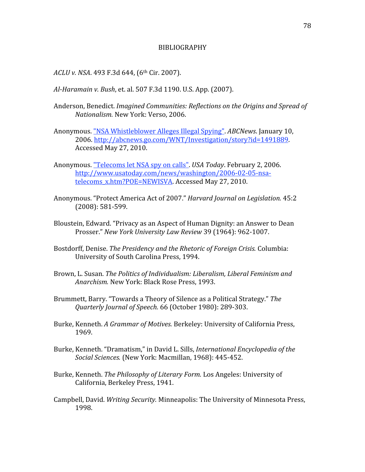#### BIBLIOGRAPHY

ACLU v. NSA. 493 F.3d 644, (6<sup>th</sup> Cir. 2007).

- Al-Haramain v. Bush, et. al. 507 F.3d 1190. U.S. App. (2007).
- Anderson,
Benedict. *Imagined
Communities:
Reflections
on
the
Origins
and
Spread
of Nationalism.* New
York:
Verso,
2006.
- Anonymous.
"NSA
Whistleblower
Alleges
Illegal
Spying". *ABCNews*.
January
10, 2006.
http://abcnews.go.com/WNT/Investigation/story?id=1491889. Accessed
May
27,
2010.
- Anonymous.
"Telecoms
let
NSA
spy
on
calls". *USA
Today*.
February
2,
2006. http://www.usatoday.com/news/washington/2006‐02‐05‐nsa‐ telecoms x.htm?POE=NEWISVA. Accessed May 27, 2010.
- Anonymous. "Protect America Act of 2007." Harvard Journal on Legislation. 45:2 (2008):
581‐599.
- Bloustein,
Edward.
"Privacy
as
an
Aspect
of
Human
Dignity:
an
Answer
to
Dean Prosser." *New
York
University
Law
Review* 39
(1964):
962‐1007.
- Bostdorff,
Denise. *The
Presidency
and
the
Rhetoric
of
Foreign
Crisis.* Columbia: University
of
South
Carolina
Press,
1994.
- Brown,
L.
Susan. *The
Politics
of
Individualism:
Liberalism,
Liberal
Feminism
and*  Anarchism. New York: Black Rose Press, 1993.
- Brummett,
Barry.
"Towards
a
Theory
of
Silence
as
a
Political
Strategy." *The Quarterly
Journal
of
Speech.* 66
(October
1980):
289‐303.
- Burke, Kenneth. A Grammar of Motives. Berkeley: University of California Press, 1969.
- Burke, Kenneth. "Dramatism," in David L. Sills, *International Encyclopedia of the* Social Sciences. (New York: Macmillan, 1968): 445-452.
- Burke,
Kenneth. *The
Philosophy
of
Literary
Form.* Los
Angeles:
University
of California,
Berkeley
Press,
1941.
- Campbell, David. Writing Security. Minneapolis: The University of Minnesota Press, 1998.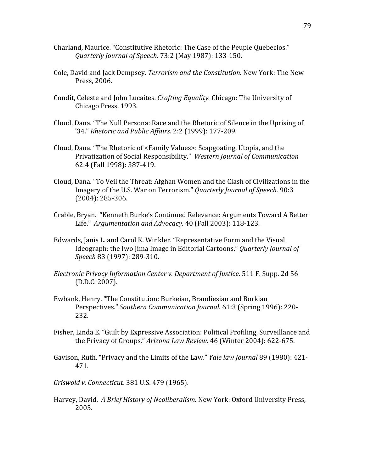- Charland,
Maurice.
"Constitutive
Rhetoric:
The
Case
of
the
Peuple
Quebecios." *Quarterly
Journal
of
Speech.* 73:2
(May
1987):
133‐150.
- Cole,
David
and
Jack
Dempsey. *Terrorism
and
the
Constitution.* New
York:
The
New Press,
2006.
- Condit,
Celeste
and
John
Lucaites. *Crafting
Equality.* Chicago:
The
University
of Chicago
Press,
1993.
- Cloud,
Dana.
"The
Null
Persona:
Race
and
the
Rhetoric
of
Silence
in
the
Uprising
of '34." *Rhetoric
and
Public
Affairs.* 2:2
(1999):
177‐209.
- Cloud,
Dana.
"The
Rhetoric
of
<Family
Values>:
Scapgoating,
Utopia,
and
the Privatization
of
Social
Responsibility." *Western
Journal
of
Communication*  62:4
(Fall
1998):
387‐419.
- Cloud, Dana. "To Veil the Threat: Afghan Women and the Clash of Civilizations in the Imagery
of
the
U.S.
War
on
Terrorism." *Quarterly
Journal
of
Speech.* 90:3 (2004):
285‐306.
- Crable,
Bryan.

"Kenneth
Burke's
Continued
Relevance:
Arguments
Toward
A
Better Life." *Argumentation
and
Advocacy.* 40
(Fall
2003):
118‐123.
- Edwards, Janis L. and Carol K. Winkler. "Representative Form and the Visual Ideograph: the Iwo Jima Image in Editorial Cartoons." *Quarterly Journal of Speech* 83
(1997):
289‐310.
- *Electronic
Privacy
Information
Center
v.
Department
of
Justice*.
511
F.
Supp.
2d
56 (D.D.C.
2007).
- Ewbank,
Henry.
"The
Constitution:
Burkeian,
Brandiesian
and
Borkian Perspectives." *Southern
Communication
Journal.* 61:3
(Spring
1996):
220‐ 232.
- Fisher, Linda E. "Guilt by Expressive Association: Political Profiling, Surveillance and the
Privacy
of
Groups." *Arizona
Law
Review.* 46
(Winter
2004):
622‐675.
- Gavison, Ruth. "Privacy and the Limits of the Law." *Yale law Journal* 89 (1980): 421-471.
- *Griswold
v.
Connecticut*.
381
U.S.
479
(1965).
- Harvey, David. A Brief History of Neoliberalism. New York: Oxford University Press, 2005.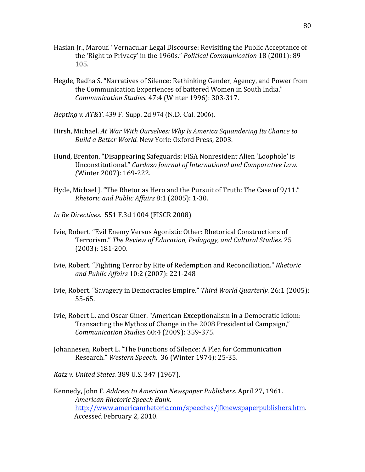- Hasian Ir., Marouf. "Vernacular Legal Discourse: Revisiting the Public Acceptance of the
'Right
to
Privacy'
in
the
1960s." *Political
Communication* 18
(2001):
89‐ 105.
- Hegde,
Radha
S.
"Narratives
of
Silence:
Rethinking
Gender,
Agency,
and
Power
from the
Communication
Experiences
of
battered
Women
in
South
India." *Communication
Studies.* 47:4
(Winter
1996):
303‐317.
- *Hepting
v.
AT&T*. 439 F. Supp. 2d 974 (N.D. Cal. 2006).
- Hirsh,
Michael. *At
War
With
Ourselves:
Why
Is
America
Squandering
Its
Chance
to Build
a
Better
World.* New
York:
Oxford
Press,
2003.
- Hund,
Brenton.
"Disappearing
Safeguards:
FISA
Nonresident
Alien
'Loophole'
is Unconstitutional." Cardazo Journal of International and Comparative Law. *(*Winter
2007):
169‐222.
- Hyde, Michael J. "The Rhetor as Hero and the Pursuit of Truth: The Case of 9/11." *Rhetoric
and
Public
Affairs* 8:1
(2005):
1‐30.
- *In
Re
Directives.* 551
F.3d
1004
(FISCR
2008)
- Ivie,
Robert.
"Evil
Enemy
Versus
Agonistic
Other:
Rhetorical
Constructions
of Terrorism." *The
Review
of
Education,
Pedagogy,
and
Cultural
Studies.* 25 (2003):
181‐200.
- Ivie, Robert. "Fighting Terror by Rite of Redemption and Reconciliation." Rhetoric *and
Public
Affairs* 10:2
(2007):
221‐248
- Ivie,
Robert.
"Savagery
in
Democracies
Empire." *Third
World
Quarterly.* 26:1
(2005): 55‐65.
- Ivie, Robert L. and Oscar Giner. "American Exceptionalism in a Democratic Idiom: Transacting
the
Mythos
of
Change
in
the
2008
Presidential
Campaign," *Communication
Studies*60:4
(2009):
359‐375.
- Johannesen,
Robert
L.
"The
Functions
of
Silence:
A
Plea
for
Communication Research." *Western
Speech.* 36
(Winter
1974):
25‐35.

*Katz
v.
United
States.* 389
U.S.
347
(1967).

Kennedy,
John
F. *Address
to
American
Newspaper
Publishers*.
April
27,
1961. *American
Rhetoric
Speech
Bank.*  http://www.americanrhetoric.com/speeches/jfknewspaperpublishers.htm. Accessed
February
2,
2010.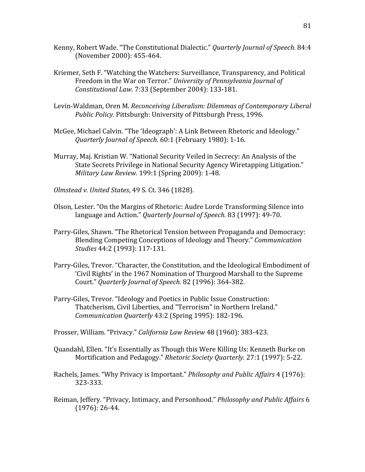- Kenny,
Robert
Wade.
"The
Constitutional
Dialectic." *Quarterly
Journal
of
Speech.* 84:4 (November
2000):
455‐464.
- Kriemer, Seth F. "Watching the Watchers: Surveillance, Transparency, and Political Freedom
in
the
War
on
Terror." *University
of
Pennsylvania
Journal
of Constitutional
Law.* 7:33
(September
2004):
133‐181.
- Levin-Waldman, Oren M. Reconceiving Liberalism: Dilemmas of Contemporary Liberal Public Policy. Pittsburgh: University of Pittsburgh Press, 1996.
- McGee, Michael Calvin. "The 'Ideograph': A Link Between Rhetoric and Ideology." *Quarterly
Journal
of
Speech.* 60:1
(February
1980):
1‐16.
- Murray, Maj. Kristian W. "National Security Veiled in Secrecy: An Analysis of the State Secrets Privilege in National Security Agency Wiretapping Litigation." *Military
Law
Review.* 199:1
(Spring
2009):
1‐48.
- *Olmstead
v.
United
States*,
49
S.
Ct.
346
(1828).
- Olson, Lester. "On the Margins of Rhetoric: Audre Lorde Transforming Silence into language
and
Action." *Quarterly
Journal
of
Speech.* 83
(1997):
49‐70.
- Parry-Giles, Shawn. "The Rhetorical Tension between Propaganda and Democracy: Blending
Competing
Conceptions
of
Ideology
and
Theory." *Communication Studies* 44:2
(1993):
117‐131.
- Parry-Giles, Trevor. "Character, the Constitution, and the Ideological Embodiment of 'Civil
Rights'
in
the
1967
Nomination
of
Thurgood
Marshall
to
the
Supreme Court." Quarterly Journal of Speech. 82 (1996): 364-382.
- Parry‐Giles,
Trevor.
"Ideology
and
Poetics
in
Public
Issue
Construction: Thatcherism,
Civil
Liberties,
and
"Terrorism"
in
Northern
Ireland." *Communication
Quarterly* 43:2
(Spring
1995):
182‐196.
- Prosser, William. "Privacy." California Law Review 48 (1960): 383-423.
- Quandahl,
Ellen.
"It's
Essentially
as
Though
this
Were
Killing
Us:
Kenneth
Burke
on Mortification
and
Pedagogy." *Rhetoric
Society
Quarterly.* 27:1
(1997):
5‐22.
- Rachels,
James.
"Why
Privacy
is
Important." *Philosophy
and
Public
Affairs* 4
(1976): 323‐333.
- Reiman,
Jeffery.
"Privacy,
Intimacy,
and
Personhood." *Philosophy
and
Public
Affairs* 6 (1976):
26‐44.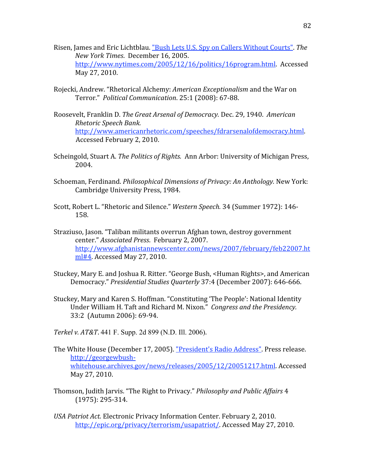- Risen,
James
and
Eric
Lichtblau.
"Bush
Lets
U.S.
Spy
on
Callers
Without
Courts". *The New
York
Times*.

December
16,
2005. http://www.nytimes.com/2005/12/16/politics/16program.html. Accessed May
27,
2010.
- Rojecki,
Andrew.
"Rhetorical
Alchemy: *American
Exceptionalism*and
the
War
on Terror." *Political
Communication*.
25:1
(2008):
67‐88.
- Roosevelt,
Franklin
D. *The
Great
Arsenal
of
Democracy.*Dec.
29,
1940. *American Rhetoric
Speech
Bank.*  http://www.americanrhetoric.com/speeches/fdrarsenalofdemocracy.html. Accessed
February
2,
2010.
- Scheingold, Stuart A. The Politics of Rights. Ann Arbor: University of Michigan Press, 2004.
- Schoeman,
Ferdinand. *Philosophical
Dimensions
of
Privacy:
An
Anthology.* New
York: Cambridge
University
Press,
1984.
- Scott, Robert L. "Rhetoric and Silence." Western Speech. 34 (Summer 1972): 146-158.
- Straziuso,
Jason.
"Taliban
militants
overrun
Afghan
town,
destroy
government center." *Associated
Press*.

February
2,
2007. http://www.afghanistannewscenter.com/news/2007/february/feb22007.ht ml#4.
Accessed
May
27,
2010.
- Stuckey, Mary E. and Joshua R. Ritter. "George Bush, <Human Rights>, and American Democracy." *Presidential
Studies
Quarterly*37:4
(December
2007):
646‐666.
- Stuckey, Mary and Karen S. Hoffman. "Constituting 'The People': National Identity Under William H. Taft and Richard M. Nixon." Congress and the Presidency. 33:2

(Autumn
2006):
69‐94.

*Terkel
v.
AT&T*. 441 F. Supp. 2d 899 (N.D. Ill. 2006).

- The
White
House
(December
17,
2005).
"President's
Radio
Address".
Press
release. http://georgewbush‐ whitehouse.archives.gov/news/releases/2005/12/20051217.html.
Accessed May
27,
2010.
- Thomson,
Judith
Jarvis.
"The
Right
to
Privacy." *Philosophy
and
Public
Affairs* 4 (1975):
295‐314.
- USA Patriot Act. Electronic Privacy Information Center. February 2, 2010. http://epic.org/privacy/terrorism/usapatriot/. Accessed May 27, 2010.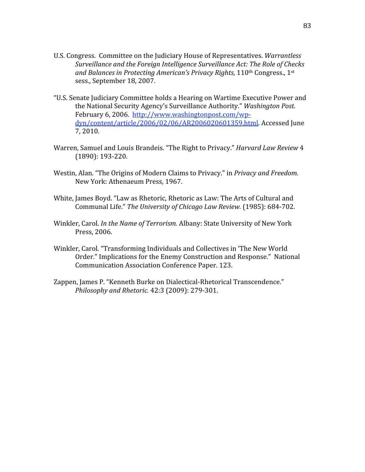- U.S. Congress. Committee on the Judiciary House of Representatives. Warrantless Surveillance and the Foreign Intelligence Surveillance Act: The Role of Checks and Balances in Protecting American's Privacy Rights, 110<sup>th</sup> Congress., 1<sup>st</sup> sess.,
September
18,
2007.
- "U.S.
Senate
Judiciary
Committee
holds
a
Hearing
on
Wartime
Executive
Power
and the
National
Security
Agency's
Surveillance
Authority." *Washington
Post.*  February
6,
2006.

http://www.washingtonpost.com/wp‐ dyn/content/article/2006/02/06/AR2006020601359.html.
Accessed
June 7,
2010.
- Warren, Samuel and Louis Brandeis. "The Right to Privacy." Harvard Law Review 4 (1890):
193‐220.
- Westin, Alan. "The Origins of Modern Claims to Privacy." in Privacy and Freedom. New
York:
Athenaeum
Press,
1967.
- White, James Boyd. "Law as Rhetoric, Rhetoric as Law: The Arts of Cultural and Communal
Life." *The
University
of
Chicago
Law
Review.* (1985):
684‐702.
- Winkler, Carol. *In the Name of Terrorism*. Albany: State University of New York Press,
2006.
- Winkler,
Carol.
"Transforming
Individuals
and
Collectives
in
'The
New
World Order." Implications for the Enemy Construction and Response." National Communication
Association
Conference
Paper.
123.
- Zappen, James P. "Kenneth Burke on Dialectical-Rhetorical Transcendence." *Philosophy
and
Rhetoric.* 42:3
(2009):
279‐301.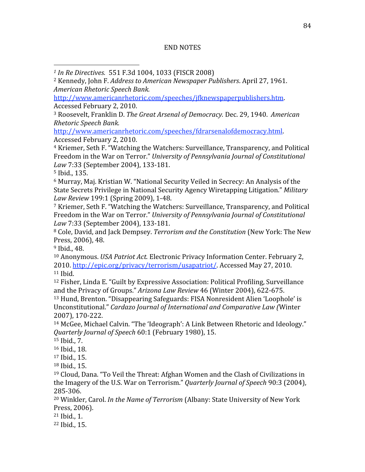## END
NOTES

http://www.americanrhetoric.com/speeches/jfknewspaperpublishers.htm. Accessed
February
2,
2010.

<sup>3</sup> Roosevelt, Franklin D. The Great Arsenal of Democracy. Dec. 29, 1940. American *Rhetoric
Speech
Bank.* 

http://www.americanrhetoric.com/speeches/fdrarsenalofdemocracy.html. Accessed
February
2,
2010.

4
Kriemer,
Seth
F.
"Watching
the
Watchers:
Surveillance,
Transparency,
and
Political Freedom in the War on Terror." University of Pennsylvania Journal of Constitutional *Law* 7:33
(September
2004),
133‐181.

5
Ibid.,
135.

<sup>6</sup> Murray, Maj. Kristian W. "National Security Veiled in Secrecy: An Analysis of the State Secrets Privilege in National Security Agency Wiretapping Litigation." *Military Law
Review* 199:1
(Spring
2009),
1‐48.

<sup>7</sup> Kriemer, Seth F. "Watching the Watchers: Surveillance, Transparency, and Political Freedom in the War on Terror." University of Pennsylvania Journal of Constitutional *Law* 7:33
(September
2004),
133‐181.

<sup>8</sup> Cole, David, and Jack Dempsey. Terrorism and the Constitution (New York: The New Press,
2006),
48.

9
Ibid.,
48.

<sup>10</sup> Anonymous. USA Patriot Act. Electronic Privacy Information Center. February 2, 2010. http://epic.org/privacy/terrorism/usapatriot/. Accessed May 27, 2010.  $11$  Ibid.

<sup>12</sup> Fisher, Linda E. "Guilt by Expressive Association: Political Profiling, Surveillance and
the
Privacy
of
Groups." *Arizona
Law
Review* 46
(Winter
2004),
622‐675.

13
Hund,
Brenton.
"Disappearing
Safeguards:
FISA
Nonresident
Alien
'Loophole'
is Unconstitutional." Cardazo Journal of International and Comparative Law (Winter 2007),
170‐222.

<sup>14</sup> McGee, Michael Calvin. "The 'Ideograph': A Link Between Rhetoric and Ideology." *Quarterly
Journal
of
Speech* 60:1
(February
1980),
15.

15
Ibid.,
7.

16
Ibid.,
18.

17
Ibid.,
15.

18
Ibid.,
15.

<sup>19</sup> Cloud, Dana. "To Veil the Threat: Afghan Women and the Clash of Civilizations in the
Imagery
of
the
U.S.
War
on
Terrorism." *Quarterly
Journal
of
Speech* 90:3
(2004), 285‐306.

<sup>20</sup> Winkler, Carol. In the Name of Terrorism (Albany: State University of New York Press,
2006).

21
Ibid.,
1.

22
Ibid.,
15.

*<sup>1</sup>In
Re
Directives.* 551
F.3d
1004,
1033
(FISCR
2008)

<sup>2</sup>Kennedy,
John
F. *Address
to
American
Newspaper
Publishers*.
April
27,
1961. *American
Rhetoric
Speech
Bank.*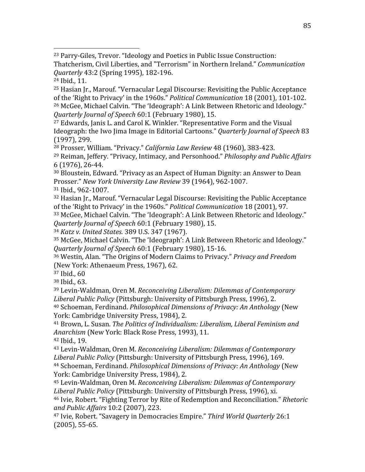23
Parry‐Giles,
Trevor.
"Ideology
and
Poetics
in
Public
Issue
Construction: Thatcherism,
Civil
Liberties,
and
"Terrorism"
in
Northern
Ireland." *Communication Quarterly* 43:2
(Spring
1995),
182‐196.

24
Ibid.,
11.

25
Hasian
Jr.,
Marouf.
"Vernacular
Legal
Discourse:
Revisiting
the
Public
Acceptance of
the
'Right
to
Privacy'
in
the
1960s." *Political
Communication* 18
(2001),
101‐102. <sup>26</sup> McGee, Michael Calvin. "The 'Ideograph': A Link Between Rhetoric and Ideology." *Quarterly
Journal
of
Speech* 60:1
(February
1980),
15.

<sup>27</sup> Edwards, Janis L. and Carol K. Winkler. "Representative Form and the Visual Ideograph: the Iwo Jima Image in Editorial Cartoons." *Quarterly Journal of Speech* 83 (1997),
299.

<sup>28</sup> Prosser,
William.
"Privacy." *California
Law
Review* 48
(1960),
383‐423.

<sup>29</sup> Reiman,
Jeffery.
"Privacy,
Intimacy,
and
Personhood." *Philosophy
and
Public
Affairs*  6
(1976),
26‐44.

<sup>30</sup> Bloustein, Edward. "Privacy as an Aspect of Human Dignity: an Answer to Dean Prosser." *New
York
University
Law
Review* 39
(1964),
962‐1007.

31
Ibid.,
962‐1007.

32
Hasian
Jr.,
Marouf.
"Vernacular
Legal
Discourse:
Revisiting
the
Public
Acceptance of
the
'Right
to
Privacy'
in
the
1960s." *Political
Communication* 18
(2001),
97.

<sup>33</sup> McGee, Michael Calvin. "The 'Ideograph': A Link Between Rhetoric and Ideology." *Quarterly
Journal
of
Speech* 60:1
(February
1980),
15.

<sup>34</sup> *Katz
v.
United
States.* 389
U.S.
347
(1967).

<sup>35</sup> McGee, Michael Calvin. "The 'Ideograph': A Link Between Rhetoric and Ideology." *Quarterly
Journal
of
Speech* 60:1
(February
1980),
15‐16.

36
Westin,
Alan.
"The
Origins
of
Modern
Claims
to
Privacy." *Privacy
and
Freedom*  (New
York:
Athenaeum
Press,
1967),
62.

37
Ibid.,
60

38
Ibid.,
63.

39
Levin‐Waldman,
Oren
M. *Reconceiving
Liberalism:
Dilemmas
of
Contemporary*  Liberal Public Policy (Pittsburgh: University of Pittsburgh Press, 1996), 2.

<sup>40</sup> Schoeman,
Ferdinand. *Philosophical
Dimensions
of
Privacy:
An
Anthology* (New York:
Cambridge
University
Press,
1984),
2.

<sup>41</sup> Brown, L. Susan. The Politics of Individualism: Liberalism, Liberal Feminism and Anarchism (New York: Black Rose Press, 1993), 11.

42
Ibid.,
19.

43
Levin‐Waldman,
Oren
M. *Reconceiving
Liberalism:
Dilemmas
of
Contemporary*  Liberal Public Policy (Pittsburgh: University of Pittsburgh Press, 1996), 169. <sup>44</sup> Schoeman,
Ferdinand. *Philosophical
Dimensions
of
Privacy:
An
Anthology* (New York:
Cambridge
University
Press,
1984),
2.

45
Levin‐Waldman,
Oren
M. *Reconceiving
Liberalism:
Dilemmas
of
Contemporary*  Liberal Public Policy (Pittsburgh: University of Pittsburgh Press, 1996), xi.

46
Ivie,
Robert.
"Fighting
Terror
by
Rite
of
Redemption
and
Reconciliation." *Rhetoric and
Public
Affairs* 10:2
(2007),
223.

47
Ivie,
Robert.
"Savagery
in
Democracies
Empire." *Third
World
Quarterly* 26:1 (2005),
55‐65.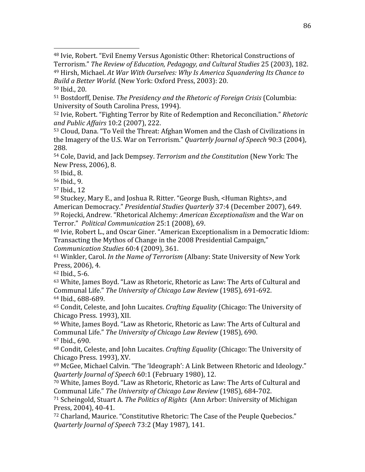48
Ivie,
Robert.
"Evil
Enemy
Versus
Agonistic
Other:
Rhetorical
Constructions
of Terrorism." *The
Review
of
Education,
Pedagogy,
and
Cultural
Studies* 25
(2003),
182. <sup>49</sup> Hirsh, Michael. At War With Ourselves: Why Is America Squandering Its Chance to

Build a Better World. (New York: Oxford Press, 2003): 20. 50
Ibid.,
20.

51
Bostdorff,
Denise. *The
Presidency
and
the
Rhetoric
of
Foreign
Crisis* (Columbia: University
of
South
Carolina
Press,
1994).

52
Ivie,
Robert.
"Fighting
Terror
by
Rite
of
Redemption
and
Reconciliation." *Rhetoric and
Public
Affairs* 10:2
(2007),
222.

<sup>53</sup> Cloud, Dana. "To Veil the Threat: Afghan Women and the Clash of Civilizations in the
Imagery
of
the
U.S.
War
on
Terrorism." *Quarterly
Journal
of
Speech* 90:3
(2004), 288.

54
Cole,
David,
and
Jack
Dempsey. *Terrorism
and
the
Constitution* (New
York:
The New
Press,
2006),
8.

55
Ibid.,
8.

56
Ibid.,
9.

<sup>57</sup> Ibid.,
12

<sup>58</sup> Stuckey, Mary E., and Joshua R. Ritter. "George Bush, <Human Rights>, and American
Democracy." *Presidential
Studies
Quarterly*37:4
(December
2007),
649. <sup>59</sup> Rojecki, Andrew. "Rhetorical Alchemy: *American Exceptionalism* and the War on Terror." *Political
Communication*25:1
(2008),
69.

<sup>60</sup> Ivie, Robert L., and Oscar Giner. "American Exceptionalism in a Democratic Idiom: Transacting
the
Mythos
of
Change
in
the
2008
Presidential
Campaign,"

*Communication
Studies*60:4
(2009),
361.

<sup>61</sup> Winkler, Carol. *In the Name of Terrorism* (Albany: State University of New York Press,
2006),
4.

62
Ibid.,
5‐6.

63
White,
James
Boyd.
"Law
as
Rhetoric,
Rhetoric
as
Law:
The
Arts
of
Cultural
and Communal
Life." *The
University
of
Chicago
Law
Review* (1985),
691‐692. 64
Ibid.,
688‐689.

<sup>65</sup> Condit, Celeste, and John Lucaites. *Crafting Equality* (Chicago: The University of Chicago
Press.
1993),
XII.

<sup>66</sup> White, James Boyd. "Law as Rhetoric, Rhetoric as Law: The Arts of Cultural and Communal
Life." *The
University
of
Chicago
Law
Review* (1985),
690. 67
Ibid.,
690.

<sup>68</sup> Condit, Celeste, and John Lucaites. *Crafting Equality* (Chicago: The University of Chicago
Press.
1993),
XV.

<sup>69</sup> McGee, Michael Calvin. "The 'Ideograph': A Link Between Rhetoric and Ideology." *Quarterly
Journal
of
Speech* 60:1
(February
1980),
12.

70
White,
James
Boyd.
"Law
as
Rhetoric,
Rhetoric
as
Law:
The
Arts
of
Cultural
and Communal
Life." *The
University
of
Chicago
Law
Review* (1985),
684‐702.

<sup>71</sup> Scheingold, Stuart A. The Politics of Rights (Ann Arbor: University of Michigan Press,
2004),
40‐41.

<sup>72</sup> Charland, Maurice. "Constitutive Rhetoric: The Case of the Peuple Quebecios." *Quarterly
Journal
of
Speech* 73:2
(May
1987),
141.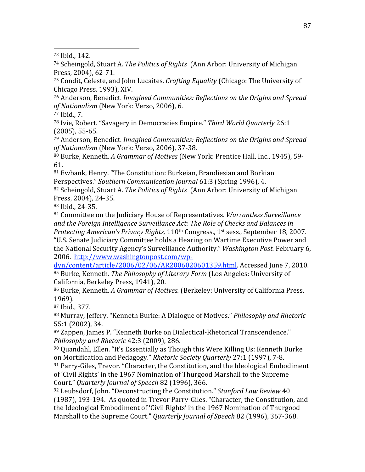73
Ibid.,
142.

74
Scheingold,
Stuart
A. *The
Politics
of
Rights* (Ann
Arbor:
University
of
Michigan Press,
2004),
62‐71.

<sup>75</sup> Condit, Celeste, and John Lucaites. *Crafting Equality* (Chicago: The University of Chicago
Press.
1993),
XIV.

76
Anderson,
Benedict. *Imagined
Communities:
Reflections
on
the
Origins
and
Spread of
Nationalism* (New
York:
Verso,
2006), 6.

77
Ibid.,
7.

78
Ivie,
Robert.
"Savagery
in
Democracies
Empire." *Third
World
Quarterly* 26:1 (2005),
55‐65.

79
Anderson,
Benedict. *Imagined
Communities:
Reflections
on
the
Origins
and
Spread of
Nationalism* (New
York:
Verso,
2006), 37‐38.

80
Burke,
Kenneth. *A
Grammar
of
Motives* (New
York:
Prentice
Hall,
Inc.,
1945),
59‐ 61.

81
Ewbank,
Henry.
"The
Constitution:
Burkeian,
Brandiesian
and
Borkian Perspectives." *Southern
Communication
Journal* 61:3
(Spring
1996),
4.

<sup>82</sup> Scheingold, Stuart A. *The Politics of Rights* (Ann Arbor: University of Michigan Press,
2004),
24‐35.

83
Ibid.,
24‐35.

<sup>84</sup> Committee on the Judiciary House of Representatives. *Warrantless Surveillance* and the Foreign Intelligence Surveillance Act: The Role of Checks and Balances in Protecting American's Privacy Rights, 110<sup>th</sup> Congress., 1<sup>st</sup> sess., September 18, 2007.

"U.S.
Senate
Judiciary
Committee
holds
a
Hearing
on
Wartime
Executive
Power
and the
National
Security
Agency's
Surveillance
Authority." *Washington
Post.* February
6, 2006.

http://www.washingtonpost.com/wp‐

dyn/content/article/2006/02/06/AR2006020601359.html.
Accessed
June
7,
2010. 85
Burke,
Kenneth. *The
Philosophy
of
Literary
Form* (Los
Angeles:
University
of California,
Berkeley
Press,
1941),
20.

<sup>86</sup> Burke, Kenneth. A Grammar of Motives. (Berkeley: University of California Press, 1969).

87
Ibid.,
377.

<sup>88</sup> Murray, Jeffery. "Kenneth Burke: A Dialogue of Motives." *Philosophy and Rhetoric* 55:1
(2002),
34.

89
Zappen,
James
P.
"Kenneth
Burke
on
Dialectical‐Rhetorical
Transcendence." *Philosophy
and
Rhetoric* 42:3
(2009),
286.

90
Quandahl,
Ellen.
"It's
Essentially
as
Though
this
Were
Killing
Us:
Kenneth
Burke on
Mortification
and
Pedagogy." *Rhetoric
Society
Quarterly* 27:1
(1997),
7‐8.

<sup>91</sup> Parry-Giles, Trevor. "Character, the Constitution, and the Ideological Embodiment of
'Civil
Rights'
in
the
1967
Nomination
of
Thurgood
Marshall
to
the
Supreme Court." *Quarterly
Journal
of
Speech* 82
(1996),
366.

92
Leubsdorf,
John.
"Deconstructing
the
Constitution." *Stanford
Law
Review* 40 (1987),
193‐194.

As
quoted
in
Trevor
Parry‐Giles.
"Character,
the
Constitution,
and the
Ideological
Embodiment
of
'Civil
Rights'
in
the
1967
Nomination
of
Thurgood Marshall to the Supreme Court." *Quarterly Journal of Speech* 82 (1996), 367-368.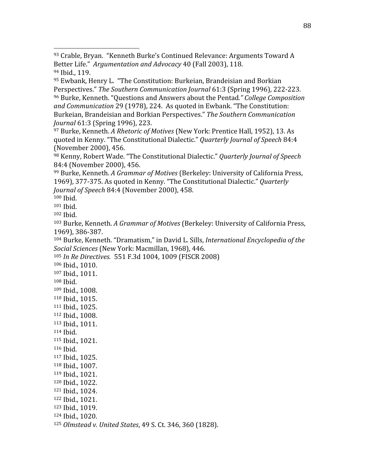<sup>97</sup> Burke, Kenneth. *A Rhetoric of Motives* (New York: Prentice Hall, 1952), 13. As quoted
in
Kenny.
"The
Constitutional
Dialectic." *Quarterly
Journal
of
Speech* 84:4 (November
2000),
456.

98
Kenny,
Robert
Wade.
"The
Constitutional
Dialectic." *Quarterly
Journal
of
Speech*  84:4
(November
2000),
456.

99
Burke,
Kenneth. *A
Grammar
of
Motives* (Berkeley:
University
of
California
Press, 1969),
377‐375.
As
quoted
in
Kenny.
"The
Constitutional
Dialectic." *Quarterly Journal
of
Speech* 84:4
(November
2000),
458.

100
Ibid.

101
Ibid.

102
Ibid.

<sup>103</sup> Burke, Kenneth. A Grammar of Motives (Berkeley: University of California Press, 1969),
386‐387.

<sup>104</sup> Burke, Kenneth. "Dramatism," in David L. Sills, International Encyclopedia of the *Social
Sciences* (New
York:
Macmillan,
1968),
446.

<sup>105</sup> *In
Re
Directives.* 551
F.3d
1004,
1009
(FISCR
2008)

106
Ibid.,
1010.

107
Ibid.,
1011.

108
Ibid.

- 109
Ibid.,
1008.
- 110
Ibid.,
1015.

111
Ibid.,
1025.

112
Ibid.,
1008.

113
Ibid.,
1011.

114
Ibid.

115
Ibid.,
1021. 116
Ibid.

117
Ibid.,
1025.

118
Ibid.,
1007. 119
Ibid.,
1021.

120
Ibid.,
1022.

121
Ibid.,
1024.

122
Ibid.,
1021.

123
Ibid.,
1019.

124
Ibid.,
1020.

<sup>125</sup> *Olmstead
v.
United
States*,
49
S.
Ct.
346,
360
(1828).

<sup>93</sup> Crable, Bryan. "Kenneth Burke's Continued Relevance: Arguments Toward A Better Life." Argumentation and Advocacy 40 (Fall 2003), 118. 94
Ibid.,
119.

<sup>95</sup> Ewbank, Henry L. "The Constitution: Burkeian, Brandeisian and Borkian Perspectives." *The
Southern
Communication
Journal* 61:3
(Spring
1996),
222‐223. 96
Burke,
Kenneth.
"Questions
and
Answers
about
the
Pentad*."
College
Composition*  and Communication 29 (1978), 224. As quoted in Ewbank. "The Constitution: Burkeian, Brandeisian and Borkian Perspectives." The Southern Communication *Journal* 61:3
(Spring
1996),
223.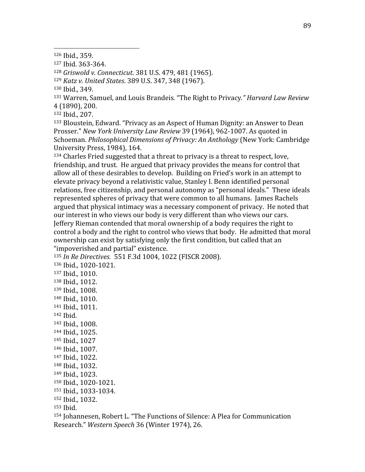<sup>128</sup> *Griswold
v.
Connecticut*.
381
U.S.
479,
481
(1965).

<sup>129</sup> *Katz
v.
United
States*.
389
U.S.
347,
348
(1967).

130
Ibid.,
349.

<sup>131</sup> Warren,
Samuel, and
Louis
Brandeis*.*"The
Right
to
Privacy*."
Harvard
Law
Review* 4
(1890),
200.

132
Ibid.,
207.

133
Bloustein,
Edward.
"Privacy
as
an
Aspect
of
Human
Dignity:
an
Answer
to
Dean Prosser." New York University Law Review 39 (1964), 962-1007. As quoted in Schoeman. *Philosophical
Dimensions
of
Privacy:
An
Anthology* (New
York:
Cambridge University
Press,
1984),
164.

<sup>134</sup> Charles Fried suggested that a threat to privacy is a threat to respect, love, friendship,
and
trust.

He
argued
that
privacy
provides
the
means
for
control
that allow
all
of
these
desirables
to
develop.

Building
on
Fried's
work
in
an
attempt
to elevate privacy beyond a relativistic value, Stanley I. Benn identified personal relations, free citizenship, and personal autonomy as "personal ideals." These ideals represented
spheres
of
privacy
that
were
common
to
all
humans.

James
Rachels argued
that
physical
intimacy
was
a
necessary
component
of
privacy.

He
noted
that our
interest
in
who
views
our
body
is
very
different
than
who
views
our
cars. Jeffery
Rieman
contended
that
moral
ownership
of
a
body
requires
the
right
to control
a
body
and
the
right
to
control
who
views
that
body.

He
admitted
that
moral ownership can exist by satisfying only the first condition, but called that an "impoverished
and
partial"
existence.

<sup>135</sup> *In
Re
Directives.* 551
F.3d
1004,
1022
(FISCR
2008). 136
Ibid.,
1020‐1021. 137
Ibid.,
1010. 138
Ibid.,
1012. 139
Ibid.,
1008. 140
Ibid.,
1010. 141
Ibid.,
1011. 142
Ibid. 143
Ibid.,
1008. 144
Ibid.,
1025. 145
Ibid.,
1027 146
Ibid.,
1007. 147
Ibid.,
1022. 148
Ibid.,
1032. 149
Ibid.,
1023. 150
Ibid.,
1020‐1021. 151
Ibid.,
1033‐1034. 152
Ibid.,
1032. 153
Ibid. 154
Johannesen,
Robert
L.
"The
Functions
of
Silence:
A
Plea
for
Communication Research." *Western
Speech*36
(Winter
1974),
26.

<sup>126</sup>Ibid.,
359.

<sup>127</sup>Ibid.
363‐364.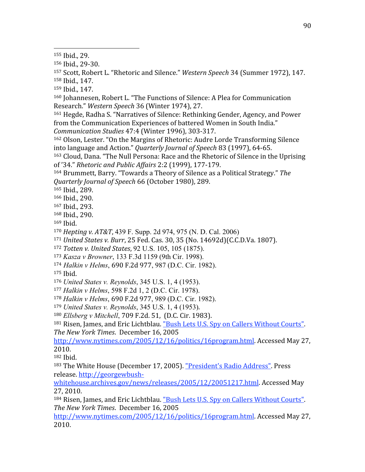155
Ibid.,
29.

156
Ibid.,
29‐30.

<sup>157</sup> Scott, Robert L. "Rhetoric and Silence." Western Speech 34 (Summer 1972), 147. 158
Ibid.,
147.

159
Ibid.,
147.

160 Johannesen, Robert L. "The Functions of Silence: A Plea for Communication Research." *Western
Speech* 36
(Winter
1974),
27.

<sup>161</sup> Hegde, Radha S. "Narratives of Silence: Rethinking Gender, Agency, and Power from
the
Communication
Experiences
of
battered
Women
in
South
India." *Communication
Studies* 47:4
(Winter
1996),
303‐317.

162
Olson,
Lester.
"On
the
Margins
of
Rhetoric:
Audre
Lorde
Transforming
Silence into
language
and
Action." *Quarterly
Journal
of
Speech* 83
(1997),
64‐65.

163
Cloud,
Dana.
"The
Null
Persona:
Race
and
the
Rhetoric
of
Silence
in
the
Uprising of
'34." *Rhetoric
and
Public
Affairs* 2:2
(1999),
177‐179.

164
Brummett,
Barry.
"Towards
a
Theory
of
Silence
as
a
Political
Strategy." *The Quarterly
Journal
of
Speech* 66
(October
1980),
289.

165
Ibid.,
289.

166
Ibid.,
290.

167
Ibid.,
293.

168
Ibid.,
290.

169
Ibid.

<sup>170</sup> *Hepting
v.
AT&T*, 439 F. Supp. 2d 974, 975 (N. D. Cal. 2006)

<sup>171</sup> *United
States
v.
Burr*,
25
Fed.
Cas.
30,
35
(No.
14692d)(C.C.D.Va.
1807).

<sup>172</sup> *Totten
v.
United
States*, 92 U.S. 105, 105 (1875).

<sup>173</sup> *Kasza v Browner*, 133 F.3d 1159 (9th Cir. 1998).

<sup>174</sup> *Halkin v Helms*, 690
F.2d
977, 987 (D.C. Cir. 1982).

175
Ibid.

<sup>176</sup> *United States v. Reynolds*, 345 U.S. 1, 4 (1953).

<sup>177</sup> *Halkin v Helms*, 598 F.2d 1, 2 (D.C. Cir. 1978).

<sup>178</sup> *Halkin v Helms*, 690
F.2d
977, 989 (D.C. Cir. 1982).

<sup>179</sup> *United States v. Reynolds*, 345 U.S. 1, 4 (1953).

<sup>180</sup> *Ellsberg v Mitchell*, 709
F.2d.
51,

(D.C.
Cir.
1983).

181 Risen, James, and Eric Lichtblau. "Bush Lets U.S. Spy on Callers Without Courts". *The
New
York
Times*.

December
16,
2005

http://www.nytimes.com/2005/12/16/politics/16program.html. Accessed May 27, 2010.

182
Ibid.

<sup>183</sup> The
White
House
(December
17,
2005).
"President's
Radio
Address".
Press release.
http://georgewbush‐

whitehouse.archives.gov/news/releases/2005/12/20051217.html.
Accessed
May 27,
2010.

184 Risen, James, and Eric Lichtblau. "Bush Lets U.S. Spy on Callers Without Courts". *The
New
York
Times*.

December
16,
2005

http://www.nytimes.com/2005/12/16/politics/16program.html. Accessed May 27, 2010.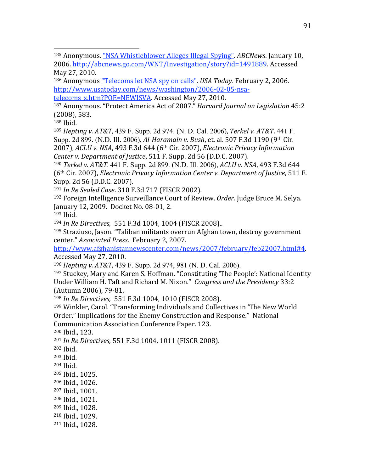<sup>185</sup> Anonymous. "NSA Whistleblower Alleges Illegal Spying". ABCNews. January 10, 2006.
http://abcnews.go.com/WNT/Investigation/story?id=1491889.
Accessed May
27,
2010.

186
Anonymous
"Telecoms
let
NSA
spy
on
calls". *USA
Today*.
February
2,
2006. http://www.usatoday.com/news/washington/2006‐02‐05‐nsa‐

telecoms x.htm?POE=NEWISVA. Accessed May 27, 2010.

187
Anonymous.
"Protect
America
Act
of
2007." *Harvard
Journal
on
Legislation* 45:2 (2008),
583.

188
Ibid.

<sup>189</sup> *Hepting
v.
AT&T*, 439 F. Supp. 2d 974. (N. D. Cal. 2006), *Terkel
v.
AT&T*. 441 F. Supp. 2d 899. (N.D. III. 2006), *Al-Haramain v. Bush*, et. al. 507 F.3d 1190 (9<sup>th</sup> Cir. 2007), *ACLU
v.
NSA*,
493
F.3d
644
(6th
Cir.
2007), *Electronic
Privacy
Information Center
v.
Department
of
Justice*,
511
F.
Supp.
2d
56
(D.D.C.
2007).

<sup>190</sup> *Terkel
v.
AT&T*. 441 F. Supp. 2d 899. (N.D. Ill. 2006), *ACLU
v.
NSA*,
493
F.3d
644 (6th
Cir.
2007), *Electronic
Privacy
Information
Center
v.
Department
of
Justice*,
511
F. Supp.
2d
56
(D.D.C.
2007).

<sup>191</sup> *In
Re
Sealed
Case*.
310
F.3d
717
(FISCR
2002).

<sup>192</sup> Foreign Intelligence Surveillance Court of Review. Order. Judge Bruce M. Selya. January
12,
2009.

Docket
No.
08‐01,
2.

<sup>193</sup> Ibid.

<sup>194</sup> *In
Re
Directives,* 551
F.3d
1004,
1004
(FISCR
2008)..

195
Straziuso,
Jason.
"Taliban
militants
overrun
Afghan
town,
destroy
government center." *Associated
Press*.

February
2,
2007.

http://www.afghanistannewscenter.com/news/2007/february/feb22007.html#4. Accessed
May
27,
2010.

<sup>196</sup> *Hepting
v.
AT&T*, 439 F. Supp. 2d 974, 981 (N. D. Cal. 2006).

<sup>197</sup> Stuckey, Mary and Karen S. Hoffman. "Constituting 'The People': National Identity Under William H. Taft and Richard M. Nixon." Congress and the Presidency 33:2 (Autumn
2006),
79‐81.

<sup>198</sup> *In
Re
Directives,* 551
F.3d
1004,
1010
(FISCR
2008).

199
Winkler,
Carol.
"Transforming
Individuals
and
Collectives
in
'The
New
World Order." Implications for the Enemy Construction and Response." National Communication
Association
Conference
Paper.
123.

200
Ibid.,
123.

<sup>201</sup> *In
Re
Directives,* 551
F.3d
1004,
1011
(FISCR
2008).

202
Ibid.

203
Ibid.

204
Ibid.

205
Ibid.,
1025.

206
Ibid.,
1026.

207
Ibid.,
1001.

<sup>208</sup> Ibid.,
1021.

209
Ibid.,
1028.

210
Ibid.,
1029.

211
Ibid.,
1028.